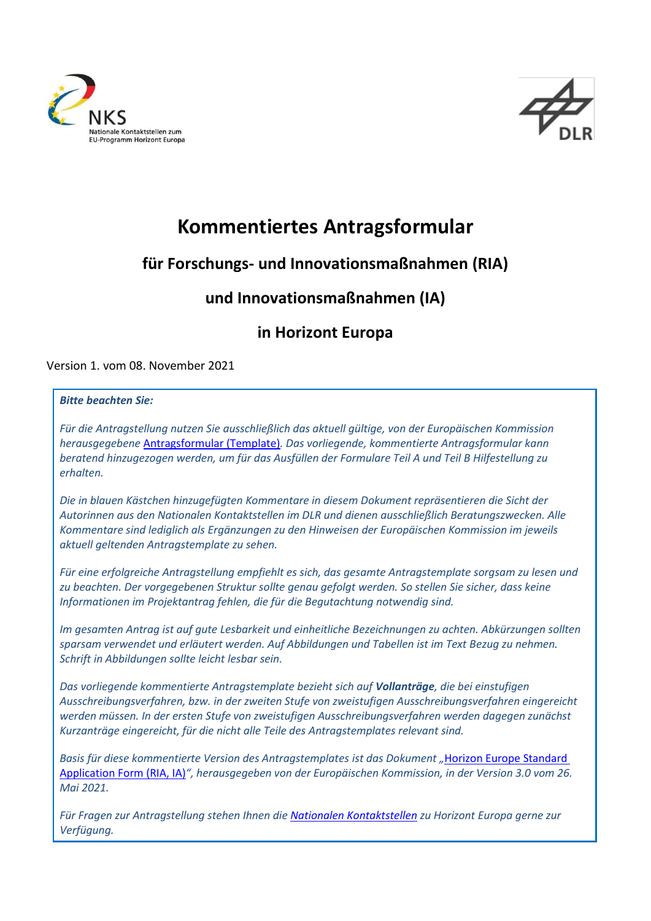



# **Kommentiertes Antragsformular**

### **für Forschungs- und Innovationsmaßnahmen (RIA)**

### **und Innovationsmaßnahmen (IA)**

### **in Horizont Europa**

Version 1. vom 08. November 2021

#### *Bitte beachten Sie:*

*Für die Antragstellung nutzen Sie ausschließlich das aktuell gültige, von der Europäischen Kommission herausgegebene* [Antragsformular \(Template\)](https://ec.europa.eu/info/funding-tenders/opportunities/portal/screen/how-to-participate/reference-documents;programCode=HORIZON)*. Das vorliegende, kommentierte Antragsformular kann beratend hinzugezogen werden, um für das Ausfüllen der Formulare Teil A und Teil B Hilfestellung zu erhalten.*

*Die in blauen Kästchen hinzugefügten Kommentare in diesem Dokument repräsentieren die Sicht der Autorinnen aus den Nationalen Kontaktstellen im DLR und dienen ausschließlich Beratungszwecken. Alle Kommentare sind lediglich als Ergänzungen zu den Hinweisen der Europäischen Kommission im jeweils aktuell geltenden Antragstemplate zu sehen.* 

*Für eine erfolgreiche Antragstellung empfiehlt es sich, das gesamte Antragstemplate sorgsam zu lesen und zu beachten. Der vorgegebenen Struktur sollte genau gefolgt werden. So stellen Sie sicher, dass keine Informationen im Projektantrag fehlen, die für die Begutachtung notwendig sind.* 

*Im gesamten Antrag ist auf gute Lesbarkeit und einheitliche Bezeichnungen zu achten. Abkürzungen sollten sparsam verwendet und erläutert werden. Auf Abbildungen und Tabellen ist im Text Bezug zu nehmen. Schrift in Abbildungen sollte leicht lesbar sein.* 

*Das vorliegende kommentierte Antragstemplate bezieht sich auf Vollanträge, die bei einstufigen Ausschreibungsverfahren, bzw. in der zweiten Stufe von zweistufigen Ausschreibungsverfahren eingereicht werden müssen. In der ersten Stufe von zweistufigen Ausschreibungsverfahren werden dagegen zunächst Kurzanträge eingereicht, für die nicht alle Teile des Antragstemplates relevant sind.*

**Basis für diese kommentierte Version des Antragstemplates ist das Dokument "Horizon Europe Standard** [Application Form \(RIA, IA\)](https://ec.europa.eu/info/funding-tenders/opportunities/docs/2021-2027/horizon/temp-form/af/af_he-ria-ia_en.pdf)*", herausgegeben von der Europäischen Kommission, in der Version 3.0 vom 26. Mai 2021.* 

*Für Fragen zur Antragstellung stehen Ihnen die [Nationalen Kontaktstellen](https://www.horizont-europa.de/de/Gesamtubersicht-2664.html) zu Horizont Europa gerne zur Verfügung.*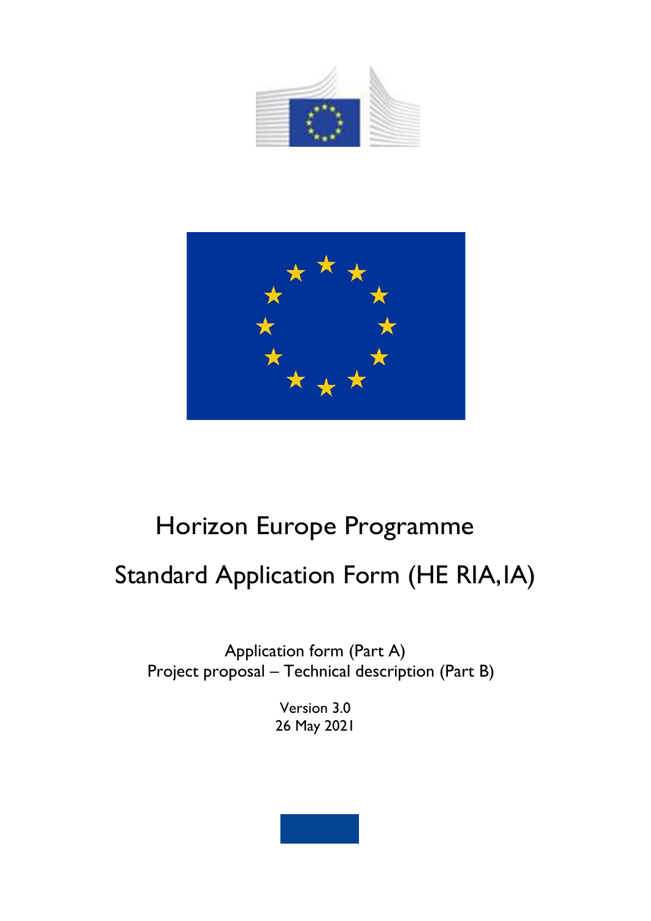



# Horizon Europe Programme

# Standard Application Form (HE RIA, IA)

Application form (Part A) Project proposal – Technical description (Part B)

> Version 3.0 26 May 2021

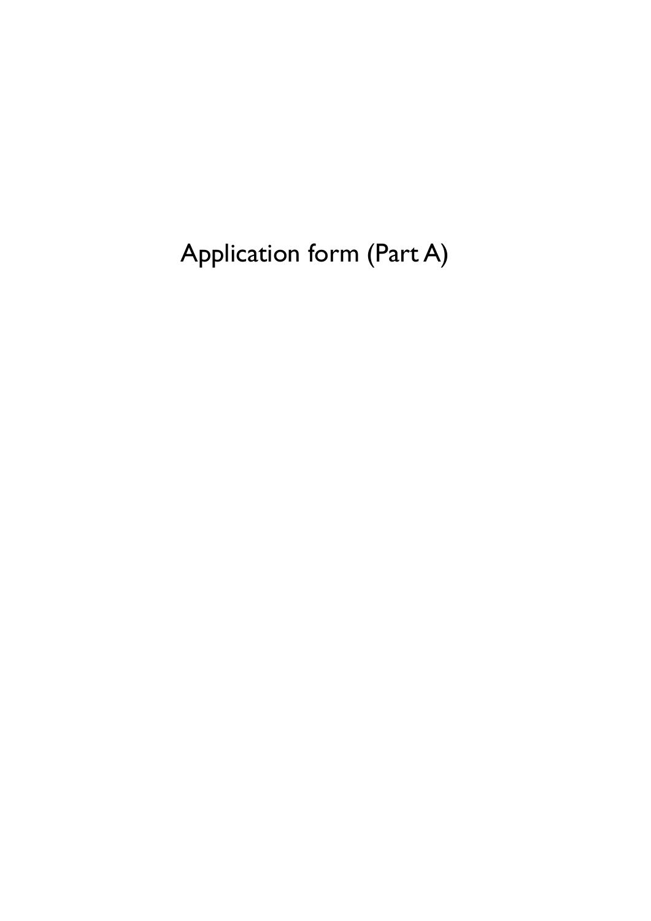Application form (Part A)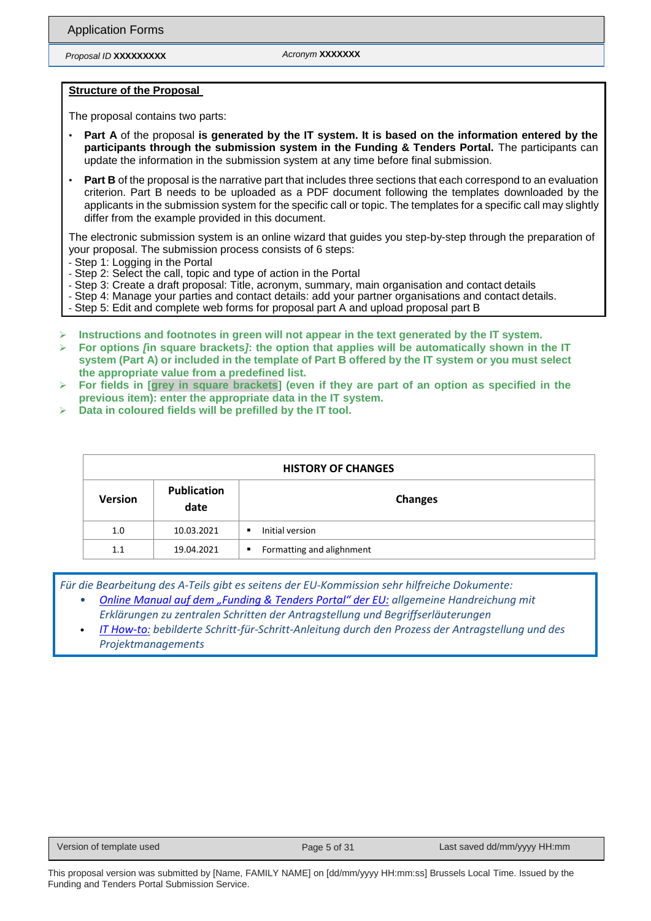*Proposal ID* **XXXXXXXXX** *Acronym* **XXXXXXX**

#### **Structure of the Proposal**

The proposal contains two parts:

- **Part A** of the proposal **is generated by the IT system. It is based on the information entered by the participants through the submission system in the Funding & Tenders Portal.** The participants can update the information in the submission system at any time before final submission.
- Part B of the proposal is the narrative part that includes three sections that each correspond to an evaluation criterion. Part B needs to be uploaded as a PDF document following the templates downloaded by the applicants in the submission system for the specific call or topic. The templates for a specific call may slightly differ from the example provided in this document.

The electronic submission system is an online wizard that guides you step-by-step through the preparation of your proposal. The submission process consists of 6 steps:

- Step 1: Logging in the Portal

- Step 6: Submit the proposal

- Step 2: Select the call, topic and type of action in the Portal
- Step 3: Create a draft proposal: Title, acronym, summary, main organisation and contact details
- Step 4: Manage your parties and contact details: add your partner organisations and contact details.
- Step 5: Edit and complete web forms for proposal part A and upload proposal part B
- ➢ **Instructions and footnotes in green will not appear in the text generated by the IT system.**
- ➢ **For options** *[***in square brackets***]***: the option that applies will be automatically shown in the IT system (Part A) or included in the template of Part B offered by the IT system or you must select the appropriate value from a predefined list.**
- ➢ **For fields in [grey in square brackets] (even if they are part of an option as specified in the previous item): enter the appropriate data in the IT system.**
- ➢ **Data in coloured fields will be prefilled by the IT tool.**

| <b>HISTORY OF CHANGES</b> |                            |                                |  |  |  |  |
|---------------------------|----------------------------|--------------------------------|--|--|--|--|
| <b>Version</b>            | <b>Publication</b><br>date | <b>Changes</b>                 |  |  |  |  |
| 1.0                       | 10.03.2021                 | Initial version<br>٠           |  |  |  |  |
| 1.1                       | 19.04.2021                 | Formatting and alighnment<br>٠ |  |  |  |  |

*Für die Bearbeitung des A-Teils gibt es seitens der EU-Kommission sehr hilfreiche Dokumente:*

- *[Online Manual auf dem "Funding & Tenders Portal" der EU](https://webgate.ec.europa.eu/funding-tenders-opportunities/display/OM/Online+Manual): allgemeine Handreichung mit Erklärungen zu zentralen Schritten der Antragstellung und Begriffserläuterungen*
- *IT [How-to:](https://webgate.ec.europa.eu/funding-tenders-opportunities/display/IT/IT+How+to) bebilderte Schritt-für-Schritt-Anleitung durch den Prozess der Antragstellung und des Projektmanagements*

Version of template used **Page 5 of 31** Page 5 of 31 Last saved dd/mm/yyyy HH:mm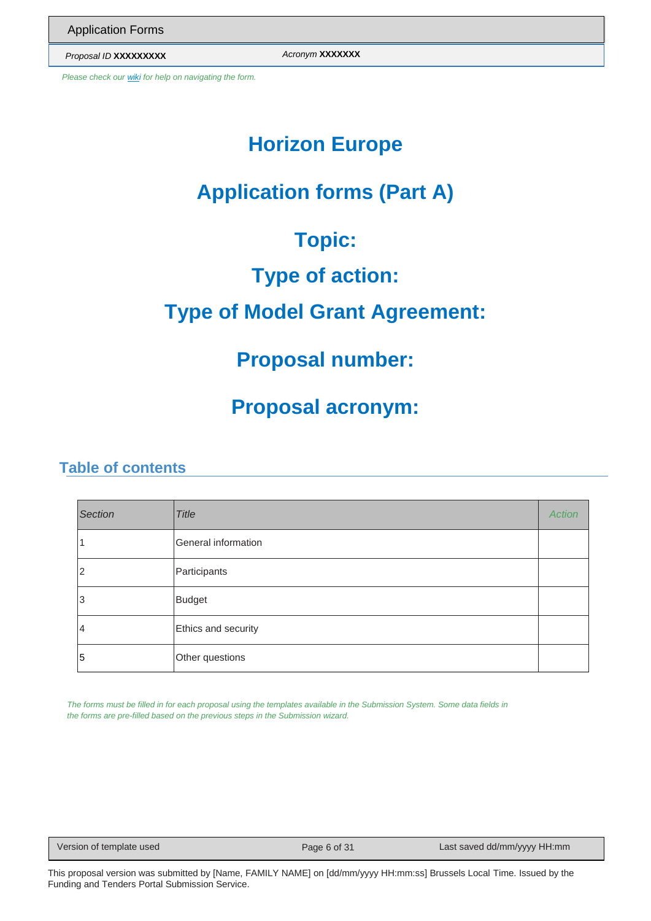*Proposal ID* **XXXXXXXXX** *Acronym* **XXXXXXX**

*Please check ou[r wiki f](https://webgate.ec.europa.eu/fpfis/wikis/x/kr21D)or help on navigating the form.*

# **Horizon Europe**

# **Application forms (Part A)**

# **Topic:**

# **Type of action:**

# **Type of Model Grant Agreement:**

## **Proposal number:**

# **Proposal acronym:**

### **Table of contents**

| <b>Section</b> | <b>Title</b>        | <b>Action</b> |
|----------------|---------------------|---------------|
|                | General information |               |
| 2              | Participants        |               |
| 3              | <b>Budget</b>       |               |
| 4              | Ethics and security |               |
| 5              | Other questions     |               |

*The forms must be filled in for each proposal using the templates available in the Submission System. Some data fields in the forms are pre-filled based on the previous steps in the Submission wizard.*

Version of template used Page 6 of 31 Last saved dd/mm/yyyy HH:mm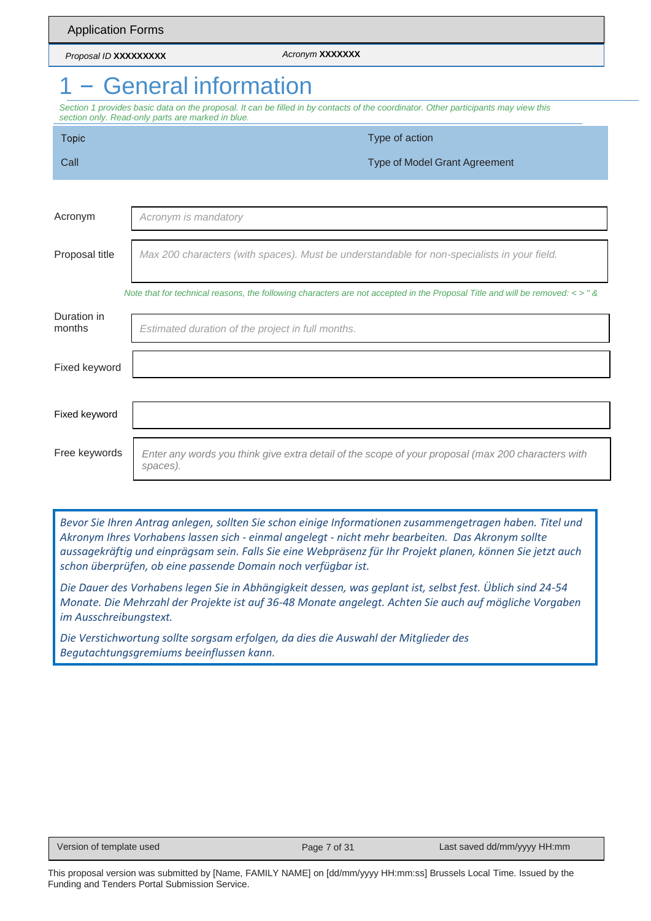|                                                                                                                                                                                          | <b>Application Forms</b>                                                                                                          |  |  |  |  |  |  |  |
|------------------------------------------------------------------------------------------------------------------------------------------------------------------------------------------|-----------------------------------------------------------------------------------------------------------------------------------|--|--|--|--|--|--|--|
| Proposal ID XXXXXXXXX                                                                                                                                                                    | Acronym XXXXXXX                                                                                                                   |  |  |  |  |  |  |  |
|                                                                                                                                                                                          | - General information                                                                                                             |  |  |  |  |  |  |  |
| Section 1 provides basic data on the proposal. It can be filled in by contacts of the coordinator. Other participants may view this<br>section only. Read-only parts are marked in blue. |                                                                                                                                   |  |  |  |  |  |  |  |
| <b>Topic</b>                                                                                                                                                                             | Type of action                                                                                                                    |  |  |  |  |  |  |  |
| Call                                                                                                                                                                                     | <b>Type of Model Grant Agreement</b>                                                                                              |  |  |  |  |  |  |  |
|                                                                                                                                                                                          |                                                                                                                                   |  |  |  |  |  |  |  |
| Acronym                                                                                                                                                                                  | Acronym is mandatory                                                                                                              |  |  |  |  |  |  |  |
| Proposal title                                                                                                                                                                           | Max 200 characters (with spaces). Must be understandable for non-specialists in your field.                                       |  |  |  |  |  |  |  |
|                                                                                                                                                                                          | Note that for technical reasons, the following characters are not accepted in the Proposal Title and will be removed: $\lt$ > " & |  |  |  |  |  |  |  |
| Duration in<br>months                                                                                                                                                                    | Estimated duration of the project in full months.                                                                                 |  |  |  |  |  |  |  |
| Fixed keyword                                                                                                                                                                            |                                                                                                                                   |  |  |  |  |  |  |  |
| Fixed keyword                                                                                                                                                                            |                                                                                                                                   |  |  |  |  |  |  |  |
| Free keywords                                                                                                                                                                            | Enter any words you think give extra detail of the scope of your proposal (max 200 characters with<br>spaces).                    |  |  |  |  |  |  |  |

*Bevor Sie Ihren Antrag anlegen, sollten Sie schon einige Informationen zusammengetragen haben. Titel und Akronym Ihres Vorhabens lassen sich - einmal angelegt - nicht mehr bearbeiten. Das Akronym sollte aussagekräftig und einprägsam sein. Falls Sie eine Webpräsenz für Ihr Projekt planen, können Sie jetzt auch schon überprüfen, ob eine passende Domain noch verfügbar ist.*

*Die Dauer des Vorhabens legen Sie in Abhängigkeit dessen, was geplant ist, selbst fest. Üblich sind 24-54 Monate. Die Mehrzahl der Projekte ist auf 36-48 Monate angelegt. Achten Sie auch auf mögliche Vorgaben im Ausschreibungstext.*

*Die Verstichwortung sollte sorgsam erfolgen, da dies die Auswahl der Mitglieder des Begutachtungsgremiums beeinflussen kann.*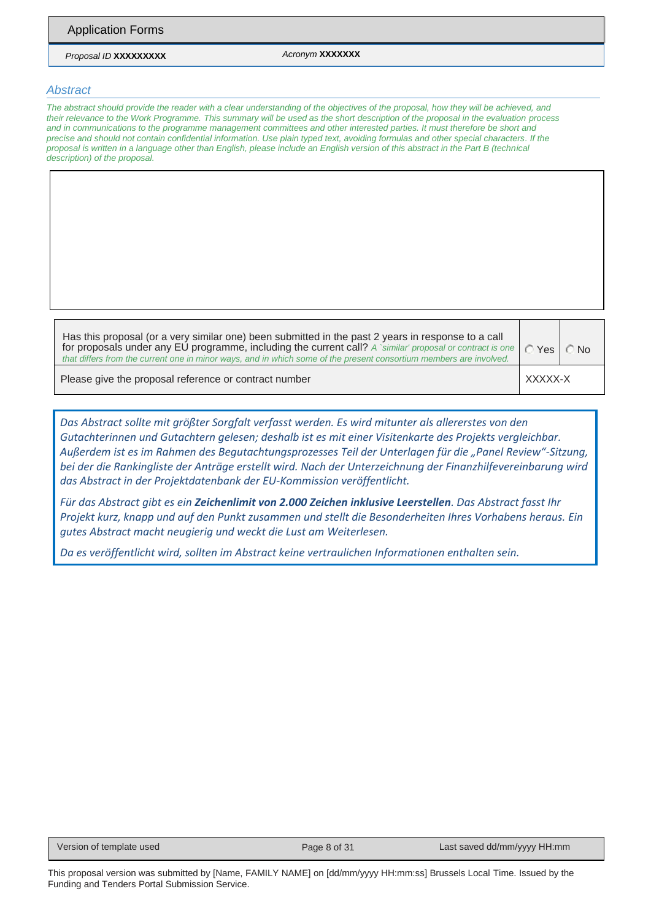*Proposal ID* **XXXXXXXXX** *Acronym* **XXXXXXX**

#### *Abstract*

*The abstract should provide the reader with a clear understanding of the objectives of the proposal, how they will be achieved, and their relevance to the Work Programme. This summary will be used as the short description of the proposal in the evaluation process and in communications to the programme management committees and other interested parties. It must therefore be short and precise and should not contain confidential information. Use plain typed text, avoiding formulas and other special characters. If the proposal is written in a language other than English, please include an English version of this abstract in the Part B (technical description) of the proposal.*

Has this proposal (or a very similar one) been submitted in the past 2 years in response to a call for proposals under any EU programme, including the current call? *A `similar' proposal or contract is one that differs from the current one in minor ways, and in which some of the present consortium members are involved.*

© Yes | ◯ No

Please give the proposal reference or contract number XXXXX-X

*Das Abstract sollte mit größter Sorgfalt verfasst werden. Es wird mitunter als allererstes von den Gutachterinnen und Gutachtern gelesen; deshalb ist es mit einer Visitenkarte des Projekts vergleichbar. Außerdem ist es im Rahmen des Begutachtungsprozesses Teil der Unterlagen für die "Panel Review"-Sitzung, bei der die Rankingliste der Anträge erstellt wird. Nach der Unterzeichnung der Finanzhilfevereinbarung wird das Abstract in der Projektdatenbank der EU-Kommission veröffentlicht.* 

*Für das Abstract gibt es ein Zeichenlimit von 2.000 Zeichen inklusive Leerstellen. Das Abstract fasst Ihr Projekt kurz, knapp und auf den Punkt zusammen und stellt die Besonderheiten Ihres Vorhabens heraus. Ein gutes Abstract macht neugierig und weckt die Lust am Weiterlesen.* 

*Da es veröffentlicht wird, sollten im Abstract keine vertraulichen Informationen enthalten sein.*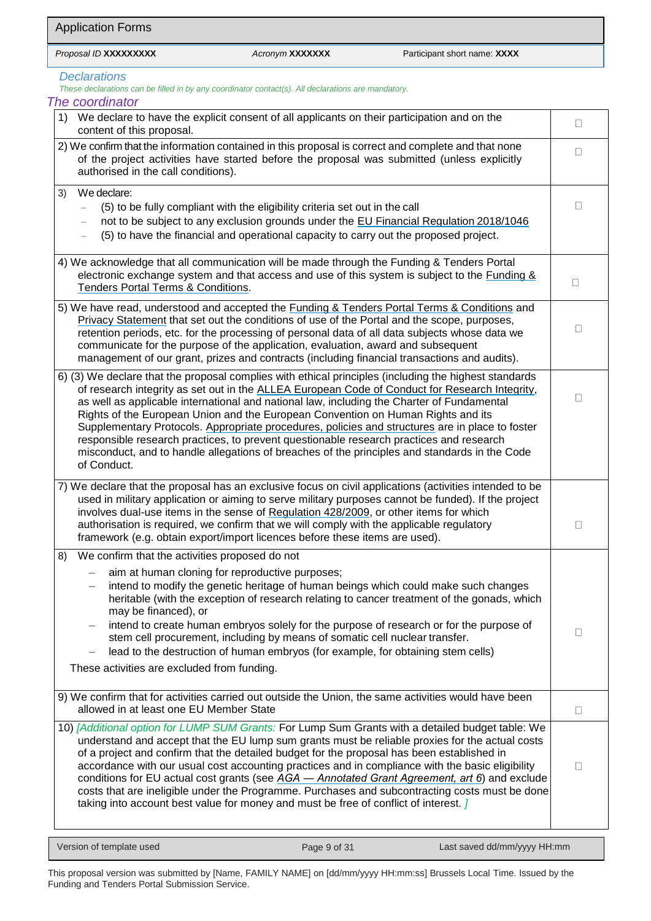### *Declarations*

*These declarations can be filled in by any coordinator contact(s). All declarations are mandatory.*

| The coordinator                                                                                                                                                                                                                                                                                                                                                                                                                                                                                                                                                                                                                                                                                         |                 |
|---------------------------------------------------------------------------------------------------------------------------------------------------------------------------------------------------------------------------------------------------------------------------------------------------------------------------------------------------------------------------------------------------------------------------------------------------------------------------------------------------------------------------------------------------------------------------------------------------------------------------------------------------------------------------------------------------------|-----------------|
| 1)<br>We declare to have the explicit consent of all applicants on their participation and on the<br>content of this proposal.                                                                                                                                                                                                                                                                                                                                                                                                                                                                                                                                                                          | $\Box$          |
| 2) We confirm that the information contained in this proposal is correct and complete and that none<br>of the project activities have started before the proposal was submitted (unless explicitly<br>authorised in the call conditions).                                                                                                                                                                                                                                                                                                                                                                                                                                                               | П               |
| We declare:<br>3)<br>(5) to be fully compliant with the eligibility criteria set out in the call<br>not to be subject to any exclusion grounds under the EU Financial Regulation 2018/1046<br>(5) to have the financial and operational capacity to carry out the proposed project.                                                                                                                                                                                                                                                                                                                                                                                                                     | П               |
| 4) We acknowledge that all communication will be made through the Funding & Tenders Portal<br>electronic exchange system and that access and use of this system is subject to the Funding &<br>Tenders Portal Terms & Conditions.                                                                                                                                                                                                                                                                                                                                                                                                                                                                       | $\Box$          |
| 5) We have read, understood and accepted the Funding & Tenders Portal Terms & Conditions and<br>Privacy Statement that set out the conditions of use of the Portal and the scope, purposes,<br>retention periods, etc. for the processing of personal data of all data subjects whose data we<br>communicate for the purpose of the application, evaluation, award and subsequent<br>management of our grant, prizes and contracts (including financial transactions and audits).                                                                                                                                                                                                                       |                 |
| 6) (3) We declare that the proposal complies with ethical principles (including the highest standards<br>of research integrity as set out in the ALLEA European Code of Conduct for Research Integrity,<br>as well as applicable international and national law, including the Charter of Fundamental<br>Rights of the European Union and the European Convention on Human Rights and its<br>Supplementary Protocols. Appropriate procedures, policies and structures are in place to foster<br>responsible research practices, to prevent questionable research practices and research<br>misconduct, and to handle allegations of breaches of the principles and standards in the Code<br>of Conduct. | $\mathsf{L}$    |
| 7) We declare that the proposal has an exclusive focus on civil applications (activities intended to be<br>used in military application or aiming to serve military purposes cannot be funded). If the project<br>involves dual-use items in the sense of Regulation 428/2009, or other items for which<br>authorisation is required, we confirm that we will comply with the applicable regulatory<br>framework (e.g. obtain export/import licences before these items are used).                                                                                                                                                                                                                      | $\vert \ \vert$ |
| We confirm that the activities proposed do not<br>8)<br>aim at human cloning for reproductive purposes;<br>intend to modify the genetic heritage of human beings which could make such changes<br>heritable (with the exception of research relating to cancer treatment of the gonads, which<br>may be financed), or<br>intend to create human embryos solely for the purpose of research or for the purpose of<br>stem cell procurement, including by means of somatic cell nuclear transfer.<br>lead to the destruction of human embryos (for example, for obtaining stem cells)<br>These activities are excluded from funding.                                                                      | П               |
| 9) We confirm that for activities carried out outside the Union, the same activities would have been<br>allowed in at least one EU Member State                                                                                                                                                                                                                                                                                                                                                                                                                                                                                                                                                         | □               |
| 10) [Additional option for LUMP SUM Grants: For Lump Sum Grants with a detailed budget table: We<br>understand and accept that the EU lump sum grants must be reliable proxies for the actual costs<br>of a project and confirm that the detailed budget for the proposal has been established in<br>accordance with our usual cost accounting practices and in compliance with the basic eligibility<br>conditions for EU actual cost grants (see AGA - Annotated Grant Agreement, art 6) and exclude<br>costs that are ineligible under the Programme. Purchases and subcontracting costs must be done<br>taking into account best value for money and must be free of conflict of interest. J        | П               |

Version of template used Page 9 of 31 Last saved dd/mm/yyyy HH:mm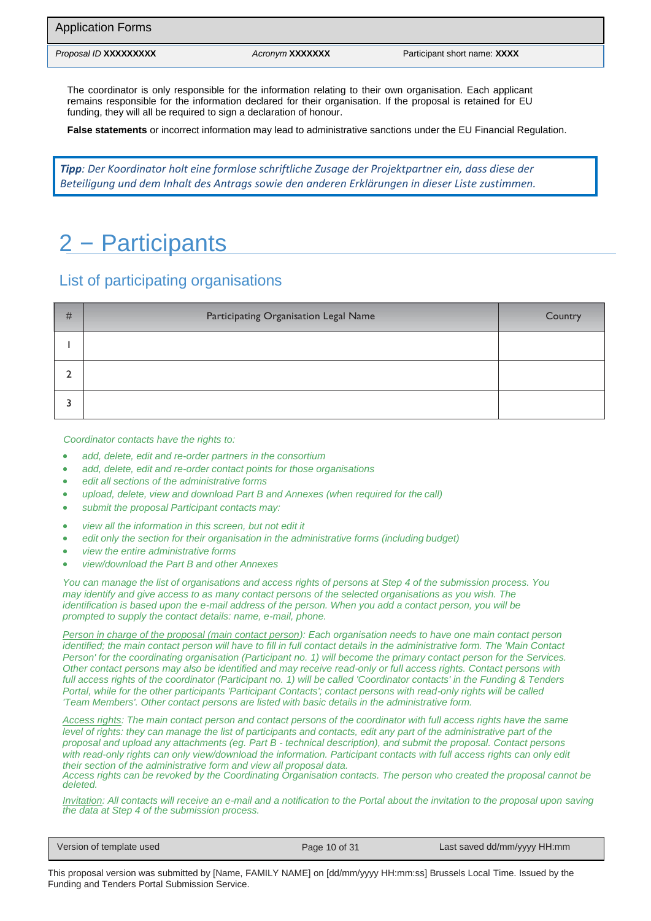The coordinator is only responsible for the information relating to their own organisation. Each applicant remains responsible for the information declared for their organisation. If the proposal is retained for EU funding, they will all be required to sign a declaration of honour.

**False statements** or incorrect information may lead to administrative sanctions under the EU Financial Regulation.

*Tipp: Der Koordinator holt eine formlose schriftliche Zusage der Projektpartner ein, dass diese der Beteiligung und dem Inhalt des Antrags sowie den anderen Erklärungen in dieser Liste zustimmen.*

# 2 – Participants

### List of participating organisations

| # | Participating Organisation Legal Name | Country |
|---|---------------------------------------|---------|
|   |                                       |         |
|   |                                       |         |
|   |                                       |         |

*Coordinator contacts have the rights to:*

- *add, delete, edit and re-order partners in the consortium*
- *add, delete, edit and re-order contact points for those organisations*
- *edit all sections of the administrative forms*
- *upload, delete, view and download Part B and Annexes (when required for the call)*
- *submit the proposal Participant contacts may:*
- *view all the information in this screen, but not edit it*
- *edit only the section for their organisation in the administrative forms (including budget)*
- *view the entire administrative forms*
- *view/download the Part B and other Annexes*

*You can manage the list of organisations and access rights of persons at Step 4 of the submission process. You may identify and give access to as many contact persons of the selected organisations as you wish. The identification is based upon the e-mail address of the person. When you add a contact person, you will be prompted to supply the contact details: name, e-mail, phone.*

*Person in charge of the proposal (main contact person): Each organisation needs to have one main contact person identified; the main contact person will have to fill in full contact details in the administrative form. The 'Main Contact Person' for the coordinating organisation (Participant no. 1) will become the primary contact person for the Services. Other contact persons may also be identified and may receive read-only or full access rights. Contact persons with full access rights of the coordinator (Participant no. 1) will be called 'Coordinator contacts' in the Funding & Tenders Portal, while for the other participants 'Participant Contacts'; contact persons with read-only rights will be called 'Team Members'. Other contact persons are listed with basic details in the administrative form.*

*Access rights: The main contact person and contact persons of the coordinator with full access rights have the same level of rights: they can manage the list of participants and contacts, edit any part of the administrative part of the proposal and upload any attachments (eg. Part B - technical description), and submit the proposal. Contact persons*  with read-only rights can only view/download the information. Participant contacts with full access rights can only edit *their section of the administrative form and view all proposal data.*

*Access rights can be revoked by the Coordinating Organisation contacts. The person who created the proposal cannot be deleted.*

*Invitation: All contacts will receive an e-mail and a notification to the Portal about the invitation to the proposal upon saving the data at Step 4 of the submission process.*

Version of template used **Page 10 of 31** Page 10 of 31 Last saved dd/mm/yyyy HH:mm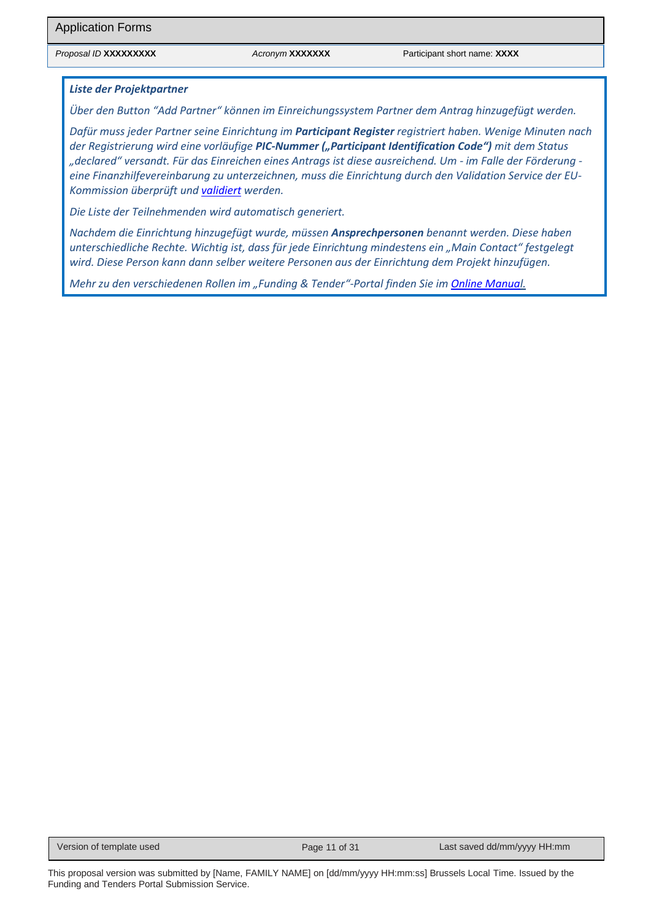#### *Liste der Projektpartner*

*Über den Button "Add Partner" können im Einreichungssystem Partner dem Antrag hinzugefügt werden.* 

*Dafür muss jeder Partner seine Einrichtung im Participant Register registriert haben. Wenige Minuten nach der Registrierung wird eine vorläufige PIC-Nummer ("Participant Identification Code") mit dem Status "declared" versandt. Für das Einreichen eines Antrags ist diese ausreichend. Um - im Falle der Förderung eine Finanzhilfevereinbarung zu unterzeichnen, muss die Einrichtung durch den Validation Service der EU-Kommission überprüft und [validiert](https://www.horizont-europa.de/de/Teilnehmercode-PIC-und-Validierung-1750.html) werden.* 

*Die Liste der Teilnehmenden wird automatisch generiert.*

*Nachdem die Einrichtung hinzugefügt wurde, müssen Ansprechpersonen benannt werden. Diese haben unterschiedliche Rechte. Wichtig ist, dass für jede Einrichtung mindestens ein "Main Contact" festgelegt wird. Diese Person kann dann selber weitere Personen aus der Einrichtung dem Projekt hinzufügen.*

*Mehr zu den verschiedenen Rollen im "Funding & Tender"-Portal finden Sie i[m Online Manual.](https://webgate.ec.europa.eu/funding-tenders-opportunities/display/OM/Roles+and+access+rights)*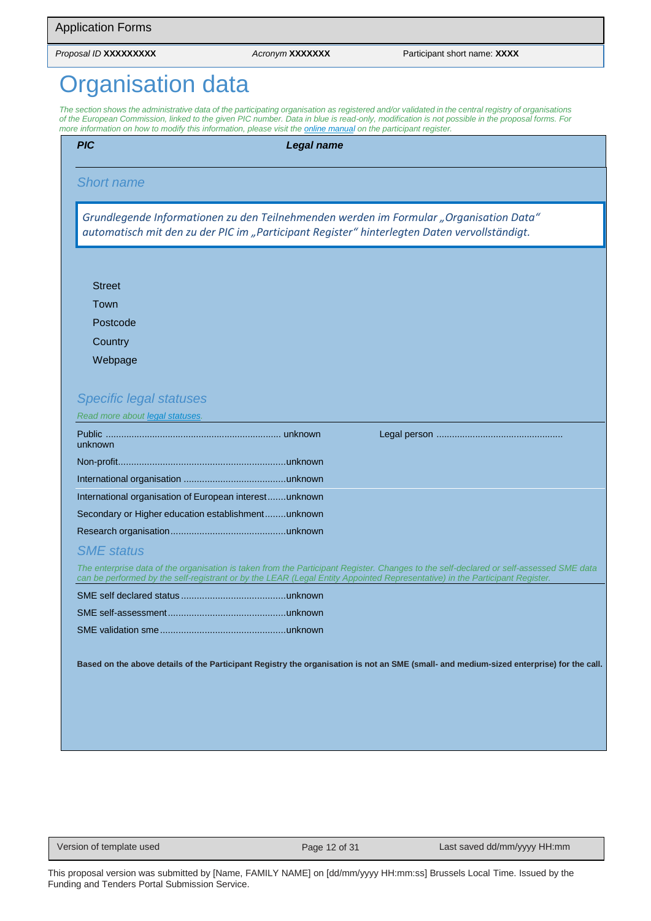# **rganisation data**

The section shows the administrative data of the participating organisation as registered and/or validated in the central registry of organisations *of the European Commission, linked to the given PIC number. Data in blue is read-only, modification is not possible in the proposal forms. For more information on how to modify this information, please visit th[e online manual o](https://ec.europa.eu/info/funding-tenders/opportunities/docs/2021-2027/common/guidance/om_en.pdf)n the participant register.*

| <b>Legal name</b> |                                                                                                                                                                                                                                                                       |
|-------------------|-----------------------------------------------------------------------------------------------------------------------------------------------------------------------------------------------------------------------------------------------------------------------|
|                   |                                                                                                                                                                                                                                                                       |
|                   | Grundlegende Informationen zu den Teilnehmenden werden im Formular "Organisation Data"<br>automatisch mit den zu der PIC im "Participant Register" hinterlegten Daten vervollständigt.                                                                                |
|                   |                                                                                                                                                                                                                                                                       |
|                   |                                                                                                                                                                                                                                                                       |
|                   |                                                                                                                                                                                                                                                                       |
|                   |                                                                                                                                                                                                                                                                       |
|                   |                                                                                                                                                                                                                                                                       |
|                   |                                                                                                                                                                                                                                                                       |
|                   |                                                                                                                                                                                                                                                                       |
|                   |                                                                                                                                                                                                                                                                       |
|                   |                                                                                                                                                                                                                                                                       |
|                   |                                                                                                                                                                                                                                                                       |
|                   |                                                                                                                                                                                                                                                                       |
|                   |                                                                                                                                                                                                                                                                       |
|                   |                                                                                                                                                                                                                                                                       |
|                   |                                                                                                                                                                                                                                                                       |
|                   |                                                                                                                                                                                                                                                                       |
|                   |                                                                                                                                                                                                                                                                       |
|                   | The enterprise data of the organisation is taken from the Participant Register. Changes to the self-declared or self-assessed SME data<br>can be performed by the self-registrant or by the LEAR (Legal Entity Appointed Representative) in the Participant Register. |
|                   |                                                                                                                                                                                                                                                                       |
|                   |                                                                                                                                                                                                                                                                       |
|                   |                                                                                                                                                                                                                                                                       |
|                   | <b>Specific legal statuses</b><br>Read more about legal statuses.<br>International organisation of European interestunknown<br>Secondary or Higher education establishmentunknown                                                                                     |

Version of template used Page 12 of 31 Last saved dd/mm/yyyy HH:mm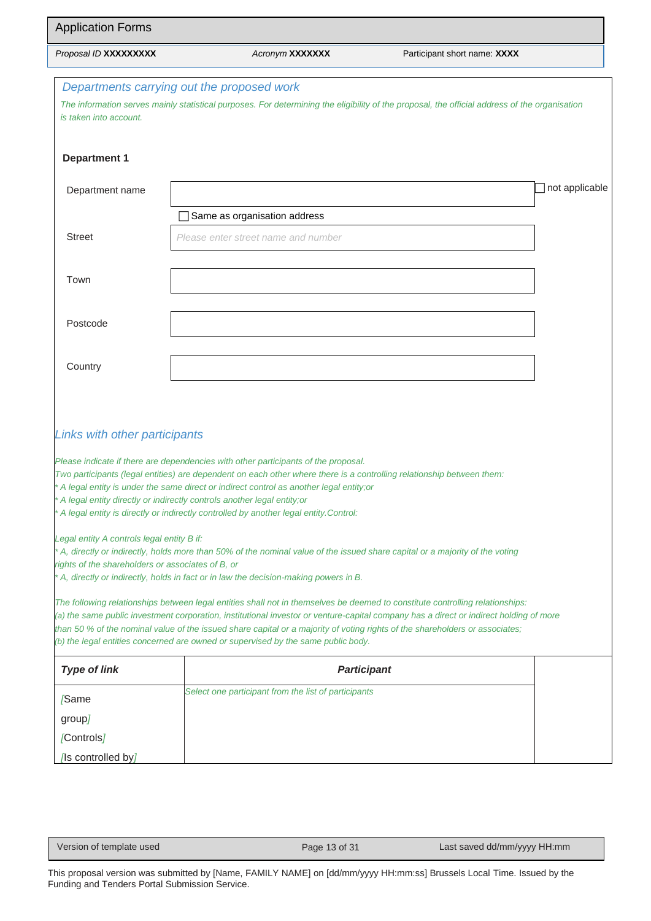| <b>Application Forms</b>                                                                        |                                                                                                                                                                                                                                                                                                                                                                                                                                                                                                                                                                                     |                              |                |  |  |  |  |  |
|-------------------------------------------------------------------------------------------------|-------------------------------------------------------------------------------------------------------------------------------------------------------------------------------------------------------------------------------------------------------------------------------------------------------------------------------------------------------------------------------------------------------------------------------------------------------------------------------------------------------------------------------------------------------------------------------------|------------------------------|----------------|--|--|--|--|--|
| Proposal ID XXXXXXXXX                                                                           | Acronym XXXXXXX                                                                                                                                                                                                                                                                                                                                                                                                                                                                                                                                                                     | Participant short name: XXXX |                |  |  |  |  |  |
| is taken into account.                                                                          | Departments carrying out the proposed work<br>The information serves mainly statistical purposes. For determining the eligibility of the proposal, the official address of the organisation                                                                                                                                                                                                                                                                                                                                                                                         |                              |                |  |  |  |  |  |
| <b>Department 1</b>                                                                             |                                                                                                                                                                                                                                                                                                                                                                                                                                                                                                                                                                                     |                              |                |  |  |  |  |  |
| Department name                                                                                 |                                                                                                                                                                                                                                                                                                                                                                                                                                                                                                                                                                                     |                              | not applicable |  |  |  |  |  |
|                                                                                                 | Same as organisation address                                                                                                                                                                                                                                                                                                                                                                                                                                                                                                                                                        |                              |                |  |  |  |  |  |
| <b>Street</b>                                                                                   | Please enter street name and number                                                                                                                                                                                                                                                                                                                                                                                                                                                                                                                                                 |                              |                |  |  |  |  |  |
| Town                                                                                            |                                                                                                                                                                                                                                                                                                                                                                                                                                                                                                                                                                                     |                              |                |  |  |  |  |  |
| Postcode                                                                                        |                                                                                                                                                                                                                                                                                                                                                                                                                                                                                                                                                                                     |                              |                |  |  |  |  |  |
| Country                                                                                         |                                                                                                                                                                                                                                                                                                                                                                                                                                                                                                                                                                                     |                              |                |  |  |  |  |  |
| Links with other participants                                                                   | Please indicate if there are dependencies with other participants of the proposal.<br>Two participants (legal entities) are dependent on each other where there is a controlling relationship between them:<br>A legal entity is under the same direct or indirect control as another legal entity;or<br>A legal entity directly or indirectly controls another legal entity; or                                                                                                                                                                                                    |                              |                |  |  |  |  |  |
| Legal entity A controls legal entity B if:<br>rights of the shareholders or associates of B, or | A legal entity is directly or indirectly controlled by another legal entity. Control:<br>* A, directly or indirectly, holds more than 50% of the nominal value of the issued share capital or a majority of the voting                                                                                                                                                                                                                                                                                                                                                              |                              |                |  |  |  |  |  |
|                                                                                                 | A, directly or indirectly, holds in fact or in law the decision-making powers in B.<br>The following relationships between legal entities shall not in themselves be deemed to constitute controlling relationships:<br>(a) the same public investment corporation, institutional investor or venture-capital company has a direct or indirect holding of more<br>than 50 % of the nominal value of the issued share capital or a majority of voting rights of the shareholders or associates;<br>(b) the legal entities concerned are owned or supervised by the same public body. |                              |                |  |  |  |  |  |
| <b>Type of link</b>                                                                             |                                                                                                                                                                                                                                                                                                                                                                                                                                                                                                                                                                                     | <b>Participant</b>           |                |  |  |  |  |  |
| [Same                                                                                           | Select one participant from the list of participants                                                                                                                                                                                                                                                                                                                                                                                                                                                                                                                                |                              |                |  |  |  |  |  |
| group]                                                                                          |                                                                                                                                                                                                                                                                                                                                                                                                                                                                                                                                                                                     |                              |                |  |  |  |  |  |
| [Controls]                                                                                      |                                                                                                                                                                                                                                                                                                                                                                                                                                                                                                                                                                                     |                              |                |  |  |  |  |  |
| [Is controlled by]                                                                              |                                                                                                                                                                                                                                                                                                                                                                                                                                                                                                                                                                                     |                              |                |  |  |  |  |  |

Version of template used Page 13 of 31 Last saved dd/mm/yyyy HH:mm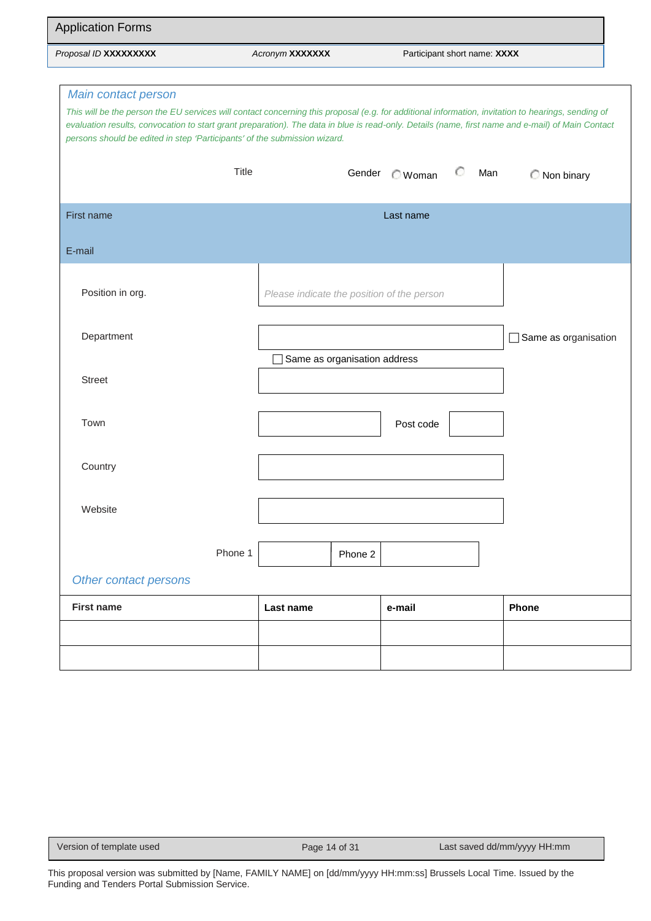| <b>Application Forms</b>                                                                                                                                                                                                                                                                                                                                                                                    |              |                                            |              |                              |                        |
|-------------------------------------------------------------------------------------------------------------------------------------------------------------------------------------------------------------------------------------------------------------------------------------------------------------------------------------------------------------------------------------------------------------|--------------|--------------------------------------------|--------------|------------------------------|------------------------|
| Proposal ID XXXXXXXXX                                                                                                                                                                                                                                                                                                                                                                                       |              | Acronym XXXXXXX                            |              | Participant short name: XXXX |                        |
| Main contact person<br>This will be the person the EU services will contact concerning this proposal (e.g. for additional information, invitation to hearings, sending of<br>evaluation results, convocation to start grant preparation). The data in blue is read-only. Details (name, first name and e-mail) of Main Contact<br>persons should be edited in step 'Participants' of the submission wizard. |              |                                            |              |                              |                        |
|                                                                                                                                                                                                                                                                                                                                                                                                             | <b>Title</b> |                                            | Gender Woman | €<br>Man                     | Non binary             |
| First name                                                                                                                                                                                                                                                                                                                                                                                                  |              |                                            | Last name    |                              |                        |
| E-mail                                                                                                                                                                                                                                                                                                                                                                                                      |              |                                            |              |                              |                        |
| Position in org.                                                                                                                                                                                                                                                                                                                                                                                            |              | Please indicate the position of the person |              |                              |                        |
| Department                                                                                                                                                                                                                                                                                                                                                                                                  |              |                                            |              |                              | □ Same as organisation |
| <b>Street</b>                                                                                                                                                                                                                                                                                                                                                                                               |              | Same as organisation address               |              |                              |                        |
| Town                                                                                                                                                                                                                                                                                                                                                                                                        |              |                                            | Post code    |                              |                        |
| Country                                                                                                                                                                                                                                                                                                                                                                                                     |              |                                            |              |                              |                        |
| Website                                                                                                                                                                                                                                                                                                                                                                                                     |              |                                            |              |                              |                        |
|                                                                                                                                                                                                                                                                                                                                                                                                             | Phone 1      | Phone 2                                    |              |                              |                        |
| Other contact persons                                                                                                                                                                                                                                                                                                                                                                                       |              |                                            |              |                              |                        |
| <b>First name</b>                                                                                                                                                                                                                                                                                                                                                                                           |              | Last name                                  | e-mail       |                              | Phone                  |
|                                                                                                                                                                                                                                                                                                                                                                                                             |              |                                            |              |                              |                        |
|                                                                                                                                                                                                                                                                                                                                                                                                             |              |                                            |              |                              |                        |

Version of template used Page 14 of 31 Last saved dd/mm/yyyy HH:mm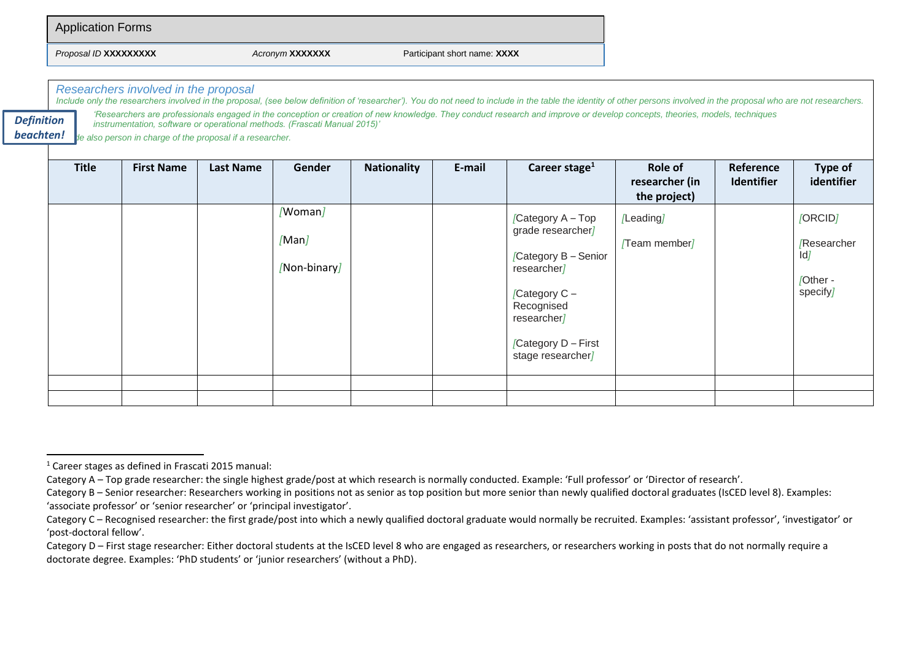| <b>Application Forms</b> |                        |                              |
|--------------------------|------------------------|------------------------------|
| Proposal ID XXXXXXXXX    | Acronym <b>XXXXXXX</b> | Participant short name: XXXX |

*Researchers involved in the proposal*

*Include only the researchers involved in the proposal, (see below definition of 'researcher'). You do not need to include in the table the identity of other persons involved in the proposal who are not researchers. 'Researchers are professionals engaged in the conception or creation of new knowledge. They conduct research and improve or develop concepts, theories, models, techniques* 

*instrumentation, software or operational methods. (Frascati Manual 2015)' Definition* 

*Include also person in charge of the proposal if a researcher. beachten!*

| <b>Title</b> | <b>First Name</b> | <b>Last Name</b> | Gender                           | <b>Nationality</b> | E-mail | Career stage $1$                                                                                                                                                         | Role of<br>researcher (in<br>the project) | Reference<br>Identifier | Type of<br>identifier                                |
|--------------|-------------------|------------------|----------------------------------|--------------------|--------|--------------------------------------------------------------------------------------------------------------------------------------------------------------------------|-------------------------------------------|-------------------------|------------------------------------------------------|
|              |                   |                  | /Woman/<br>[Man]<br>/Non-binary/ |                    |        | [Category A - Top<br>grade researcher]<br>Category B - Senior<br>researcher/<br>[Category $C -$<br>Recognised<br>researcher]<br>[Category D - First<br>stage researcher] | [Leading]<br>/Team member/                |                         | [ORCID]<br>Researcher<br>ld]<br>/Other -<br>specify] |
|              |                   |                  |                                  |                    |        |                                                                                                                                                                          |                                           |                         |                                                      |

<sup>1</sup> Career stages as defined in Frascati 2015 manual:

Category A – Top grade researcher: the single highest grade/post at which research is normally conducted. Example: 'Full professor' or 'Director of research'.

Category B – Senior researcher: Researchers working in positions not as senior as top position but more senior than newly qualified doctoral graduates (IsCED level 8). Examples: 'associate professor' or 'senior researcher' or 'principal investigator'.

Category C – Recognised researcher: the first grade/post into which a newly qualified doctoral graduate would normally be recruited. Examples: 'assistant professor', 'investigator' or 'post-doctoral fellow'.

Category D – First stage researcher: Either doctoral students at the IsCED level 8 who are engaged as researchers, or researchers working in posts that do not normally require a doctorate degree. Examples: 'PhD students' or 'junior researchers' (without a PhD).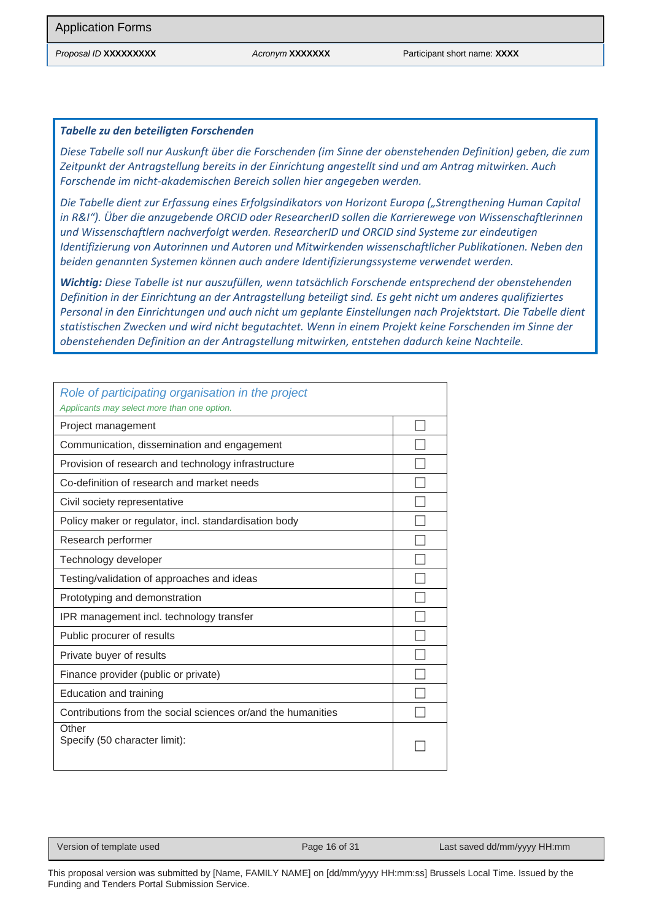#### *Tabelle zu den beteiligten Forschenden*

*Diese Tabelle soll nur Auskunft über die Forschenden (im Sinne der obenstehenden Definition) geben, die zum Zeitpunkt der Antragstellung bereits in der Einrichtung angestellt sind und am Antrag mitwirken. Auch Forschende im nicht-akademischen Bereich sollen hier angegeben werden.* 

*Die Tabelle dient zur Erfassung eines Erfolgsindikators von Horizont Europa ("Strengthening Human Capital in R&I"). Über die anzugebende ORCID oder ResearcherID sollen die Karrierewege von Wissenschaftlerinnen und Wissenschaftlern nachverfolgt werden. ResearcherID und ORCID sind Systeme zur eindeutigen Identifizierung von Autorinnen und Autoren und Mitwirkenden wissenschaftlicher Publikationen. Neben den beiden genannten Systemen können auch andere Identifizierungssysteme verwendet werden.*

*Wichtig: Diese Tabelle ist nur auszufüllen, wenn tatsächlich Forschende entsprechend der obenstehenden Definition in der Einrichtung an der Antragstellung beteiligt sind. Es geht nicht um anderes qualifiziertes Personal in den Einrichtungen und auch nicht um geplante Einstellungen nach Projektstart. Die Tabelle dient statistischen Zwecken und wird nicht begutachtet. Wenn in einem Projekt keine Forschenden im Sinne der obenstehenden Definition an der Antragstellung mitwirken, entstehen dadurch keine Nachteile.*

| Role of participating organisation in the project<br>Applicants may select more than one option. |  |
|--------------------------------------------------------------------------------------------------|--|
| Project management                                                                               |  |
| Communication, dissemination and engagement                                                      |  |
| Provision of research and technology infrastructure                                              |  |
| Co-definition of research and market needs                                                       |  |
| Civil society representative                                                                     |  |
| Policy maker or regulator, incl. standardisation body                                            |  |
| Research performer                                                                               |  |
| Technology developer                                                                             |  |
| Testing/validation of approaches and ideas                                                       |  |
| Prototyping and demonstration                                                                    |  |
| IPR management incl. technology transfer                                                         |  |
| Public procurer of results                                                                       |  |
| Private buyer of results                                                                         |  |
| Finance provider (public or private)                                                             |  |
| Education and training                                                                           |  |
| Contributions from the social sciences or/and the humanities                                     |  |
| Other<br>Specify (50 character limit):                                                           |  |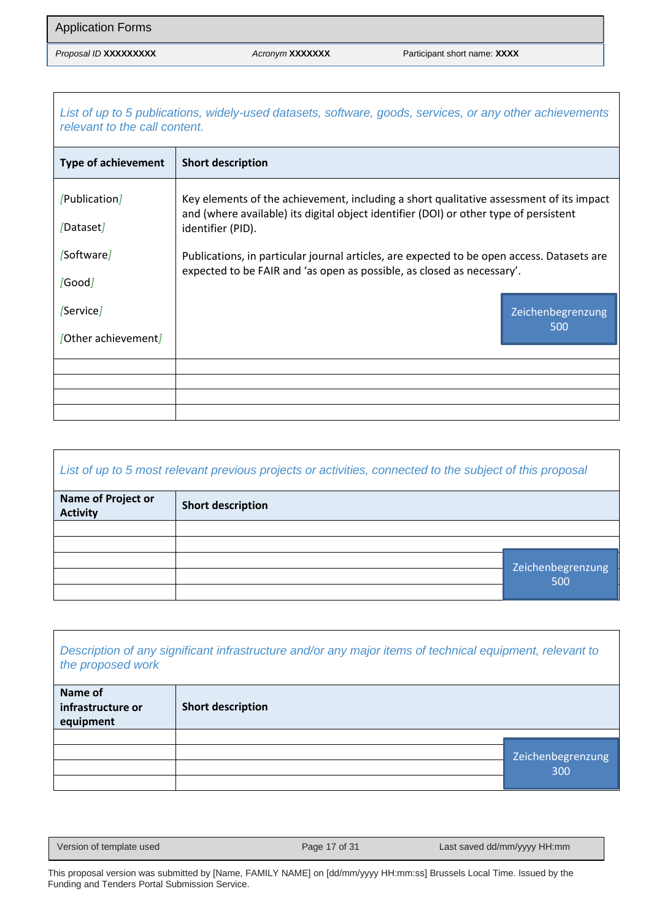*List of up to 5 publications, widely-used datasets, software, goods, services, or any other achievements relevant to the call content.*

| <b>Type of achievement</b> | <b>Short description</b>                                                                                                                                                         |                   |  |  |  |
|----------------------------|----------------------------------------------------------------------------------------------------------------------------------------------------------------------------------|-------------------|--|--|--|
| /Publication/              | Key elements of the achievement, including a short qualitative assessment of its impact<br>and (where available) its digital object identifier (DOI) or other type of persistent |                   |  |  |  |
| [Dataset]                  | identifier (PID).                                                                                                                                                                |                   |  |  |  |
| [Software]                 | Publications, in particular journal articles, are expected to be open access. Datasets are                                                                                       |                   |  |  |  |
| /Good                      | expected to be FAIR and 'as open as possible, as closed as necessary'.                                                                                                           |                   |  |  |  |
| /Service                   |                                                                                                                                                                                  | Zeichenbegrenzung |  |  |  |
| [Other achievement]        |                                                                                                                                                                                  | 500               |  |  |  |
|                            |                                                                                                                                                                                  |                   |  |  |  |
|                            |                                                                                                                                                                                  |                   |  |  |  |
|                            |                                                                                                                                                                                  |                   |  |  |  |
|                            |                                                                                                                                                                                  |                   |  |  |  |

### *List of up to 5 most relevant previous projects or activities, connected to the subject of this proposal*

| Name of Project or<br><b>Activity</b> | <b>Short description</b> |                   |
|---------------------------------------|--------------------------|-------------------|
|                                       |                          |                   |
|                                       |                          |                   |
|                                       |                          | Zeichenbegrenzung |
|                                       |                          | 500               |
|                                       |                          |                   |

| Description of any significant infrastructure and/or any major items of technical equipment, relevant to |  |
|----------------------------------------------------------------------------------------------------------|--|
| the proposed work                                                                                        |  |

| Name of<br>infrastructure or<br>equipment | <b>Short description</b> |                          |
|-------------------------------------------|--------------------------|--------------------------|
|                                           |                          |                          |
|                                           |                          | Zeichenbegrenzung<br>300 |
|                                           |                          |                          |

Version of template used Page 17 of 31 Last saved dd/mm/yyyy HH:mm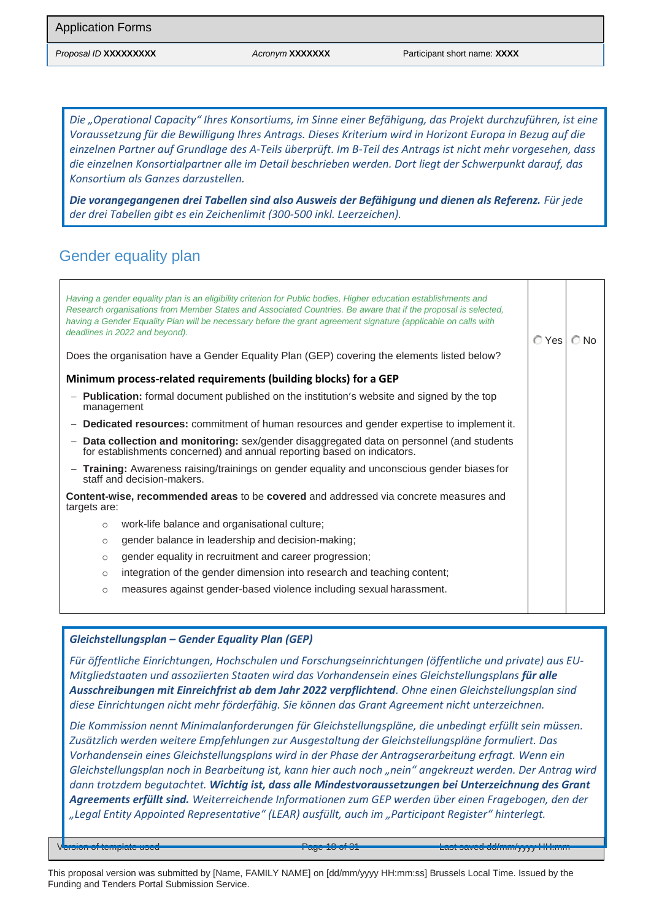*Die "Operational Capacity" Ihres Konsortiums, im Sinne einer Befähigung, das Projekt durchzuführen, ist eine Voraussetzung für die Bewilligung Ihres Antrags. Dieses Kriterium wird in Horizont Europa in Bezug auf die einzelnen Partner auf Grundlage des A-Teils überprüft. Im B-Teil des Antrags ist nicht mehr vorgesehen, dass die einzelnen Konsortialpartner alle im Detail beschrieben werden. Dort liegt der Schwerpunkt darauf, das Konsortium als Ganzes darzustellen.*

*Die vorangegangenen drei Tabellen sind also Ausweis der Befähigung und dienen als Referenz. Für jede der drei Tabellen gibt es ein Zeichenlimit (300-500 inkl. Leerzeichen).*

### Gender equality plan

| Having a gender equality plan is an eligibility criterion for Public bodies, Higher education establishments and<br>Research organisations from Member States and Associated Countries. Be aware that if the proposal is selected,<br>having a Gender Equality Plan will be necessary before the grant agreement signature (applicable on calls with<br>deadlines in 2022 and beyond).<br>Does the organisation have a Gender Equality Plan (GEP) covering the elements listed below? |  |  |  |  |  |  |
|---------------------------------------------------------------------------------------------------------------------------------------------------------------------------------------------------------------------------------------------------------------------------------------------------------------------------------------------------------------------------------------------------------------------------------------------------------------------------------------|--|--|--|--|--|--|
| Minimum process-related requirements (building blocks) for a GEP                                                                                                                                                                                                                                                                                                                                                                                                                      |  |  |  |  |  |  |
| <b>Publication:</b> formal document published on the institution's website and signed by the top<br>management                                                                                                                                                                                                                                                                                                                                                                        |  |  |  |  |  |  |
| - <b>Dedicated resources:</b> commitment of human resources and gender expertise to implement it.                                                                                                                                                                                                                                                                                                                                                                                     |  |  |  |  |  |  |
| Data collection and monitoring: sex/gender disaggregated data on personnel (and students<br>for establishments concerned) and annual reporting based on indicators.                                                                                                                                                                                                                                                                                                                   |  |  |  |  |  |  |
| - Training: Awareness raising/trainings on gender equality and unconscious gender biases for<br>staff and decision-makers.                                                                                                                                                                                                                                                                                                                                                            |  |  |  |  |  |  |
| <b>Content-wise, recommended areas</b> to be <b>covered</b> and addressed via concrete measures and<br>targets are:                                                                                                                                                                                                                                                                                                                                                                   |  |  |  |  |  |  |
| work-life balance and organisational culture;<br>$\circ$                                                                                                                                                                                                                                                                                                                                                                                                                              |  |  |  |  |  |  |
| gender balance in leadership and decision-making;<br>$\circ$                                                                                                                                                                                                                                                                                                                                                                                                                          |  |  |  |  |  |  |
| gender equality in recruitment and career progression;<br>$\circ$                                                                                                                                                                                                                                                                                                                                                                                                                     |  |  |  |  |  |  |
| integration of the gender dimension into research and teaching content;<br>$\circ$                                                                                                                                                                                                                                                                                                                                                                                                    |  |  |  |  |  |  |
| measures against gender-based violence including sexual harassment.<br>$\circ$                                                                                                                                                                                                                                                                                                                                                                                                        |  |  |  |  |  |  |
|                                                                                                                                                                                                                                                                                                                                                                                                                                                                                       |  |  |  |  |  |  |

#### *Gleichstellungsplan – Gender Equality Plan (GEP)*

*Für öffentliche Einrichtungen, Hochschulen und Forschungseinrichtungen (öffentliche und private) aus EU-Mitgliedstaaten und assoziierten Staaten wird das Vorhandensein eines Gleichstellungsplans für alle Ausschreibungen mit Einreichfrist ab dem Jahr 2022 verpflichtend. Ohne einen Gleichstellungsplan sind diese Einrichtungen nicht mehr förderfähig. Sie können das Grant Agreement nicht unterzeichnen.* 

*Die Kommission nennt Minimalanforderungen für Gleichstellungspläne, die unbedingt erfüllt sein müssen. Zusätzlich werden weitere Empfehlungen zur Ausgestaltung der Gleichstellungspläne formuliert. Das Vorhandensein eines Gleichstellungsplans wird in der Phase der Antragserarbeitung erfragt. Wenn ein Gleichstellungsplan noch in Bearbeitung ist, kann hier auch noch "nein" angekreuzt werden. Der Antrag wird dann trotzdem begutachtet. Wichtig ist, dass alle Mindestvoraussetzungen bei Unterzeichnung des Grant Agreements erfüllt sind. Weiterreichende Informationen zum GEP werden über einen Fragebogen, den der "Legal Entity Appointed Representative" (LEAR) ausfüllt, auch im "Participant Register" hinterlegt.*

Version of template used Page 18 of 31 Last saved dd/mm/yyyy HH:mm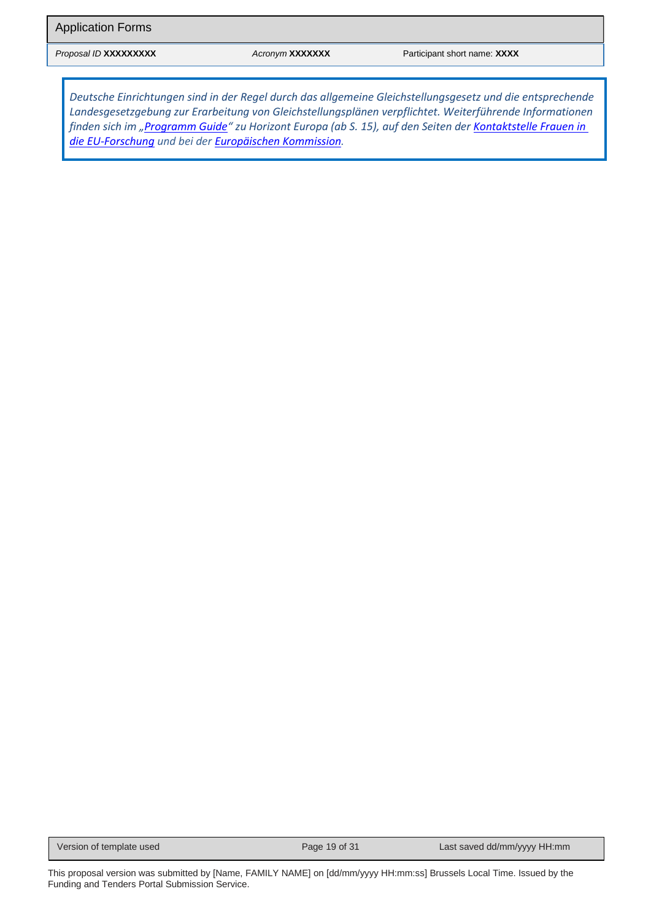*Deutsche Einrichtungen sind in der Regel durch das allgemeine Gleichstellungsgesetz und die entsprechende Landesgesetzgebung zur Erarbeitung von Gleichstellungsplänen verpflichtet. Weiterführende Informationen finden sich im "[Programm Guide](https://ec.europa.eu/info/funding-tenders/opportunities/docs/2021-2027/horizon/guidance/programme-guide_horizon_en.pdf)" zu Horizont Europa (ab S. 15), auf den Seiten der [Kontaktstelle Frauen in](https://www.eubuero.de/fif-gender.htm#Teilnahmevoraussetzungen)  [die EU-Fo](https://www.eubuero.de/fif-gender.htm#Teilnahmevoraussetzungen)rschung und bei der [Europäischen Kommission.](https://ec.europa.eu/info/research-and-innovation/strategy/strategy-2020-2024/democracy-and-rights/gender-equality-research-and-innovation_en#gender-equality-plans-as-an-eligibility-criterion-in-horizon-europe)*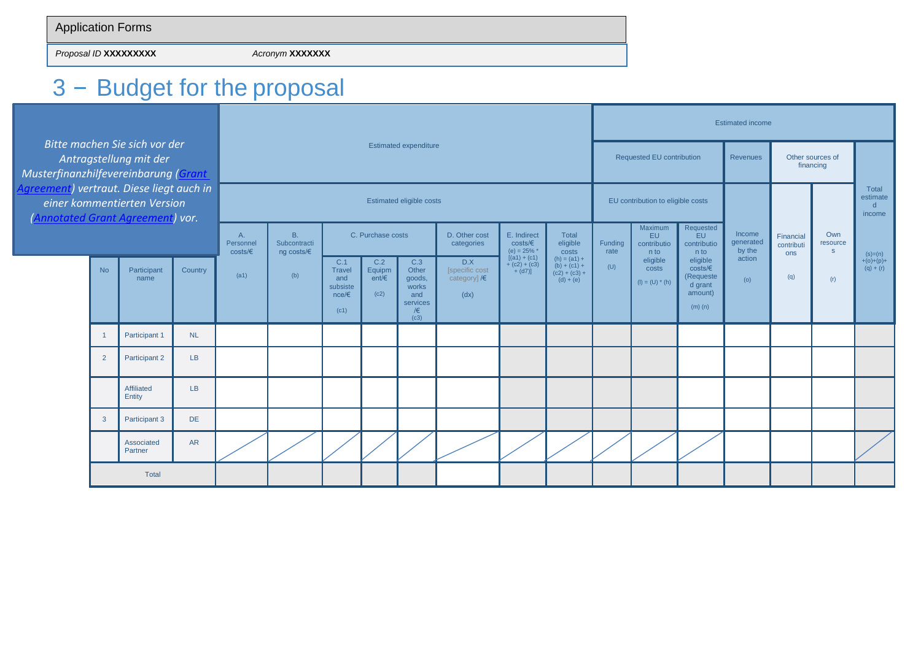*Proposal ID* **XXXXXXXXX** *Acronym* **XXXXXXX**

# 3 – Budget for the proposal

|                                                                                                                                                                                                                |                                                     |                       |                                                         |                                |                                                                                   |                                                 | <b>Estimated income</b>      |                                                                    |                             |                                                             |                                   |                   |                                       |                                                                                |                               |                                                    |                      |                        |
|----------------------------------------------------------------------------------------------------------------------------------------------------------------------------------------------------------------|-----------------------------------------------------|-----------------------|---------------------------------------------------------|--------------------------------|-----------------------------------------------------------------------------------|-------------------------------------------------|------------------------------|--------------------------------------------------------------------|-----------------------------|-------------------------------------------------------------|-----------------------------------|-------------------|---------------------------------------|--------------------------------------------------------------------------------|-------------------------------|----------------------------------------------------|----------------------|------------------------|
| Bitte machen Sie sich vor der<br>Antragstellung mit der<br>Musterfinanzhilfevereinbarung (Grant<br>Agreement) vertraut. Diese liegt auch in<br>einer kommentierten Version<br>(Annotated Grant Agreement) vor. |                                                     |                       |                                                         |                                |                                                                                   |                                                 | <b>Estimated expenditure</b> |                                                                    |                             |                                                             | <b>Requested EU contribution</b>  |                   |                                       | Revenues                                                                       | Other sources of<br>financing |                                                    |                      |                        |
|                                                                                                                                                                                                                |                                                     |                       |                                                         | Estimated eligible costs       |                                                                                   |                                                 |                              |                                                                    |                             | EU contribution to eligible costs                           |                                   |                   |                                       |                                                                                |                               | <b>Total</b><br>estimate<br>$\mathsf{d}$<br>income |                      |                        |
|                                                                                                                                                                                                                |                                                     |                       |                                                         | A<br>Personnel<br>costs/E      | <b>B.</b><br>Subcontracti<br>ng costs/ $\epsilon$                                 |                                                 | C. Purchase costs            |                                                                    | D. Other cost<br>categories | E. Indirect<br>costs/E<br>(e) = $25\%$ *<br>$[(a1) + (c1)]$ | <b>Total</b><br>eligible<br>costs | Funding<br>rate   | Maximum<br>EU.<br>contributio<br>n to | Requested<br>EU.<br>contributio<br>n to                                        | Income<br>generated<br>by the | Financial<br>contributi<br>ons                     | Own<br>resource<br>S | $(s)=(n)$              |
|                                                                                                                                                                                                                | <b>No</b><br>Participant<br>Country<br>(a1)<br>name | (b)                   | C.1<br>Travel<br>and<br>subsiste<br>$nce / \in$<br>(c1) | C.2<br>Equipm<br>ent/E<br>(c2) | C.3<br>Other<br>goods,<br>works<br>and<br>services<br>$\overline{\prime}$<br>(c3) | D.X<br>[specific cost<br>category] $/E$<br>(dx) | $+(c2)+(c3)$<br>$+(d7)]$     | $(h) = (a1) +$<br>$(b) + (c1) +$<br>$(c2) + (c3) +$<br>$(d) + (e)$ | (U)                         |                                                             | costs                             | $(I) = (U) * (h)$ | eligible                              | eligible<br>$costs/\epsilon$<br>(Requeste<br>d grant<br>amount)<br>$(m)$ $(n)$ | action<br>(o)                 | (q)                                                | (r)                  | +(o)+(p)+<br>(q) + (r) |
|                                                                                                                                                                                                                | $\overline{1}$                                      | Participant 1         | NL.                                                     |                                |                                                                                   |                                                 |                              |                                                                    |                             |                                                             |                                   |                   |                                       |                                                                                |                               |                                                    |                      |                        |
|                                                                                                                                                                                                                | $\overline{2}$                                      | Participant 2         | LB                                                      |                                |                                                                                   |                                                 |                              |                                                                    |                             |                                                             |                                   |                   |                                       |                                                                                |                               |                                                    |                      |                        |
|                                                                                                                                                                                                                |                                                     | Affiliated<br>Entity  | <b>LB</b>                                               |                                |                                                                                   |                                                 |                              |                                                                    |                             |                                                             |                                   |                   |                                       |                                                                                |                               |                                                    |                      |                        |
|                                                                                                                                                                                                                | $\mathbf{3}$                                        | Participant 3         | <b>DE</b>                                               |                                |                                                                                   |                                                 |                              |                                                                    |                             |                                                             |                                   |                   |                                       |                                                                                |                               |                                                    |                      |                        |
|                                                                                                                                                                                                                |                                                     | Associated<br>Partner | AR                                                      |                                |                                                                                   |                                                 |                              |                                                                    |                             |                                                             |                                   |                   |                                       |                                                                                |                               |                                                    |                      |                        |
|                                                                                                                                                                                                                |                                                     | Total                 |                                                         |                                |                                                                                   |                                                 |                              |                                                                    |                             |                                                             |                                   |                   |                                       |                                                                                |                               |                                                    |                      |                        |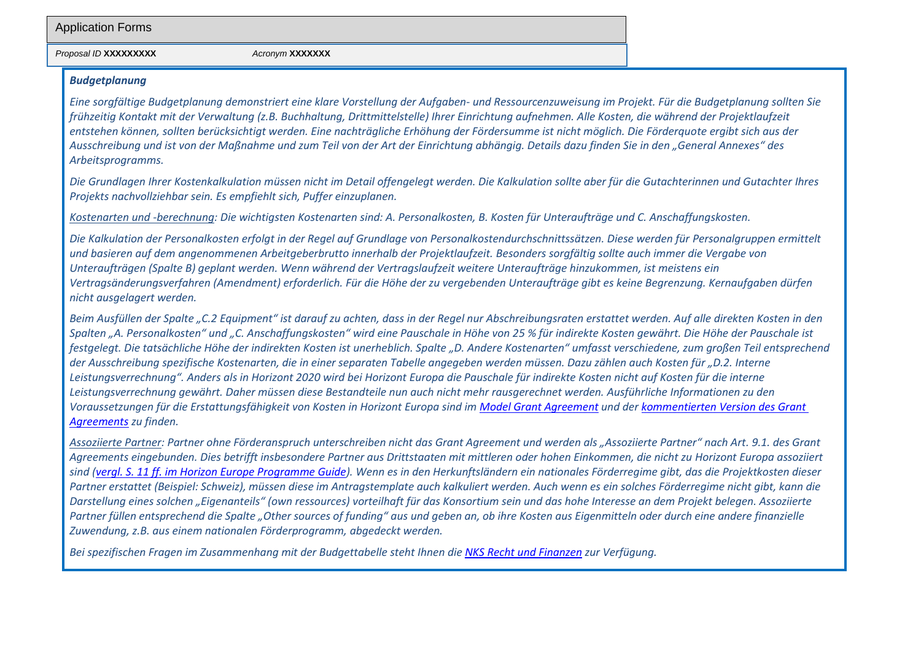#### *Proposal ID* **XXXXXXXXX** *Acronym* **XXXXXXX**

#### *Budgetplanung*

*Eine sorgfältige Budgetplanung demonstriert eine klare Vorstellung der Aufgaben- und Ressourcenzuweisung im Projekt. Für die Budgetplanung sollten Sie frühzeitig Kontakt mit der Verwaltung (z.B. Buchhaltung, Drittmittelstelle) Ihrer Einrichtung aufnehmen. Alle Kosten, die während der Projektlaufzeit entstehen können, sollten berücksichtigt werden. Eine nachträgliche Erhöhung der Fördersumme ist nicht möglich. Die Förderquote ergibt sich aus der Ausschreibung und ist von der Maßnahme und zum Teil von der Art der Einrichtung abhängig. Details dazu finden Sie in den "General Annexes" des Arbeitsprogramms.*

*Die Grundlagen Ihrer Kostenkalkulation müssen nicht im Detail offengelegt werden. Die Kalkulation sollte aber für die Gutachterinnen und Gutachter Ihres Projekts nachvollziehbar sein. Es empfiehlt sich, Puffer einzuplanen.*

*Kostenarten und -berechnung: Die wichtigsten Kostenarten sind: A. Personalkosten, B. Kosten für Unteraufträge und C. Anschaffungskosten.*

*Die Kalkulation der Personalkosten erfolgt in der Regel auf Grundlage von Personalkostendurchschnittssätzen. Diese werden für Personalgruppen ermittelt und basieren auf dem angenommenen Arbeitgeberbrutto innerhalb der Projektlaufzeit. Besonders sorgfältig sollte auch immer die Vergabe von Unteraufträgen (Spalte B) geplant werden. Wenn während der Vertragslaufzeit weitere Unteraufträge hinzukommen, ist meistens ein Vertragsänderungsverfahren (Amendment) erforderlich. Für die Höhe der zu vergebenden Unteraufträge gibt es keine Begrenzung. Kernaufgaben dürfen nicht ausgelagert werden.*

*Beim Ausfüllen der Spalte "C.2 Equipment" ist darauf zu achten, dass in der Regel nur Abschreibungsraten erstattet werden. Auf alle direkten Kosten in den Spalten "A. Personalkosten" und "C. Anschaffungskosten" wird eine Pauschale in Höhe von 25 % für indirekte Kosten gewährt. Die Höhe der Pauschale ist festgelegt. Die tatsächliche Höhe der indirekten Kosten ist unerheblich. Spalte "D. Andere Kostenarten" umfasst verschiedene, zum großen Teil entsprechend der Ausschreibung spezifische Kostenarten, die in einer separaten Tabelle angegeben werden müssen. Dazu zählen auch Kosten für "D.2. Interne*  Leistungsverrechnung". Anders als in Horizont 2020 wird bei Horizont Europa die Pauschale für indirekte Kosten nicht auf Kosten für die interne *Leistungsverrechnung gewährt. Daher müssen diese Bestandteile nun auch nicht mehr rausgerechnet werden. Ausführliche Informationen zu den Voraussetzungen für die Erstattungsfähigkeit von Kosten in Horizont Europa sind im [Model Grant Agreement](https://ec.europa.eu/info/funding-tenders/opportunities/docs/2021-2027/common/agr-contr/general-mga_horizon-euratom_en.pdf) und der [kommentierten Version des Grant](https://ec.europa.eu/info/funding-tenders/opportunities/docs/2021-2027/common/guidance/aga_en.pdf)  [Agreements](https://ec.europa.eu/info/funding-tenders/opportunities/docs/2021-2027/common/guidance/aga_en.pdf) zu finden.*

*Assoziierte Partner: Partner ohne Förderanspruch unterschreiben nicht das Grant Agreement und werden als "Assoziierte Partner" nach Art. 9.1. des Grant Agreements eingebunden. Dies betrifft insbesondere Partner aus Drittstaaten mit mittleren oder hohen Einkommen, die nicht zu Horizont Europa assoziiert sind [\(vergl. S. 11 ff. im Horizon Europe Programme Guide\)](https://ec.europa.eu/info/funding-tenders/opportunities/docs/2021-2027/horizon/guidance/programme-guide_horizon_en.pdf). Wenn es in den Herkunftsländern ein nationales Förderregime gibt, das die Projektkosten dieser Partner erstattet (Beispiel: Schweiz), müssen diese im Antragstemplate auch kalkuliert werden. Auch wenn es ein solches Förderregime nicht gibt, kann die Darstellung eines solchen "Eigenanteils" (own ressources) vorteilhaft für das Konsortium sein und das hohe Interesse an dem Projekt belegen. Assoziierte*  Partner füllen entsprechend die Spalte "Other sources of funding" aus und geben an, ob ihre Kosten aus Eigenmitteln oder durch eine andere finanzielle *Zuwendung, z.B. aus einem nationalen Förderprogramm, abgedeckt werden.*

*Bei spezifischen Fragen im Zusammenhang mit der Budgettabelle steht Ihnen die [NKS Recht und Finanzen](http://www.nks-ruf.de/) zur Verfügung.*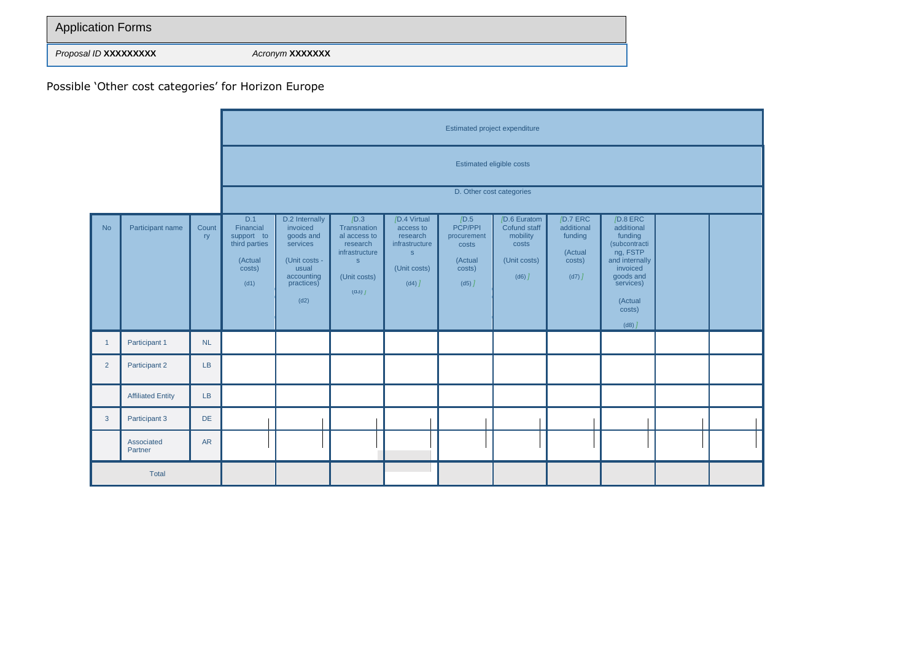| <b>Application Forms</b>     |                        |
|------------------------------|------------------------|
| Proposal ID <b>XXXXXXXXX</b> | Acronym <b>XXXXXXX</b> |

Possible 'Other cost categories' for Horizon Europe

|                |                          |             |                                                                              | Estimated project expenditure                                                                                     |                                                                                                                    |                                                                                                                  |                                                                               |                                                                                            |                                                                         |                                                                                                                                                              |  |  |
|----------------|--------------------------|-------------|------------------------------------------------------------------------------|-------------------------------------------------------------------------------------------------------------------|--------------------------------------------------------------------------------------------------------------------|------------------------------------------------------------------------------------------------------------------|-------------------------------------------------------------------------------|--------------------------------------------------------------------------------------------|-------------------------------------------------------------------------|--------------------------------------------------------------------------------------------------------------------------------------------------------------|--|--|
|                |                          |             |                                                                              | Estimated eligible costs                                                                                          |                                                                                                                    |                                                                                                                  |                                                                               |                                                                                            |                                                                         |                                                                                                                                                              |  |  |
|                |                          |             |                                                                              | D. Other cost categories                                                                                          |                                                                                                                    |                                                                                                                  |                                                                               |                                                                                            |                                                                         |                                                                                                                                                              |  |  |
| <b>No</b>      | Participant name         | Count<br>ry | D.1<br>Financial<br>support to<br>third parties<br>(Actual<br>costs)<br>(d1) | D.2 Internally<br>invoiced<br>goods and<br>services<br>(Unit costs -<br>usual<br>accounting<br>practices)<br>(d2) | /D.3<br>Transnation<br>al access to<br>research<br>infrastructure<br>$\mathsf{s}$<br>(Unit costs)<br>$(d3)$ $\int$ | /D.4 Virtual<br>access to<br>research<br>infrastructure<br>$\mathsf{s}$<br>(Unit costs)<br>$(d4)$ $\overline{J}$ | /D.5<br>PCP/PPI<br>procurement<br>costs<br>(Actual<br>costs)<br>$(d5)$ $\int$ | /D.6 Euratom<br>Cofund staff<br>mobility<br>costs<br>(Unit costs)<br>$(d6)$ $\overline{J}$ | /D.7 ERC<br>additional<br>funding<br>(Actual<br>costs)<br>$(d7)$ $\int$ | /D.8 ERC<br>additional<br>funding<br>(subcontracti<br>ng, FSTP<br>and internally<br>invoiced<br>goods and<br>services)<br>(Actual<br>costs)<br>$(d8)$ $\int$ |  |  |
| $\overline{1}$ | Participant 1            | NL          |                                                                              |                                                                                                                   |                                                                                                                    |                                                                                                                  |                                                                               |                                                                                            |                                                                         |                                                                                                                                                              |  |  |
| 2              | Participant 2            | LB          |                                                                              |                                                                                                                   |                                                                                                                    |                                                                                                                  |                                                                               |                                                                                            |                                                                         |                                                                                                                                                              |  |  |
|                | <b>Affiliated Entity</b> | LB          |                                                                              |                                                                                                                   |                                                                                                                    |                                                                                                                  |                                                                               |                                                                                            |                                                                         |                                                                                                                                                              |  |  |
| $\mathbf{3}$   | Participant 3            | DE          |                                                                              |                                                                                                                   |                                                                                                                    |                                                                                                                  |                                                                               |                                                                                            |                                                                         |                                                                                                                                                              |  |  |
|                | Associated<br>Partner    | <b>AR</b>   |                                                                              |                                                                                                                   |                                                                                                                    |                                                                                                                  |                                                                               |                                                                                            |                                                                         |                                                                                                                                                              |  |  |
|                | Total                    |             |                                                                              |                                                                                                                   |                                                                                                                    |                                                                                                                  |                                                                               |                                                                                            |                                                                         |                                                                                                                                                              |  |  |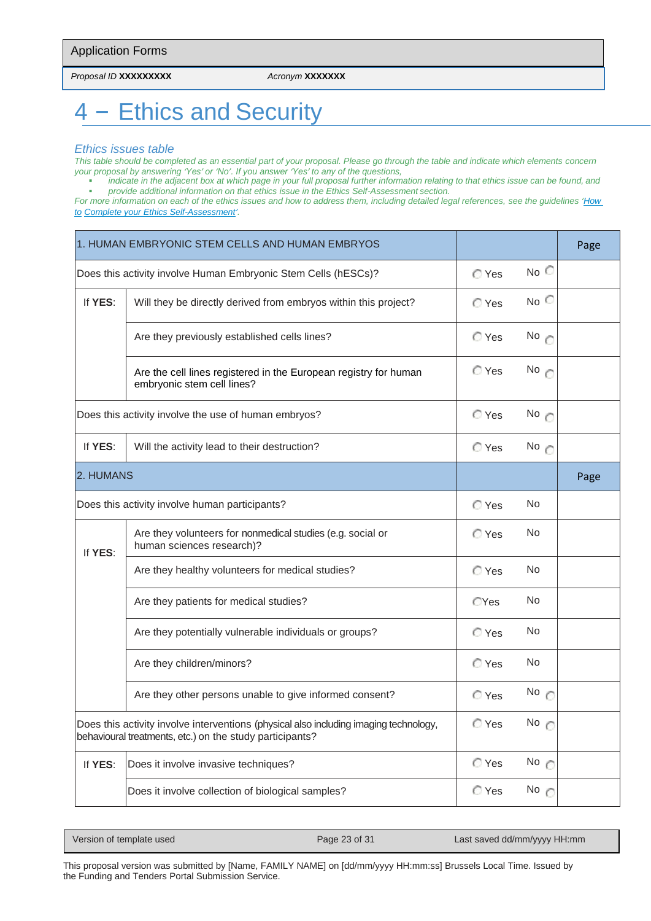*Proposal ID* **XXXXXXXXX** *Acronym* **XXXXXXX**

# 4 – Ethics and Security

#### *Ethics issues table*

*This table should be completed as an essential part of your proposal. Please go through the table and indicate which elements concern your proposal by answering 'Yes' or 'No'. If you answer 'Yes' to any of the questions,*

▪ *indicate in the adjacent box at which page in your full proposal further information relating to that ethics issue can be found, and* ▪ *provide additional information on that ethics issue in the Ethics Self-Assessment section.*

*For more information on each of the ethics issues and how to address them, including detailed legal references, see the guidelines '[How](https://ec.europa.eu/info/funding-tenders/opportunities/docs/2021-2027/common/guidance/how-to-complete-your-ethics-self-assessment_en.pdf)  [to](https://ec.europa.eu/info/funding-tenders/opportunities/docs/2021-2027/common/guidance/how-to-complete-your-ethics-self-assessment_en.pdf) [Complete your Ethics Self-Assessment](https://ec.europa.eu/info/funding-tenders/opportunities/docs/2021-2027/common/guidance/how-to-complete-your-ethics-self-assessment_en.pdf)'.*

|           | 1. HUMAN EMBRYONIC STEM CELLS AND HUMAN EMBRYOS                                                                                                   |                |               | Page |
|-----------|---------------------------------------------------------------------------------------------------------------------------------------------------|----------------|---------------|------|
|           | Does this activity involve Human Embryonic Stem Cells (hESCs)?                                                                                    | C Yes          | No            |      |
| If YES:   | Will they be directly derived from embryos within this project?                                                                                   | $\bigcirc$ Yes | $No^\frown$   |      |
|           | Are they previously established cells lines?                                                                                                      | ◯ Yes          | No $\circ$    |      |
|           | Are the cell lines registered in the European registry for human<br>embryonic stem cell lines?                                                    | C Yes          | No $\epsilon$ |      |
|           | Does this activity involve the use of human embryos?                                                                                              | C Yes          | No $\epsilon$ |      |
| If YES:   | Will the activity lead to their destruction?                                                                                                      | C Yes          | No            |      |
| 2. HUMANS |                                                                                                                                                   |                |               | Page |
|           | Does this activity involve human participants?                                                                                                    | C Yes          | No            |      |
| If YES:   | Are they volunteers for nonmedical studies (e.g. social or<br>human sciences research)?                                                           | C Yes          | <b>No</b>     |      |
|           | Are they healthy volunteers for medical studies?                                                                                                  | C Yes          | <b>No</b>     |      |
|           | Are they patients for medical studies?                                                                                                            | <b>CYes</b>    | <b>No</b>     |      |
|           | Are they potentially vulnerable individuals or groups?                                                                                            | C Yes          | No            |      |
|           | Are they children/minors?                                                                                                                         | C Yes          | No            |      |
|           | Are they other persons unable to give informed consent?                                                                                           | C Yes          | No $\cap$     |      |
|           | Does this activity involve interventions (physical also including imaging technology,<br>behavioural treatments, etc.) on the study participants? | C Yes          | No $\circ$    |      |
| If YES:   | Does it involve invasive techniques?                                                                                                              | C Yes          | No $\epsilon$ |      |
|           | Does it involve collection of biological samples?                                                                                                 | C Yes          | No $\epsilon$ |      |

| Version of template used | Page 23 of 31 | Last saved dd/mm/yyyy HH:mm |
|--------------------------|---------------|-----------------------------|
|                          |               |                             |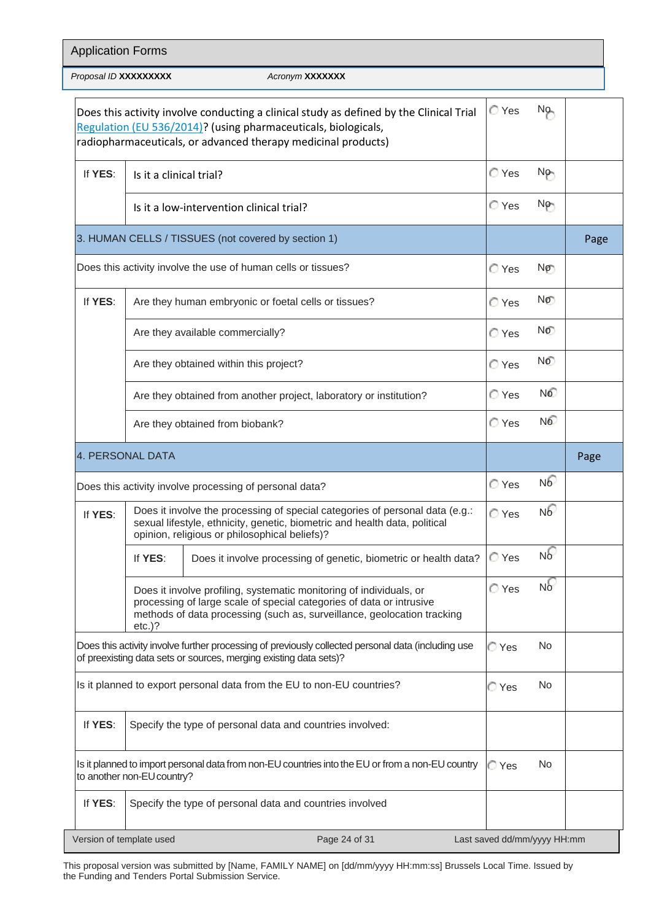|         | Proposal ID XXXXXXXXX                                                                                                                                                                                       | Acronym XXXXXXX                                                                                                                                                                                                            |       |                 |      |
|---------|-------------------------------------------------------------------------------------------------------------------------------------------------------------------------------------------------------------|----------------------------------------------------------------------------------------------------------------------------------------------------------------------------------------------------------------------------|-------|-----------------|------|
|         |                                                                                                                                                                                                             | Does this activity involve conducting a clinical study as defined by the Clinical Trial<br>Regulation (EU 536/2014)? (using pharmaceuticals, biologicals,<br>radiopharmaceuticals, or advanced therapy medicinal products) | C Yes | No              |      |
| If YES: | Is it a clinical trial?                                                                                                                                                                                     |                                                                                                                                                                                                                            | ◯ Yes | No <sub>n</sub> |      |
|         |                                                                                                                                                                                                             | Is it a low-intervention clinical trial?                                                                                                                                                                                   | C Yes | No-             |      |
|         |                                                                                                                                                                                                             | 3. HUMAN CELLS / TISSUES (not covered by section 1)                                                                                                                                                                        |       |                 | Page |
|         |                                                                                                                                                                                                             | Does this activity involve the use of human cells or tissues?                                                                                                                                                              | C Yes | No              |      |
| If YES: |                                                                                                                                                                                                             | Are they human embryonic or foetal cells or tissues?                                                                                                                                                                       | C Yes | No              |      |
|         |                                                                                                                                                                                                             | Are they available commercially?                                                                                                                                                                                           | ◯ Yes | NO.             |      |
|         | Are they obtained within this project?                                                                                                                                                                      | C Yes                                                                                                                                                                                                                      | No.   |                 |      |
|         |                                                                                                                                                                                                             | Are they obtained from another project, laboratory or institution?                                                                                                                                                         | C Yes | N <sup>o</sup>  |      |
|         |                                                                                                                                                                                                             | Are they obtained from biobank?                                                                                                                                                                                            | C Yes | N <sup>o</sup>  |      |
|         | 4. PERSONAL DATA                                                                                                                                                                                            |                                                                                                                                                                                                                            |       |                 | Page |
|         |                                                                                                                                                                                                             | Does this activity involve processing of personal data?                                                                                                                                                                    | C Yes | N6              |      |
| If YES: | Does it involve the processing of special categories of personal data (e.g.:<br>sexual lifestyle, ethnicity, genetic, biometric and health data, political<br>opinion, religious or philosophical beliefs)? | C Yes                                                                                                                                                                                                                      | N6    |                 |      |
|         | If YES:                                                                                                                                                                                                     | Does it involve processing of genetic, biometric or health data?                                                                                                                                                           | C Yes | $N_0$           |      |
|         | $etc.$ )?                                                                                                                                                                                                   | Does it involve profiling, systematic monitoring of individuals, or<br>processing of large scale of special categories of data or intrusive<br>methods of data processing (such as, surveillance, geolocation tracking     | C Yes | N <sub>o</sub>  |      |
|         |                                                                                                                                                                                                             | Does this activity involve further processing of previously collected personal data (including use<br>of preexisting data sets or sources, merging existing data sets)?                                                    | ⊘ Yes | N <sub>o</sub>  |      |
|         |                                                                                                                                                                                                             | Is it planned to export personal data from the EU to non-EU countries?                                                                                                                                                     | ⊘ Yes | No.             |      |
| If YES: |                                                                                                                                                                                                             | Specify the type of personal data and countries involved:                                                                                                                                                                  |       |                 |      |
|         |                                                                                                                                                                                                             |                                                                                                                                                                                                                            |       |                 |      |
|         | to another non-EU country?                                                                                                                                                                                  | Is it planned to import personal data from non-EU countries into the EU or from a non-EU country                                                                                                                           | ⊘ Yes | N <sub>o</sub>  |      |

This proposal version was submitted by [Name, FAMILY NAME] on [dd/mm/yyyy HH:mm:ss] Brussels Local Time. Issued by the Funding and Tenders Portal Submission Service.

Version of template used Page 24 of 31 Last saved dd/mm/yyyy HH:mm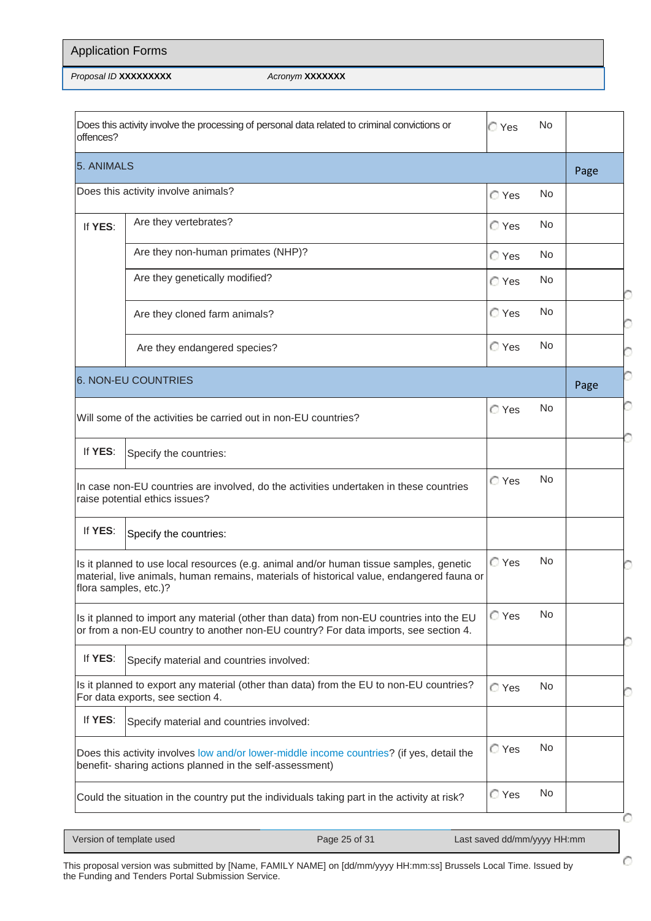| <b>Application Forms</b> |                        |
|--------------------------|------------------------|
| Proposal ID XXXXXXXXX    | Acronym <b>XXXXXXX</b> |

| Does this activity involve the processing of personal data related to criminal convictions or<br>No.<br>C Yes<br>offences?                                                                                   |                                                                                                                                                                                  |       |           |      |  |
|--------------------------------------------------------------------------------------------------------------------------------------------------------------------------------------------------------------|----------------------------------------------------------------------------------------------------------------------------------------------------------------------------------|-------|-----------|------|--|
| 5. ANIMALS                                                                                                                                                                                                   |                                                                                                                                                                                  |       |           |      |  |
|                                                                                                                                                                                                              | Does this activity involve animals?                                                                                                                                              | C Yes | <b>No</b> |      |  |
| If YES:                                                                                                                                                                                                      | Are they vertebrates?                                                                                                                                                            | ◯ Yes | <b>No</b> |      |  |
|                                                                                                                                                                                                              | Are they non-human primates (NHP)?                                                                                                                                               | C Yes | <b>No</b> |      |  |
|                                                                                                                                                                                                              | Are they genetically modified?                                                                                                                                                   | ◯ Yes | No.       |      |  |
|                                                                                                                                                                                                              | Are they cloned farm animals?                                                                                                                                                    | ◯ Yes | No.       |      |  |
|                                                                                                                                                                                                              | Are they endangered species?                                                                                                                                                     | C Yes | No.       |      |  |
|                                                                                                                                                                                                              | <b>6. NON-EU COUNTRIES</b>                                                                                                                                                       |       |           | Page |  |
| No.<br>C Yes<br>Will some of the activities be carried out in non-EU countries?                                                                                                                              |                                                                                                                                                                                  |       |           |      |  |
| If YES:<br>Specify the countries:                                                                                                                                                                            |                                                                                                                                                                                  |       |           |      |  |
|                                                                                                                                                                                                              | In case non-EU countries are involved, do the activities undertaken in these countries<br>raise potential ethics issues?                                                         | ◯ Yes | <b>No</b> |      |  |
| If YES:                                                                                                                                                                                                      | Specify the countries:                                                                                                                                                           |       |           |      |  |
| Is it planned to use local resources (e.g. animal and/or human tissue samples, genetic<br>material, live animals, human remains, materials of historical value, endangered fauna or<br>flora samples, etc.)? |                                                                                                                                                                                  | ◯ Yes | No.       |      |  |
|                                                                                                                                                                                                              | Is it planned to import any material (other than data) from non-EU countries into the EU<br>or from a non-EU country to another non-EU country? For data imports, see section 4. | C Yes | No        |      |  |
| If YES:                                                                                                                                                                                                      | Specify material and countries involved:                                                                                                                                         |       |           |      |  |
| Is it planned to export any material (other than data) from the EU to non-EU countries?<br>No.<br>C Yes<br>For data exports, see section 4.                                                                  |                                                                                                                                                                                  |       |           |      |  |
| If YES:                                                                                                                                                                                                      | Specify material and countries involved:                                                                                                                                         |       |           |      |  |
| <b>No</b><br>C Yes<br>Does this activity involves low and/or lower-middle income countries? (if yes, detail the<br>benefit- sharing actions planned in the self-assessment)                                  |                                                                                                                                                                                  |       |           |      |  |
|                                                                                                                                                                                                              | Could the situation in the country put the individuals taking part in the activity at risk?                                                                                      | C Yes | No.       |      |  |

| Version of template used |  |
|--------------------------|--|
|--------------------------|--|

|<br>|-<br>|

Ō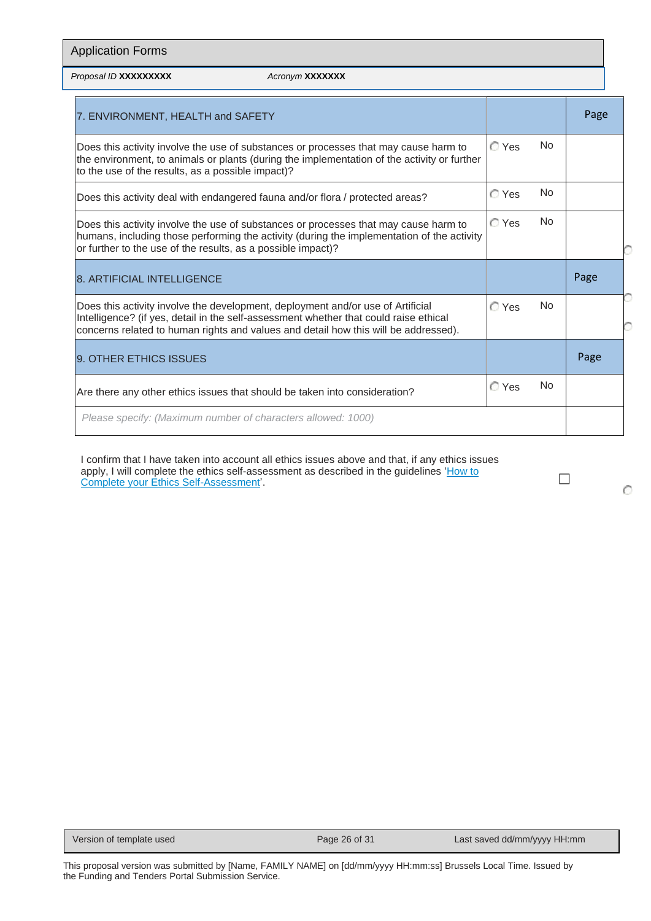| <b>Application Forms</b>                                                                                                                                                                                                                                        |                 |       |                |      |  |
|-----------------------------------------------------------------------------------------------------------------------------------------------------------------------------------------------------------------------------------------------------------------|-----------------|-------|----------------|------|--|
| Proposal ID XXXXXXXXX                                                                                                                                                                                                                                           | Acronym XXXXXXX |       |                |      |  |
| 7. ENVIRONMENT, HEALTH and SAFETY                                                                                                                                                                                                                               |                 |       |                | Page |  |
| Does this activity involve the use of substances or processes that may cause harm to<br>the environment, to animals or plants (during the implementation of the activity or further<br>to the use of the results, as a possible impact)?                        |                 | C Yes | No.            |      |  |
| Does this activity deal with endangered fauna and/or flora / protected areas?                                                                                                                                                                                   |                 | C Yes | <b>No</b>      |      |  |
| Does this activity involve the use of substances or processes that may cause harm to<br>humans, including those performing the activity (during the implementation of the activity<br>or further to the use of the results, as a possible impact)?              |                 | C Yes | N <sub>0</sub> |      |  |
| <b>8. ARTIFICIAL INTELLIGENCE</b>                                                                                                                                                                                                                               |                 |       |                | Page |  |
| Does this activity involve the development, deployment and/or use of Artificial<br>Intelligence? (if yes, detail in the self-assessment whether that could raise ethical<br>concerns related to human rights and values and detail how this will be addressed). |                 | C Yes | No.            |      |  |
| 9. OTHER ETHICS ISSUES                                                                                                                                                                                                                                          |                 |       |                | Page |  |
| Are there any other ethics issues that should be taken into consideration?                                                                                                                                                                                      |                 | C Yes | No.            |      |  |
| Please specify: (Maximum number of characters allowed: 1000)                                                                                                                                                                                                    |                 |       |                |      |  |

I confirm that I have taken into account all ethics issues above and that, if any ethics issues apply, I will complete the ethics self-assessment as described in the guidelines '<u>How to</u> ⊿arrow defining the complete your [Ethics Self-Assessment'.](https://ec.europa.eu/info/funding-tenders/opportunities/docs/2021-2027/common/guidance/how-to-complete-your-ethics-self-assessment_en.pdf)

Ō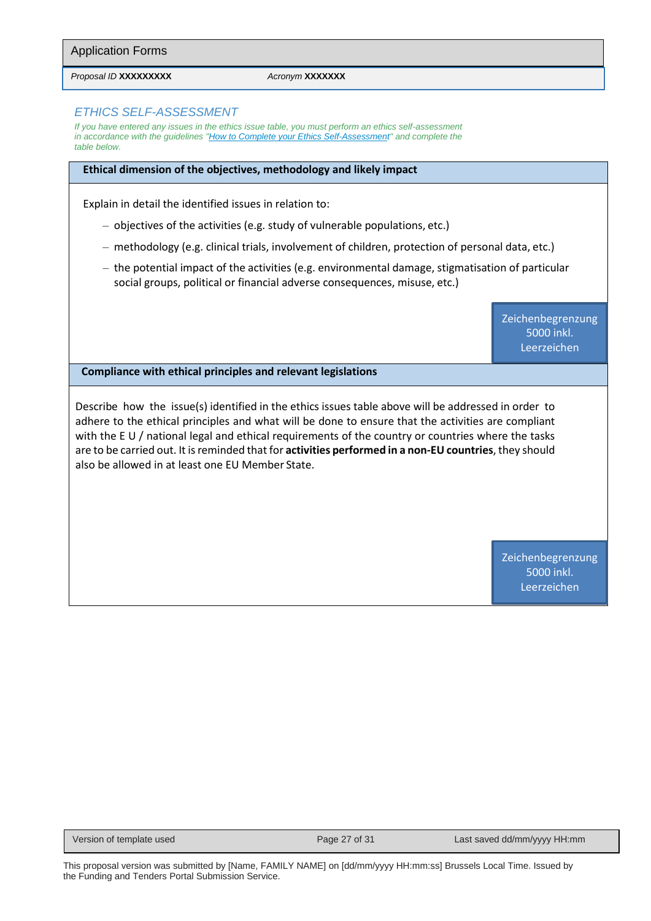Application Forms

*Proposal ID* **XXXXXXXXX** *Acronym* **XXXXXXX**

#### *ETHICS SELF-ASSESSMENT*

*If you have entered any issues in the ethics issue table, you must perform an ethics self-assessment in accordance with the guideline[s "How to Complete your Ethics Self-Assessment" a](https://ec.europa.eu/info/funding-tenders/opportunities/docs/2021-2027/common/guidance/how-to-complete-your-ethics-self-assessment_en.pdf)nd complete the table below.*

#### **Ethical dimension of the objectives, methodology and likely impact**

Explain in detail the identified issues in relation to:

- objectives of the activities (e.g. study of vulnerable populations, etc.)
- methodology (e.g. clinical trials, involvement of children, protection of personal data, etc.)
- the potential impact of the activities (e.g. environmental damage, stigmatisation of particular social groups, political or financial adverse consequences, misuse, etc.)

Zeichenbegrenzung 5000 inkl. Leerzeichen

**Compliance with ethical principles and relevant legislations**

Describe how the issue(s) identified in the ethics issues table above will be addressed in order to adhere to the ethical principles and what will be done to ensure that the activities are compliant with the E U / national legal and ethical requirements of the country or countries where the tasks are to be carried out. It is reminded that for **activities performed in a non-EU countries**, they should also be allowed in at least one EU Member State.

> Zeichenbegrenzung 5000 inkl. Leerzeichen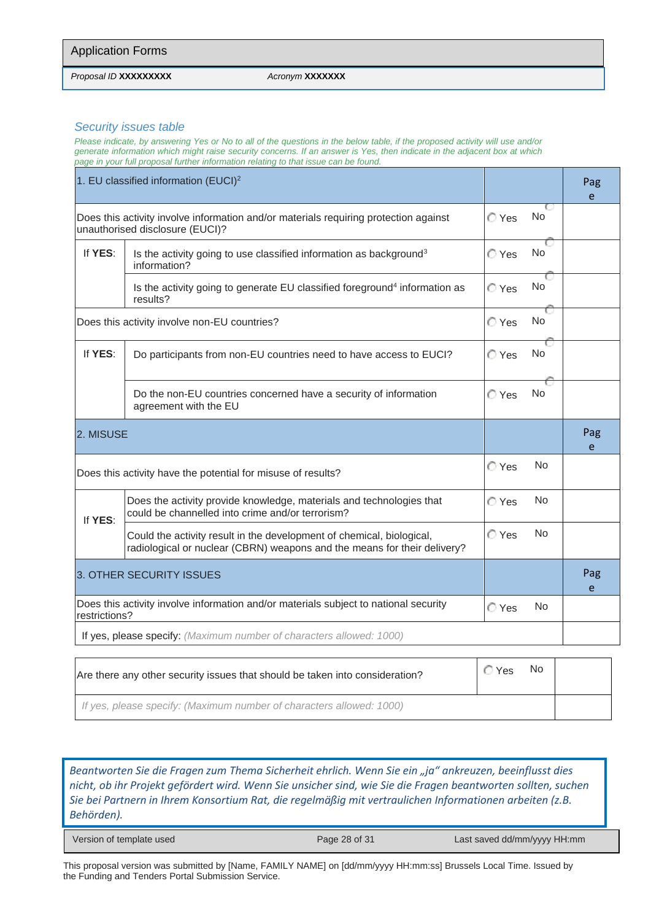*Proposal ID* **XXXXXXXXX** *Acronym* **XXXXXXX**

#### *Security issues table*

*Please indicate, by answering Yes or No to all of the questions in the below table, if the proposed activity will use and/or generate information which might raise security concerns. If an answer is Yes, then indicate in the adjacent box at which page in your full proposal further information relating to that issue can be found.*

|                                                                                                                      | 1. EU classified information $(EUCI)^2$                                                                                                           |       |           | Pag<br>e |
|----------------------------------------------------------------------------------------------------------------------|---------------------------------------------------------------------------------------------------------------------------------------------------|-------|-----------|----------|
|                                                                                                                      | Does this activity involve information and/or materials requiring protection against<br>unauthorised disclosure (EUCI)?                           | C Yes | No        |          |
| If YES:                                                                                                              | Is the activity going to use classified information as background <sup>3</sup><br>information?                                                    | C Yes | <b>No</b> |          |
|                                                                                                                      | Is the activity going to generate EU classified foreground <sup>4</sup> information as<br>results?                                                | C Yes | No        |          |
|                                                                                                                      | Does this activity involve non-EU countries?                                                                                                      | C Yes | <b>No</b> |          |
| If YES:                                                                                                              | Do participants from non-EU countries need to have access to EUCI?                                                                                | C Yes | No        |          |
|                                                                                                                      | Do the non-EU countries concerned have a security of information<br>agreement with the EU                                                         | C Yes | No        |          |
| 2. MISUSE                                                                                                            |                                                                                                                                                   |       |           | Pag<br>e |
|                                                                                                                      | Does this activity have the potential for misuse of results?                                                                                      | C Yes | No        |          |
| If YES:                                                                                                              | Does the activity provide knowledge, materials and technologies that<br>could be channelled into crime and/or terrorism?                          | C Yes | No.       |          |
|                                                                                                                      | Could the activity result in the development of chemical, biological,<br>radiological or nuclear (CBRN) weapons and the means for their delivery? | C Yes | <b>No</b> |          |
| 3. OTHER SECURITY ISSUES                                                                                             |                                                                                                                                                   |       | Pag<br>e  |          |
| Does this activity involve information and/or materials subject to national security<br>No<br>C Yes<br>restrictions? |                                                                                                                                                   |       |           |          |
|                                                                                                                      | If yes, please specify: (Maximum number of characters allowed: 1000)                                                                              |       |           |          |
|                                                                                                                      |                                                                                                                                                   |       |           |          |

| Are there any other security issues that should be taken into consideration? | ◯ Yes | No. |  |
|------------------------------------------------------------------------------|-------|-----|--|
| If yes, please specify: (Maximum number of characters allowed: 1000)         |       |     |  |

*Beantworten Sie die Fragen zum Thema Sicherheit ehrlich. Wenn Sie ein "ja" ankreuzen, beeinflusst dies nicht, ob ihr Projekt gefördert wird. Wenn Sie unsicher sind, wie Sie die Fragen beantworten sollten, suchen Sie bei Partnern in Ihrem Konsortium Rat, die regelmäßig mit vertraulichen Informationen arbeiten (z.B. Behörden).*

| Version of template used |
|--------------------------|
|--------------------------|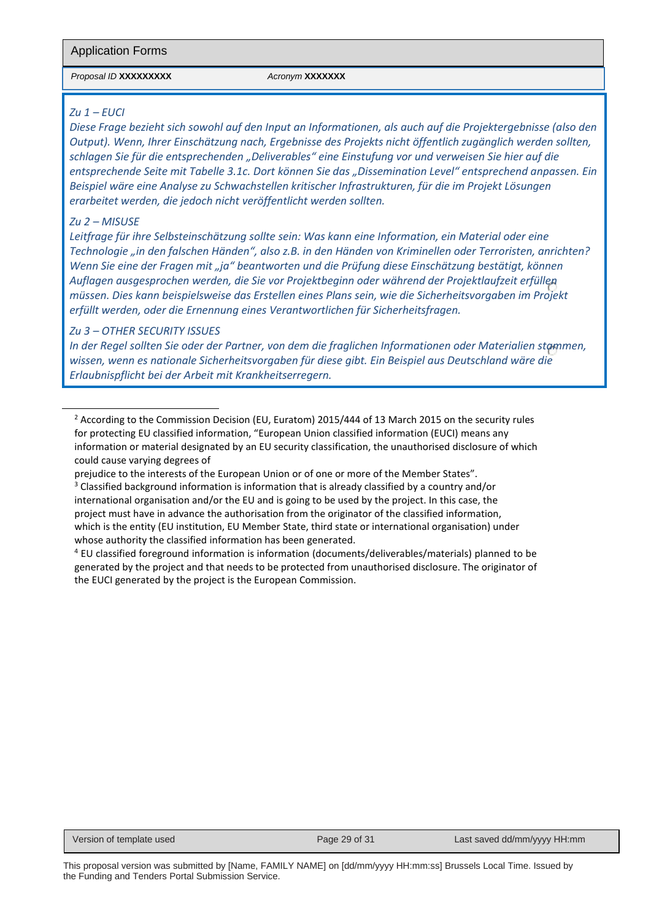#### Application Forms

*Proposal ID* **XXXXXXXXX** *Acronym* **XXXXXXX**

#### *Zu 1 – EUCI*

*Diese Frage bezieht sich sowohl auf den Input an Informationen, als auch auf die Projektergebnisse (also den Output). Wenn, Ihrer Einschätzung nach, Ergebnisse des Projekts nicht öffentlich zugänglich werden sollten, schlagen Sie für die entsprechenden "Deliverables" eine Einstufung vor und verweisen Sie hier auf die entsprechende Seite mit Tabelle 3.1c. Dort können Sie das "Dissemination Level" entsprechend anpassen. Ein Beispiel wäre eine Analyse zu Schwachstellen kritischer Infrastrukturen, für die im Projekt Lösungen erarbeitet werden, die jedoch nicht veröffentlicht werden sollten.*

#### *Zu 2 – MISUSE*

*Leitfrage für ihre Selbsteinschätzung sollte sein: Was kann eine Information, ein Material oder eine Technologie "in den falschen Händen", also z.B. in den Händen von Kriminellen oder Terroristen, anrichten? Wenn Sie eine der Fragen mit "ja" beantworten und die Prüfung diese Einschätzung bestätigt, können Auflagen ausgesprochen werden, die Sie vor Projektbeginn oder während der Projektlaufzeit erfüllen müssen. Dies kann beispielsweise das Erstellen eines Plans sein, wie die Sicherheitsvorgaben im Projekt erfüllt werden, oder die Ernennung eines Verantwortlichen für Sicherheitsfragen.*

#### *Zu 3 – OTHER SECURITY ISSUES*

*In der Regel sollten Sie oder der Partner, von dem die fraglichen Informationen oder Materialien stammen, wissen, wenn es nationale Sicherheitsvorgaben für diese gibt. Ein Beispiel aus Deutschland wäre die Erlaubnispflicht bei der Arbeit mit Krankheitserregern.*

<sup>&</sup>lt;sup>2</sup> According to the Commission Decision (EU, Euratom) 2015/444 of 13 March 2015 on the security rules for protecting EU classified information, "European Union classified information (EUCI) means any information or material designated by an EU security classification, the unauthorised disclosure of which could cause varying degrees of

prejudice to the interests of the European Union or of one or more of the Member States".

<sup>&</sup>lt;sup>3</sup> Classified background information is information that is already classified by a country and/or international organisation and/or the EU and is going to be used by the project. In this case, the project must have in advance the authorisation from the originator of the classified information, which is the entity (EU institution, EU Member State, third state or international organisation) under whose authority the classified information has been generated.

<sup>4</sup> EU classified foreground information is information (documents/deliverables/materials) planned to be generated by the project and that needs to be protected from unauthorised disclosure. The originator of the EUCI generated by the project is the European Commission.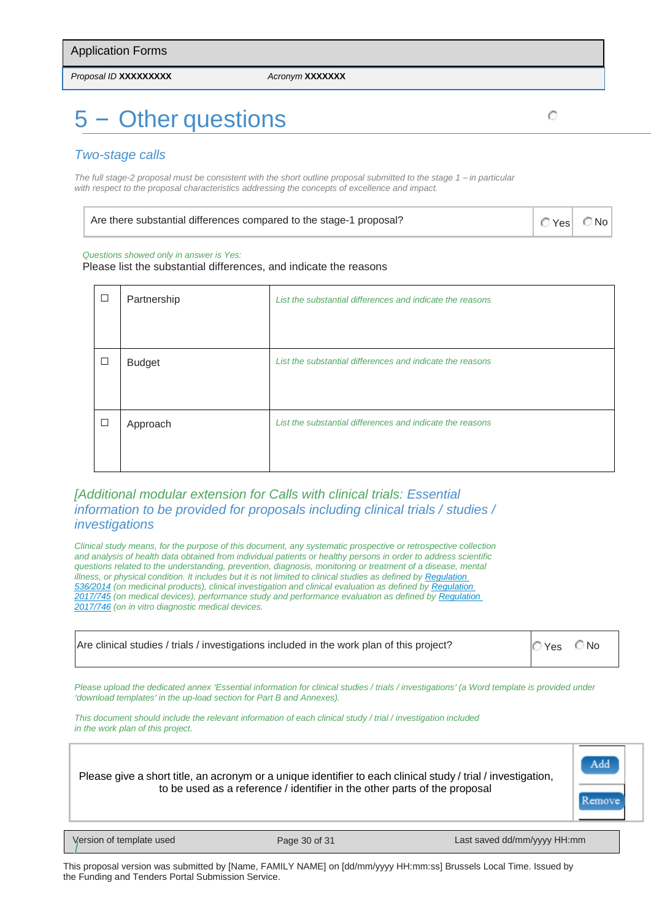*Proposal ID* **XXXXXXXXX** *Acronym* **XXXXXXX**

# 5 – Other questions

#### *Two-stage calls*

The full stage-2 proposal must be consistent with the short outline proposal submitted to the stage 1 – in particular *with respect to the proposal characteristics addressing the concepts of excellence and impact.*

| Are there substantial differences compared to the stage-1 proposal? | $\circ$ Yes $\circ$ No |
|---------------------------------------------------------------------|------------------------|
|---------------------------------------------------------------------|------------------------|

#### *Questions showed only in answer is Yes:*

Please list the substantial differences, and indicate the reasons

| $\Box$ | Partnership   | List the substantial differences and indicate the reasons |  |  |  |  |
|--------|---------------|-----------------------------------------------------------|--|--|--|--|
|        |               |                                                           |  |  |  |  |
|        |               |                                                           |  |  |  |  |
| $\Box$ | <b>Budget</b> | List the substantial differences and indicate the reasons |  |  |  |  |
|        |               |                                                           |  |  |  |  |
|        |               |                                                           |  |  |  |  |
| $\Box$ | Approach      | List the substantial differences and indicate the reasons |  |  |  |  |
|        |               |                                                           |  |  |  |  |
|        |               |                                                           |  |  |  |  |

#### *[Additional modular extension for Calls with clinical trials: Essential information to be provided for proposals including clinical trials / studies / investigations*

*Clinical study means, for the purpose of this document, any systematic prospective or retrospective collection and analysis of health data obtained from individual patients or healthy persons in order to address scientific questions related to the understanding, prevention, diagnosis, monitoring or treatment of a disease, mental illness, or physical condition. It includes but it is not limited to clinical studies as defined by [Regulation](https://eur-lex.europa.eu/legal-content/EN/TXT/?uri=CELEX%3A02014R0536-20140527)  [536/2014](https://eur-lex.europa.eu/legal-content/EN/TXT/?uri=CELEX%3A02014R0536-20140527) (on medicinal products), clinical investigation and clinical evaluation as defined b[y Regulation](https://eur-lex.europa.eu/legal-content/EN/TXT/?uri=CELEX%3A02017R0745-20200424)  [2017/745](https://eur-lex.europa.eu/legal-content/EN/TXT/?uri=CELEX%3A02017R0745-20200424) (on medical devices), performance study and performance evaluation as defined by [Regulation](https://eur-lex.europa.eu/legal-content/EN/TXT/?uri=CELEX%3A02017R0746-20170505)  [2017/746](https://eur-lex.europa.eu/legal-content/EN/TXT/?uri=CELEX%3A02017R0746-20170505) (on in vitro diagnostic medical devices.*

| Are clinical studies / trials / investigations included in the work plan of this project? | $OYes$ $ONo$ |  |
|-------------------------------------------------------------------------------------------|--------------|--|
|-------------------------------------------------------------------------------------------|--------------|--|

*Please upload the dedicated annex 'Essential information for clinical studies / trials / investigations' (a Word template is provided under 'download templates' in the up-load section for Part B and Annexes).*

*This document should include the relevant information of each clinical study / trial / investigation included in the work plan of this project.*

Please give a short title, an acronym or a unique identifier to each clinical study / trial / investigation, to be used as a reference / identifier in the other parts of the proposal



**Version of template used** 

Page 30 of 31 Last saved dd/mm/yyyy HH:mm

This proposal version was submitted by [Name, FAMILY NAME] on [dd/mm/yyyy HH:mm:ss] Brussels Local Time. Issued by the Funding and Tenders Portal Submission Service.

Ō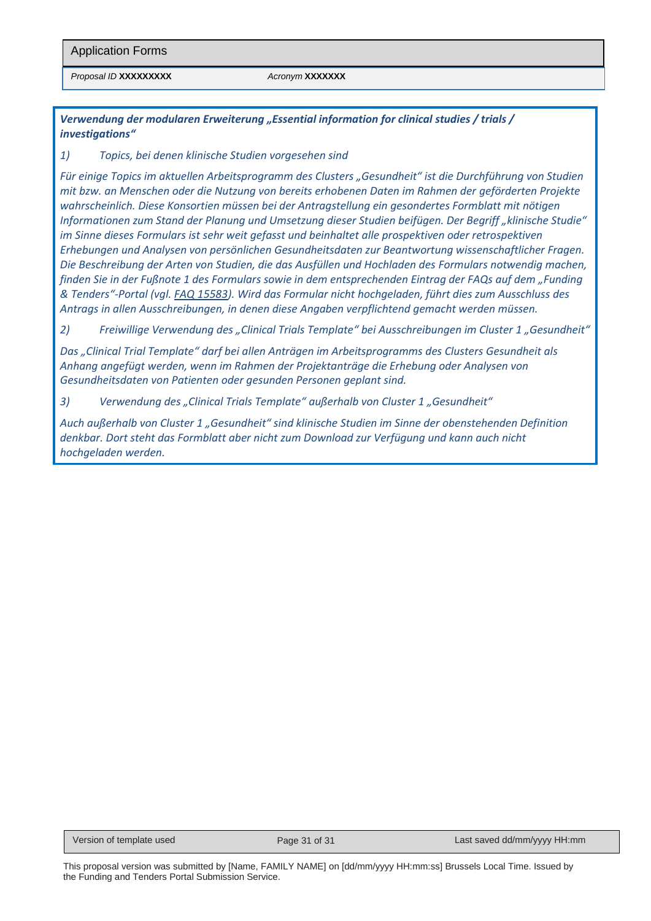*Proposal ID* **XXXXXXXXX** *Acronym* **XXXXXXX**

*Verwendung der modularen Erweiterung "Essential information for clinical studies / trials / investigations"*

*1) Topics, bei denen klinische Studien vorgesehen sind*

*Für einige Topics im aktuellen Arbeitsprogramm des Clusters "Gesundheit" ist die Durchführung von Studien mit bzw. an Menschen oder die Nutzung von bereits erhobenen Daten im Rahmen der geförderten Projekte wahrscheinlich. Diese Konsortien müssen bei der Antragstellung ein gesondertes Formblatt mit nötigen Informationen zum Stand der Planung und Umsetzung dieser Studien beifügen. Der Begriff "klinische Studie" im Sinne dieses Formulars ist sehr weit gefasst und beinhaltet alle prospektiven oder retrospektiven Erhebungen und Analysen von persönlichen Gesundheitsdaten zur Beantwortung wissenschaftlicher Fragen. Die Beschreibung der Arten von Studien, die das Ausfüllen und Hochladen des Formulars notwendig machen, finden Sie in der Fußnote 1 des Formulars sowie in dem entsprechenden Eintrag der FAQs auf dem "Funding & Tenders"-Portal (vgl. [FAQ 15583\)](https://ec.europa.eu/info/funding-tenders/opportunities/portal/screen/support/faq/15583). Wird das Formular nicht hochgeladen, führt dies zum Ausschluss des Antrags in allen Ausschreibungen, in denen diese Angaben verpflichtend gemacht werden müssen.* 

*2) Freiwillige Verwendung des "Clinical Trials Template" bei Ausschreibungen im Cluster 1 "Gesundheit"*

*Das "Clinical Trial Template" darf bei allen Anträgen im Arbeitsprogramms des Clusters Gesundheit als Anhang angefügt werden, wenn im Rahmen der Projektanträge die Erhebung oder Analysen von Gesundheitsdaten von Patienten oder gesunden Personen geplant sind.* 

3) Verwendung des "Clinical Trials Template" außerhalb von Cluster 1 "Gesundheit"

*Auch außerhalb von Cluster 1 "Gesundheit" sind klinische Studien im Sinne der obenstehenden Definition denkbar. Dort steht das Formblatt aber nicht zum Download zur Verfügung und kann auch nicht hochgeladen werden.*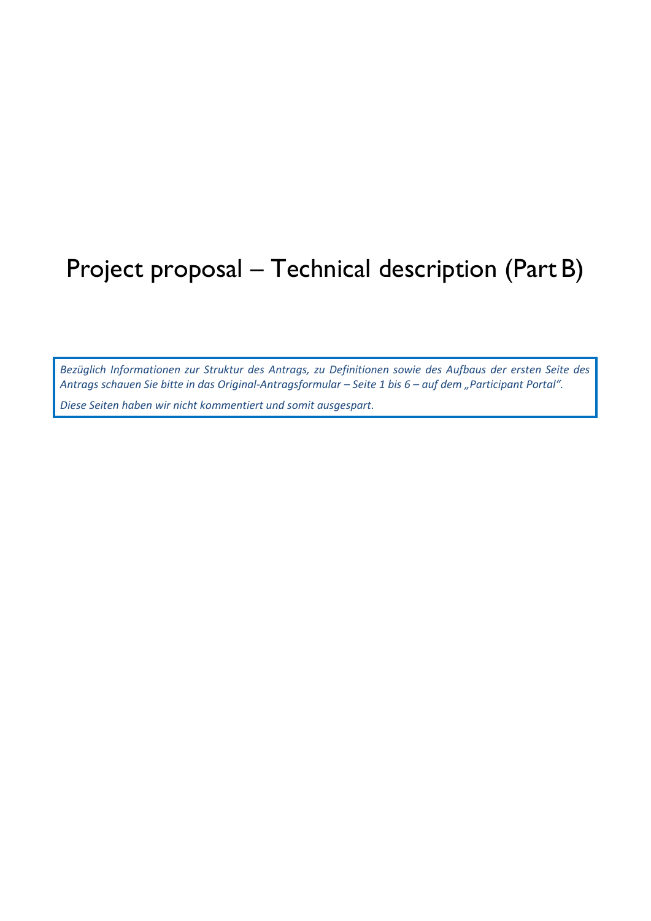# Project proposal – Technical description (Part B)

*Bezüglich Informationen zur Struktur des Antrags, zu Definitionen sowie des Aufbaus der ersten Seite des Antrags schauen Sie bitte in das Original-Antragsformular – Seite 1 bis 6 – auf dem "Participant Portal".* 

*Diese Seiten haben wir nicht kommentiert und somit ausgespart.*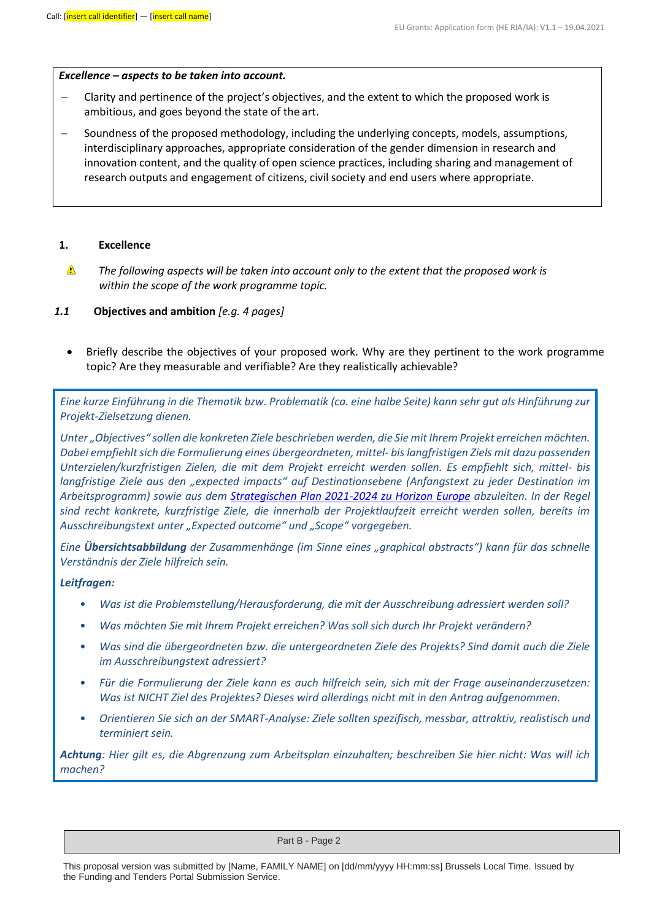#### *Excellence – aspects to be taken into account.*

- − Clarity and pertinence of the project's objectives, and the extent to which the proposed work is ambitious, and goes beyond the state of the art.
- Soundness of the proposed methodology, including the underlying concepts, models, assumptions, interdisciplinary approaches, appropriate consideration of the gender dimension in research and innovation content, and the quality of open science practices, including sharing and management of research outputs and engagement of citizens, civil society and end users where appropriate.

#### **1. Excellence**

- $\triangle$ *The following aspects will be taken into account only to the extent that the proposed work is within the scope of the work programme topic.*
- *1.1* **Objectives and ambition** *[e.g. 4 pages]*
	- Briefly describe the objectives of your proposed work. Why are they pertinent to the work programme topic? Are they measurable and verifiable? Are they realistically achievable?

*Eine kurze Einführung in die Thematik bzw. Problematik (ca. eine halbe Seite) kann sehr gut als Hinführung zur Projekt-Zielsetzung dienen.* 

*Unter "Objectives" sollen die konkreten Ziele beschrieben werden, die Sie mit Ihrem Projekt erreichen möchten. Dabei empfiehlt sich die Formulierung eines übergeordneten, mittel- bis langfristigen Ziels mit dazu passenden Unterzielen/kurzfristigen Zielen, die mit dem Projekt erreicht werden sollen. Es empfiehlt sich, mittel- bis langfristige Ziele aus den "expected impacts" auf Destinationsebene (Anfangstext zu jeder Destination im Arbeitsprogramm) sowie aus dem [Strategischen Plan 2021-2024 zu Horizon Europe](https://ec.europa.eu/info/research-and-innovation/funding/funding-opportunities/funding-programmes-and-open-calls/horizon-europe/strategic-plan_en) abzuleiten. In der Regel sind recht konkrete, kurzfristige Ziele, die innerhalb der Projektlaufzeit erreicht werden sollen, bereits im Ausschreibungstext unter "Expected outcome" und "Scope" vorgegeben.* 

*Eine Übersichtsabbildung der Zusammenhänge (im Sinne eines "graphical abstracts") kann für das schnelle Verständnis der Ziele hilfreich sein.*

#### *Leitfragen:*

- *Was ist die Problemstellung/Herausforderung, die mit der Ausschreibung adressiert werden soll?*
- *Was möchten Sie mit Ihrem Projekt erreichen? Was soll sich durch Ihr Projekt verändern?*
- *Was sind die übergeordneten bzw. die untergeordneten Ziele des Projekts? Sind damit auch die Ziele im Ausschreibungstext adressiert?*
- *Für die Formulierung der Ziele kann es auch hilfreich sein, sich mit der Frage auseinanderzusetzen: Was ist NICHT Ziel des Projektes? Dieses wird allerdings nicht mit in den Antrag aufgenommen.*
- *Orientieren Sie sich an der SMART-Analyse: Ziele sollten spezifisch, messbar, attraktiv, realistisch und terminiert sein.*

*Achtung: Hier gilt es, die Abgrenzung zum Arbeitsplan einzuhalten; beschreiben Sie hier nicht: Was will ich machen?*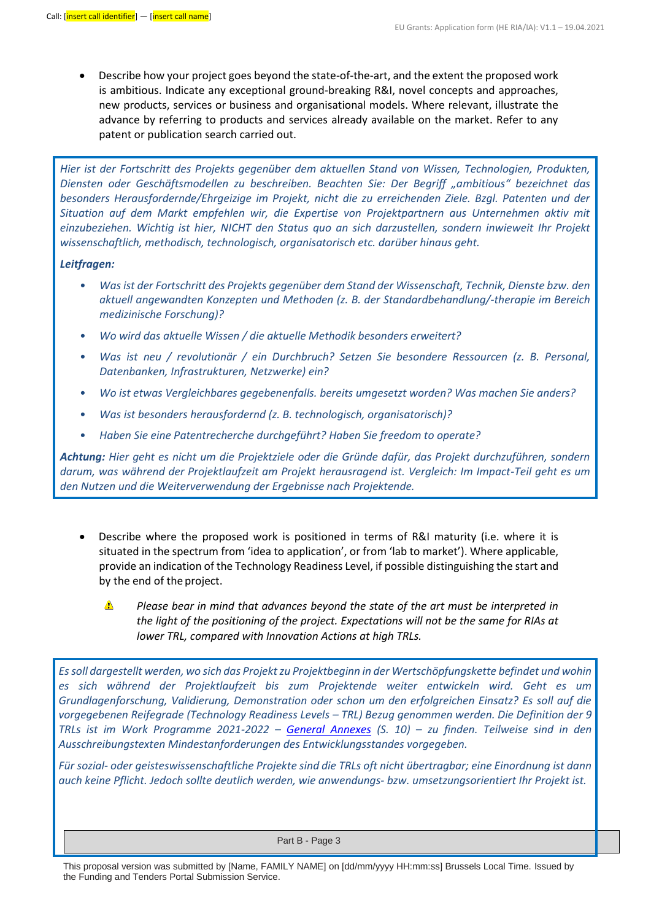• Describe how your project goes beyond the state-of-the-art, and the extent the proposed work is ambitious. Indicate any exceptional ground-breaking R&I, novel concepts and approaches, new products, services or business and organisational models. Where relevant, illustrate the advance by referring to products and services already available on the market. Refer to any patent or publication search carried out.

*Hier ist der Fortschritt des Projekts gegenüber dem aktuellen Stand von Wissen, Technologien, Produkten, Diensten oder Geschäftsmodellen zu beschreiben. Beachten Sie: Der Begriff "ambitious" bezeichnet das besonders Herausfordernde/Ehrgeizige im Projekt, nicht die zu erreichenden Ziele. Bzgl. Patenten und der Situation auf dem Markt empfehlen wir, die Expertise von Projektpartnern aus Unternehmen aktiv mit einzubeziehen. Wichtig ist hier, NICHT den Status quo an sich darzustellen, sondern inwieweit Ihr Projekt wissenschaftlich, methodisch, technologisch, organisatorisch etc. darüber hinaus geht.* 

#### *Leitfragen:*

- *Was ist der Fortschritt des Projekts gegenüber dem Stand der Wissenschaft, Technik, Dienste bzw. den aktuell angewandten Konzepten und Methoden (z. B. der Standardbehandlung/-therapie im Bereich medizinische Forschung)?*
- *Wo wird das aktuelle Wissen / die aktuelle Methodik besonders erweitert?*
- *Was ist neu / revolutionär / ein Durchbruch? Setzen Sie besondere Ressourcen (z. B. Personal, Datenbanken, Infrastrukturen, Netzwerke) ein?*
- *Wo ist etwas Vergleichbares gegebenenfalls. bereits umgesetzt worden? Was machen Sie anders?*
- *Was ist besonders herausfordernd (z. B. technologisch, organisatorisch)?*
- *Haben Sie eine Patentrecherche durchgeführt? Haben Sie freedom to operate?*

*Achtung: Hier geht es nicht um die Projektziele oder die Gründe dafür, das Projekt durchzuführen, sondern darum, was während der Projektlaufzeit am Projekt herausragend ist. Vergleich: Im Impact-Teil geht es um den Nutzen und die Weiterverwendung der Ergebnisse nach Projektende.*

- Describe where the proposed work is positioned in terms of R&I maturity (i.e. where it is situated in the spectrum from 'idea to application', or from 'lab to market'). Where applicable, provide an indication of the Technology Readiness Level, if possible distinguishing the start and by the end of the project.
	- Δ

*Please bear in mind that advances beyond the state of the art must be interpreted in the light of the positioning of the project. Expectations will not be the same for RIAs at lower TRL, compared with Innovation Actions at high TRLs.*

*Es soll dargestellt werden, wo sich das Projekt zu Projektbeginn in der Wertschöpfungskette befindet und wohin es sich während der Projektlaufzeit bis zum Projektende weiter entwickeln wird. Geht es um Grundlagenforschung, Validierung, Demonstration oder schon um den erfolgreichen Einsatz? Es soll auf die vorgegebenen Reifegrade (Technology Readiness Levels – TRL) Bezug genommen werden. Die Definition der 9 TRLs ist im Work Programme 2021-2022 – [General Annexes](https://ec.europa.eu/info/funding-tenders/opportunities/docs/2021-2027/horizon/wp-call/2021-2022/wp-13-general-annexes_horizon-2021-2022_en.pdf) (S. 10) – zu finden. Teilweise sind in den Ausschreibungstexten Mindestanforderungen des Entwicklungsstandes vorgegeben.* 

*Für sozial- oder geisteswissenschaftliche Projekte sind die TRLs oft nicht übertragbar; eine Einordnung ist dann auch keine Pflicht. Jedoch sollte deutlich werden, wie anwendungs- bzw. umsetzungsorientiert Ihr Projekt ist.*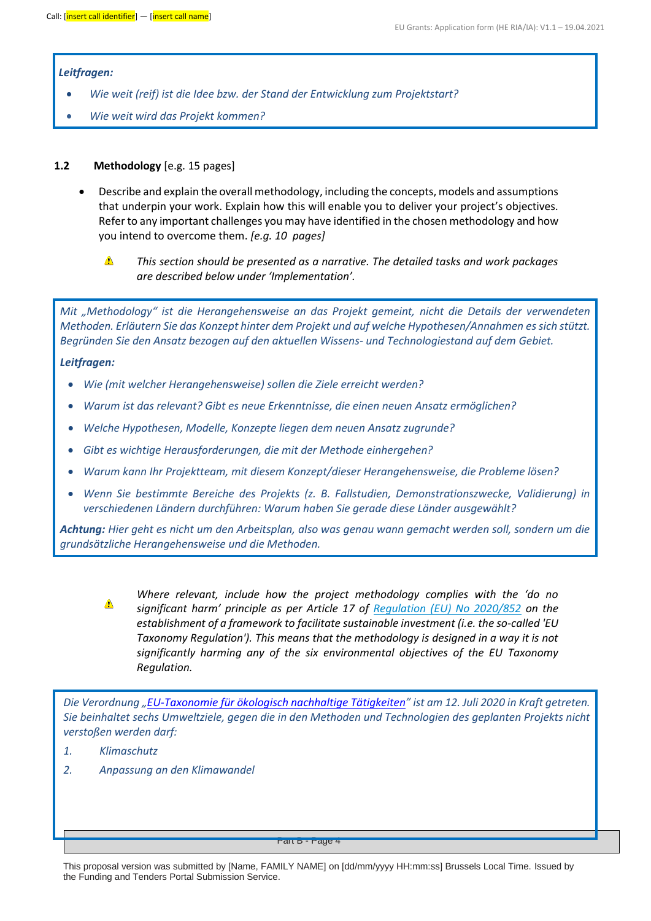#### *Leitfragen:*

- *Wie weit (reif) ist die Idee bzw. der Stand der Entwicklung zum Projektstart?*
- *Wie weit wird das Projekt kommen?*

#### **1.2 Methodology** [e.g. 15 pages]

- Describe and explain the overall methodology, including the concepts, models and assumptions that underpin your work. Explain how this will enable you to deliver your project's objectives. Refer to any important challenges you may have identified in the chosen methodology and how you intend to overcome them. *[e.g. 10 pages]*
	- ▲ *This section should be presented as a narrative. The detailed tasks and work packages are described below under 'Implementation'.*

*Mit "Methodology" ist die Herangehensweise an das Projekt gemeint, nicht die Details der verwendeten Methoden. Erläutern Sie das Konzept hinter dem Projekt und auf welche Hypothesen/Annahmen es sich stützt. Begründen Sie den Ansatz bezogen auf den aktuellen Wissens- und Technologiestand auf dem Gebiet.*

#### *Leitfragen:*

- *Wie (mit welcher Herangehensweise) sollen die Ziele erreicht werden?*
- *Warum ist das relevant? Gibt es neue Erkenntnisse, die einen neuen Ansatz ermöglichen?*
- *Welche Hypothesen, Modelle, Konzepte liegen dem neuen Ansatz zugrunde?*
- *Gibt es wichtige Herausforderungen, die mit der Methode einhergehen?*
- *Warum kann Ihr Projektteam, mit diesem Konzept/dieser Herangehensweise, die Probleme lösen?*
- *Wenn Sie bestimmte Bereiche des Projekts (z. B. Fallstudien, Demonstrationszwecke, Validierung) in verschiedenen Ländern durchführen: Warum haben Sie gerade diese Länder ausgewählt?*

*Achtung: Hier geht es nicht um den Arbeitsplan, also was genau wann gemacht werden soll, sondern um die grundsätzliche Herangehensweise und die Methoden.* 



*Where relevant, include how the project methodology complies with the 'do no significant harm' principle as per Article 17 of [Regulation \(EU\) No 2020/852](https://eur-lex.europa.eu/legal-content/EN/TXT/?uri=celex%3A32020R0852) on the establishment of a framework to facilitate sustainable investment (i.e. the so-called 'EU Taxonomy Regulation'). This means that the methodology is designed in a way it is not significantly harming any of the six environmental objectives of the EU Taxonomy Regulation.*

*Die Verordnung "[EU-Taxonomie für ökologisch nachhaltige Tätigkeiten](https://eur-lex.europa.eu/legal-content/DE/TXT/PDF/?uri=CELEX:32020R0852&from=DE)" ist am 12. Juli 2020 in Kraft getreten. Sie beinhaltet sechs Umweltziele, gegen die in den Methoden und Technologien des geplanten Projekts nicht verstoßen werden darf:* 

- *1. Klimaschutz*
- *2. Anpassung an den Klimawandel*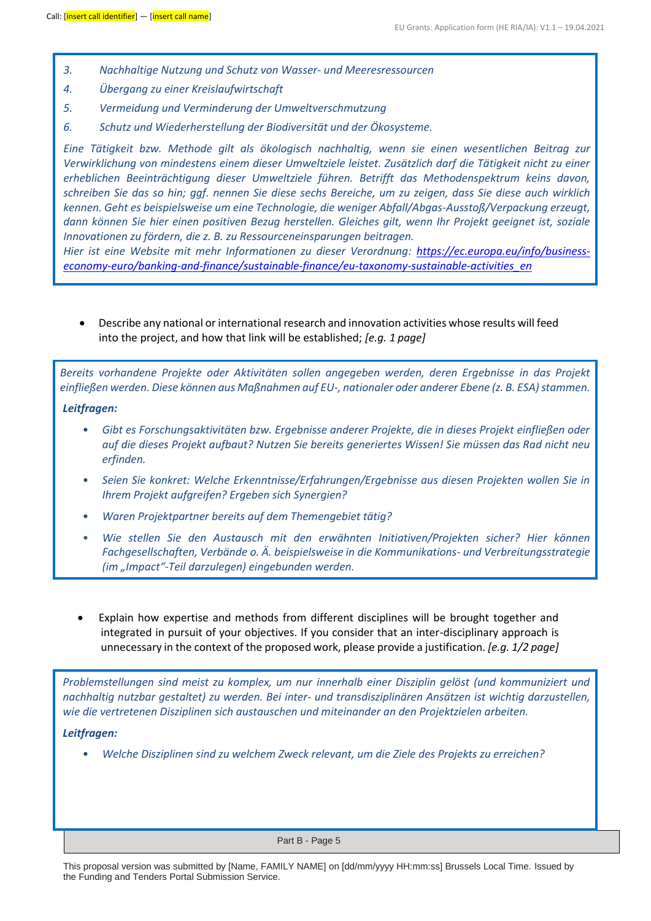- *3. Nachhaltige Nutzung und Schutz von Wasser- und Meeresressourcen*
- *4. Übergang zu einer Kreislaufwirtschaft*
- *5. Vermeidung und Verminderung der Umweltverschmutzung*
- *6. Schutz und Wiederherstellung der Biodiversität und der Ökosysteme.*

*Eine Tätigkeit bzw. Methode gilt als ökologisch nachhaltig, wenn sie einen wesentlichen Beitrag zur Verwirklichung von mindestens einem dieser Umweltziele leistet. Zusätzlich darf die Tätigkeit nicht zu einer erheblichen Beeinträchtigung dieser Umweltziele führen. Betrifft das Methodenspektrum keins davon, schreiben Sie das so hin; ggf. nennen Sie diese sechs Bereiche, um zu zeigen, dass Sie diese auch wirklich kennen. Geht es beispielsweise um eine Technologie, die weniger Abfall/Abgas-Ausstoß/Verpackung erzeugt, dann können Sie hier einen positiven Bezug herstellen. Gleiches gilt, wenn Ihr Projekt geeignet ist, soziale Innovationen zu fördern, die z. B. zu Ressourceneinsparungen beitragen.*

*Hier ist eine Website mit mehr Informationen zu dieser Verordnung: [https://ec.europa.eu/info/business](https://ec.europa.eu/info/business-economy-euro/banking-and-finance/sustainable-finance/eu-taxonomy-sustainable-activities_en)[economy-euro/banking-and-finance/sustainable-finance/eu-taxonomy-sustainable-activities\\_en](https://ec.europa.eu/info/business-economy-euro/banking-and-finance/sustainable-finance/eu-taxonomy-sustainable-activities_en)*

• Describe any national or international research and innovation activities whose results will feed into the project, and how that link will be established; *[e.g. 1 page]*

*Bereits vorhandene Projekte oder Aktivitäten sollen angegeben werden, deren Ergebnisse in das Projekt einfließen werden. Diese können aus Maßnahmen auf EU-, nationaler oder anderer Ebene (z. B. ESA) stammen.*

*Leitfragen:*

- *Gibt es Forschungsaktivitäten bzw. Ergebnisse anderer Projekte, die in dieses Projekt einfließen oder auf die dieses Projekt aufbaut? Nutzen Sie bereits generiertes Wissen! Sie müssen das Rad nicht neu erfinden.*
- *Seien Sie konkret: Welche Erkenntnisse/Erfahrungen/Ergebnisse aus diesen Projekten wollen Sie in Ihrem Projekt aufgreifen? Ergeben sich Synergien?*
- *Waren Projektpartner bereits auf dem Themengebiet tätig?*
- *Wie stellen Sie den Austausch mit den erwähnten Initiativen/Projekten sicher? Hier können Fachgesellschaften, Verbände o. Ä. beispielsweise in die Kommunikations- und Verbreitungsstrategie (im "Impact"-Teil darzulegen) eingebunden werden.*
- Explain how expertise and methods from different disciplines will be brought together and integrated in pursuit of your objectives. If you consider that an inter-disciplinary approach is unnecessary in the context of the proposed work, please provide a justification. *[e.g. 1/2 page]*

*Problemstellungen sind meist zu komplex, um nur innerhalb einer Disziplin gelöst (und kommuniziert und nachhaltig nutzbar gestaltet) zu werden. Bei inter- und transdisziplinären Ansätzen ist wichtig darzustellen, wie die vertretenen Disziplinen sich austauschen und miteinander an den Projektzielen arbeiten.*

#### *Leitfragen:*

• *Welche Disziplinen sind zu welchem Zweck relevant, um die Ziele des Projekts zu erreichen?*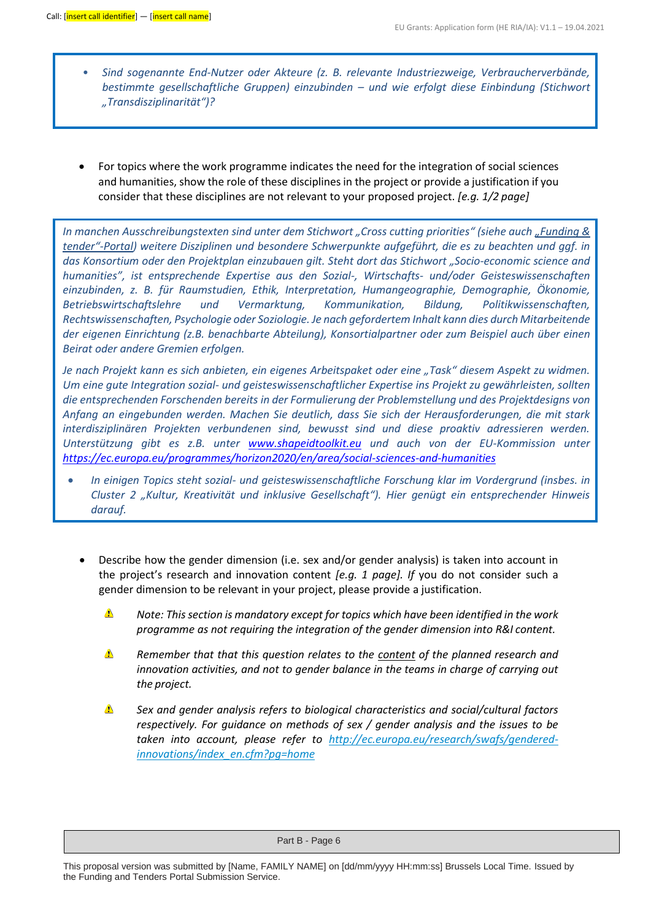- *Sind sogenannte End-Nutzer oder Akteure (z. B. relevante Industriezweige, Verbraucherverbände, bestimmte gesellschaftliche Gruppen) einzubinden – und wie erfolgt diese Einbindung (Stichwort "Transdisziplinarität")?*
- For topics where the work programme indicates the need for the integration of social sciences and humanities, show the role of these disciplines in the project or provide a justification if you consider that these disciplines are not relevant to your proposed project. *[e.g. 1/2 page]*

*In manchen Ausschreibungstexten sind unter dem Stichwort "Cross cutting priorities" (siehe auc[h "Funding &](https://ec.europa.eu/info/funding-tenders/opportunities/portal/screen/opportunities/topic-search;statusCodes=31094501,31094502,31094503;programCcm2Id=43108390;crossCuttingPriorityCode=SSH;sortQuery=sortStatus;orderBy=asc)  [tender"](https://ec.europa.eu/info/funding-tenders/opportunities/portal/screen/opportunities/topic-search;statusCodes=31094501,31094502,31094503;programCcm2Id=43108390;crossCuttingPriorityCode=SSH;sortQuery=sortStatus;orderBy=asc)-Portal) weitere Disziplinen und besondere Schwerpunkte aufgeführt, die es zu beachten und ggf. in das Konsortium oder den Projektplan einzubauen gilt. Steht dort das Stichwort "Socio-economic science and humanities", ist entsprechende Expertise aus den Sozial-, Wirtschafts- und/oder Geisteswissenschaften einzubinden, z. B. für Raumstudien, Ethik, Interpretation, Humangeographie, Demographie, Ökonomie, Betriebswirtschaftslehre und Vermarktung, Kommunikation, Bildung, Politikwissenschaften, Rechtswissenschaften, Psychologie oder Soziologie. Je nach gefordertem Inhalt kann dies durch Mitarbeitende der eigenen Einrichtung (z.B. benachbarte Abteilung), Konsortialpartner oder zum Beispiel auch über einen Beirat oder andere Gremien erfolgen.*

*Je nach Projekt kann es sich anbieten, ein eigenes Arbeitspaket oder eine "Task" diesem Aspekt zu widmen. Um eine gute Integration sozial- und geisteswissenschaftlicher Expertise ins Projekt zu gewährleisten, sollten die entsprechenden Forschenden bereits in der Formulierung der Problemstellung und des Projektdesigns von Anfang an eingebunden werden. Machen Sie deutlich, dass Sie sich der Herausforderungen, die mit stark interdisziplinären Projekten verbundenen sind, bewusst sind und diese proaktiv adressieren werden. Unterstützung gibt es z.B. unter [www.shapeidtoolkit.eu](http://www.shapeidtoolkit.eu/) und auch von der EU-Kommission unter <https://ec.europa.eu/programmes/horizon2020/en/area/social-sciences-and-humanities>*

- *In einigen Topics steht sozial- und geisteswissenschaftliche Forschung klar im Vordergrund (insbes. in Cluster 2 "Kultur, Kreativität und inklusive Gesellschaft"). Hier genügt ein entsprechender Hinweis darauf.*
	- Describe how the gender dimension (i.e. sex and/or gender analysis) is taken into account in the project's research and innovation content *[e.g. 1 page]. If* you do not consider such a gender dimension to be relevant in your project, please provide a justification.
		- Δ *Note: This section is mandatory except for topics which have been identified in the work programme as not requiring the integration of the gender dimension into R&I content.*
		- Δ *Remember that that this question relates to the content of the planned research and innovation activities, and not to gender balance in the teams in charge of carrying out the project.*
		- $\triangle$ *Sex and gender analysis refers to biological characteristics and social/cultural factors respectively. For guidance on methods of sex / gender analysis and the issues to be taken into account, please refer to [http://ec.europa.eu/research/swafs/gendered](http://ec.europa.eu/research/swafs/gendered-innovations/index_en.cfm?pg=home)[innovations/index\\_en.cfm?pg=home](http://ec.europa.eu/research/swafs/gendered-innovations/index_en.cfm?pg=home)*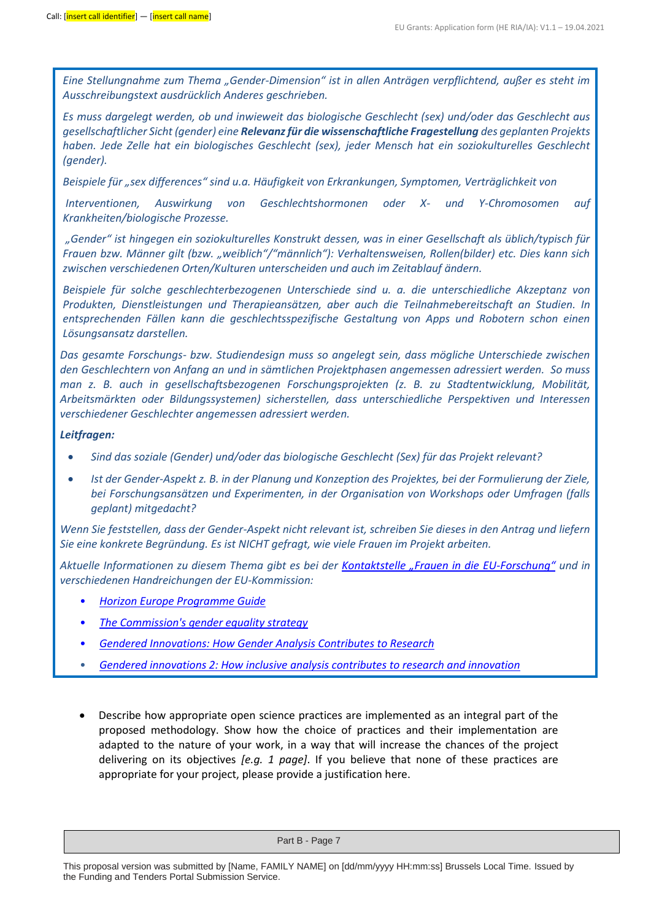*Eine Stellungnahme zum Thema "Gender-Dimension" ist in allen Anträgen verpflichtend, außer es steht im Ausschreibungstext ausdrücklich Anderes geschrieben.*

*Es muss dargelegt werden, ob und inwieweit das biologische Geschlecht (sex) und/oder das Geschlecht aus gesellschaftlicher Sicht (gender) eine Relevanz für die wissenschaftliche Fragestellung des geplanten Projekts haben. Jede Zelle hat ein biologisches Geschlecht (sex), jeder Mensch hat ein soziokulturelles Geschlecht (gender).* 

*Beispiele für "sex differences" sind u.a. Häufigkeit von Erkrankungen, Symptomen, Verträglichkeit von*

*Interventionen, Auswirkung von Geschlechtshormonen oder X- und Y-Chromosomen auf Krankheiten/biologische Prozesse.*

*"Gender" ist hingegen ein soziokulturelles Konstrukt dessen, was in einer Gesellschaft als üblich/typisch für Frauen bzw. Männer gilt (bzw. "weiblich"/"männlich"): Verhaltensweisen, Rollen(bilder) etc. Dies kann sich zwischen verschiedenen Orten/Kulturen unterscheiden und auch im Zeitablauf ändern.*

*Beispiele für solche geschlechterbezogenen Unterschiede sind u. a. die unterschiedliche Akzeptanz von Produkten, Dienstleistungen und Therapieansätzen, aber auch die Teilnahmebereitschaft an Studien. In entsprechenden Fällen kann die geschlechtsspezifische Gestaltung von Apps und Robotern schon einen Lösungsansatz darstellen.*

*Das gesamte Forschungs- bzw. Studiendesign muss so angelegt sein, dass mögliche Unterschiede zwischen den Geschlechtern von Anfang an und in sämtlichen Projektphasen angemessen adressiert werden. So muss man z. B. auch in gesellschaftsbezogenen Forschungsprojekten (z. B. zu Stadtentwicklung, Mobilität, Arbeitsmärkten oder Bildungssystemen) sicherstellen, dass unterschiedliche Perspektiven und Interessen verschiedener Geschlechter angemessen adressiert werden.*

#### *Leitfragen:*

- *Sind das soziale (Gender) und/oder das biologische Geschlecht (Sex) für das Projekt relevant?*
- *Ist der Gender-Aspekt z. B. in der Planung und Konzeption des Projektes, bei der Formulierung der Ziele, bei Forschungsansätzen und Experimenten, in der Organisation von Workshops oder Umfragen (falls geplant) mitgedacht?*

*Wenn Sie feststellen, dass der Gender-Aspekt nicht relevant ist, schreiben Sie dieses in den Antrag und liefern Sie eine konkrete Begründung. Es ist NICHT gefragt, wie viele Frauen im Projekt arbeiten.*

*Aktuelle Informationen zu diesem Thema gibt es bei der [Kontaktstelle "Frauen in die EU](https://www.eubuero.de/fif-gender.htm)-Forschung" und in verschiedenen Handreichungen der EU-Kommission:*

- *[Horizon Europe Programme Guide](https://ec.europa.eu/info/funding-tenders/opportunities/docs/2021-2027/horizon/guidance/programme-guide_horizon_en.pdf)*
- *[The Commission's gender equality strategy](https://ec.europa.eu/info/research-and-innovation/strategy/strategy-2020-2024/democracy-and-rights/gender-equality-research-and-innovation_en)*
- *[Gendered Innovations: How Gender Analysis Contributes to Research](https://teamsites-extranet.dlr.de/sites/nks-forum/NKS-im-DLR/Freigegebene%20Dokumente/Gendered%20Innovations:%20How%20Gender%20Analysis%20Contributes%20to%20Research)*
- *[Gendered innovations 2: How inclusive analysis contributes to research and innovation](https://op.europa.eu/en/publication-detail/-/publication/33b4c99f-2e66-11eb-b27b-01aa75ed71a1/language-en/format-PDF/source-search)*
- Describe how appropriate open science practices are implemented as an integral part of the proposed methodology. Show how the choice of practices and their implementation are adapted to the nature of your work, in a way that will increase the chances of the project delivering on its objectives *[e.g. 1 page]*. If you believe that none of these practices are appropriate for your project, please provide a justification here.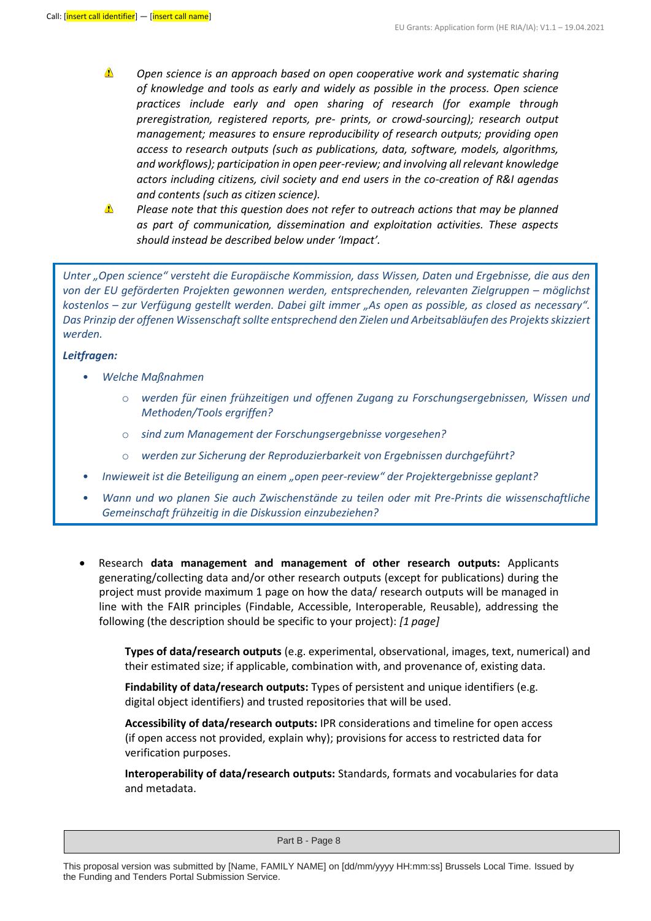- Δ *Open science is an approach based on open cooperative work and systematic sharing of knowledge and tools as early and widely as possible in the process. Open science practices include early and open sharing of research (for example through preregistration, registered reports, pre- prints, or crowd-sourcing); research output management; measures to ensure reproducibility of research outputs; providing open access to research outputs (such as publications, data, software, models, algorithms, and workflows); participation in open peer-review; and involving all relevant knowledge actors including citizens, civil society and end users in the co-creation of R&I agendas and contents (such as citizen science).*
- Δ *Please note that this question does not refer to outreach actions that may be planned as part of communication, dissemination and exploitation activities. These aspects should instead be described below under 'Impact'.*

*Unter "Open science" versteht die Europäische Kommission, dass Wissen, Daten und Ergebnisse, die aus den*  von der EU geförderten Projekten gewonnen werden, entsprechenden, relevanten Zielgruppen – möglichst *kostenlos – zur Verfügung gestellt werden. Dabei gilt immer "As open as possible, as closed as necessary". Das Prinzip der offenen Wissenschaft sollte entsprechend den Zielen und Arbeitsabläufen des Projekts skizziert werden.* 

#### *Leitfragen:*

- *Welche Maßnahmen*
	- o *werden für einen frühzeitigen und offenen Zugang zu Forschungsergebnissen, Wissen und Methoden/Tools ergriffen?*
	- o *sind zum Management der Forschungsergebnisse vorgesehen?*
	- o *werden zur Sicherung der Reproduzierbarkeit von Ergebnissen durchgeführt?*
- *Inwieweit ist die Beteiligung an einem "open peer-review" der Projektergebnisse geplant?*
- *Wann und wo planen Sie auch Zwischenstände zu teilen oder mit Pre-Prints die wissenschaftliche Gemeinschaft frühzeitig in die Diskussion einzubeziehen?*
- Research **data management and management of other research outputs:** Applicants generating/collecting data and/or other research outputs (except for publications) during the project must provide maximum 1 page on how the data/ research outputs will be managed in line with the FAIR principles (Findable, Accessible, Interoperable, Reusable), addressing the following (the description should be specific to your project): *[1 page]*

**Types of data/research outputs** (e.g. experimental, observational, images, text, numerical) and their estimated size; if applicable, combination with, and provenance of, existing data.

**Findability of data/research outputs:** Types of persistent and unique identifiers (e.g. digital object identifiers) and trusted repositories that will be used.

**Accessibility of data/research outputs:** IPR considerations and timeline for open access (if open access not provided, explain why); provisions for access to restricted data for verification purposes.

**Interoperability of data/research outputs:** Standards, formats and vocabularies for data and metadata.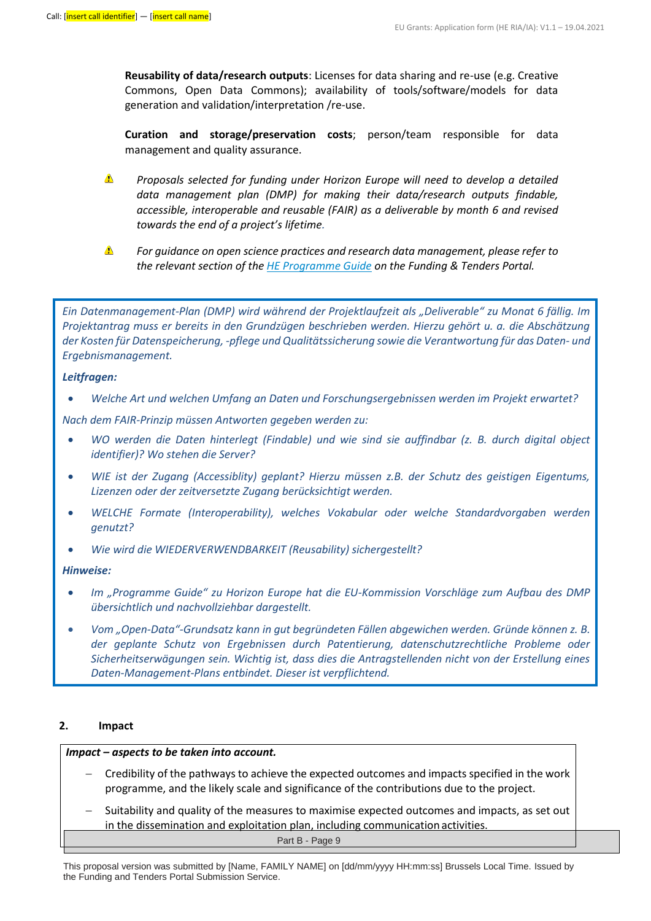**Reusability of data/research outputs**: Licenses for data sharing and re-use (e.g. Creative Commons, Open Data Commons); availability of tools/software/models for data generation and validation/interpretation /re-use.

**Curation and storage/preservation costs**; person/team responsible for data management and quality assurance.

- $\triangle$ *Proposals selected for funding under Horizon Europe will need to develop a detailed data management plan (DMP) for making their data/research outputs findable, accessible, interoperable and reusable (FAIR) as a deliverable by month 6 and revised towards the end of a project's lifetime.*
- $\triangle$ *For guidance on open science practices and research data management, please refer to the relevant section of the [HE Programme Guide](https://ec.europa.eu/info/funding-tenders/opportunities/docs/2021-2027/horizon/guidance/programme-guide_horizon_en.pdf) on the Funding & Tenders Portal.*

*Ein Datenmanagement-Plan (DMP) wird während der Projektlaufzeit als "Deliverable" zu Monat 6 fällig. Im Projektantrag muss er bereits in den Grundzügen beschrieben werden. Hierzu gehört u. a. die Abschätzung der Kosten für Datenspeicherung, -pflege und Qualitätssicherung sowie die Verantwortung für das Daten- und Ergebnismanagement.*

#### *Leitfragen:*

• *Welche Art und welchen Umfang an Daten und Forschungsergebnissen werden im Projekt erwartet?*

*Nach dem FAIR-Prinzip müssen Antworten gegeben werden zu:* 

- *WO werden die Daten hinterlegt (Findable) und wie sind sie auffindbar (z. B. durch digital object identifier)? Wo stehen die Server?*
- *WIE ist der Zugang (Accessiblity) geplant? Hierzu müssen z.B. der Schutz des geistigen Eigentums, Lizenzen oder der zeitversetzte Zugang berücksichtigt werden.*
- *WELCHE Formate (Interoperability), welches Vokabular oder welche Standardvorgaben werden genutzt?*
- *Wie wird die WIEDERVERWENDBARKEIT (Reusability) sichergestellt?*

#### *Hinweise:*

- *Im "Programme Guide" zu Horizon Europe hat die EU-Kommission Vorschläge zum Aufbau des DMP übersichtlich und nachvollziehbar dargestellt.*
- *Vom "Open-Data"-Grundsatz kann in gut begründeten Fällen abgewichen werden. Gründe können z. B. der geplante Schutz von Ergebnissen durch Patentierung, datenschutzrechtliche Probleme oder Sicherheitserwägungen sein. Wichtig ist, dass dies die Antragstellenden nicht von der Erstellung eines Daten-Management-Plans entbindet. Dieser ist verpflichtend.*

#### **2. Impact**

#### *Impact – aspects to be taken into account.*

- − Credibility of the pathways to achieve the expected outcomes and impacts specified in the work programme, and the likely scale and significance of the contributions due to the project.
- Suitability and quality of the measures to maximise expected outcomes and impacts, as set out in the dissemination and exploitation plan, including communication activities.

This proposal version was submitted by [Name, FAMILY NAME] on [dd/mm/yyyy HH:mm:ss] Brussels Local Time. Issued by the Funding and Tenders Portal Submission Service.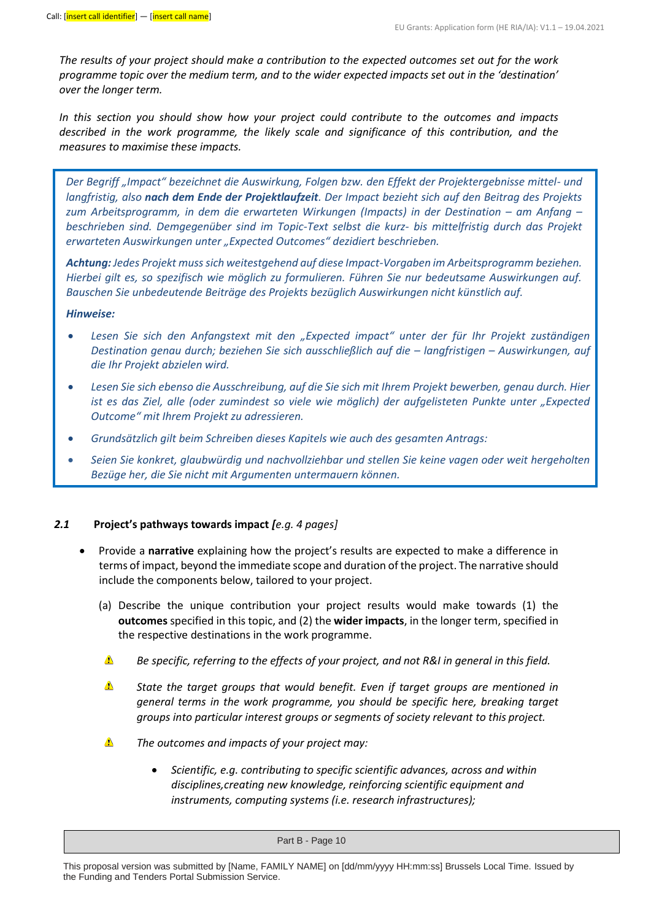*The results of your project should make a contribution to the expected outcomes set out for the work programme topic over the medium term, and to the wider expected impacts set out in the 'destination' over the longer term.*

*In this section you should show how your project could contribute to the outcomes and impacts described in the work programme, the likely scale and significance of this contribution, and the measures to maximise these impacts.*

*Der Begriff "Impact" bezeichnet die Auswirkung, Folgen bzw. den Effekt der Projektergebnisse mittel- und langfristig, also nach dem Ende der Projektlaufzeit. Der Impact bezieht sich auf den Beitrag des Projekts zum Arbeitsprogramm, in dem die erwarteten Wirkungen (Impacts) in der Destination – am Anfang – beschrieben sind. Demgegenüber sind im Topic-Text selbst die kurz- bis mittelfristig durch das Projekt erwarteten Auswirkungen unter "Expected Outcomes" dezidiert beschrieben.*

*Achtung: Jedes Projekt muss sich weitestgehend auf diese Impact-Vorgaben im Arbeitsprogramm beziehen. Hierbei gilt es, so spezifisch wie möglich zu formulieren. Führen Sie nur bedeutsame Auswirkungen auf. Bauschen Sie unbedeutende Beiträge des Projekts bezüglich Auswirkungen nicht künstlich auf.* 

#### *Hinweise:*

- *Lesen Sie sich den Anfangstext mit den "Expected impact" unter der für Ihr Projekt zuständigen Destination genau durch; beziehen Sie sich ausschließlich auf die – langfristigen – Auswirkungen, auf die Ihr Projekt abzielen wird.*
- *Lesen Sie sich ebenso die Ausschreibung, auf die Sie sich mit Ihrem Projekt bewerben, genau durch. Hier ist es das Ziel, alle (oder zumindest so viele wie möglich) der aufgelisteten Punkte unter "Expected Outcome" mit Ihrem Projekt zu adressieren.*
- *Grundsätzlich gilt beim Schreiben dieses Kapitels wie auch des gesamten Antrags:*
- *Seien Sie konkret, glaubwürdig und nachvollziehbar und stellen Sie keine vagen oder weit hergeholten Bezüge her, die Sie nicht mit Argumenten untermauern können.*

#### *2.1* **Project's pathways towards impact** *[e.g. 4 pages]*

- Provide a **narrative** explaining how the project's results are expected to make a difference in terms of impact, beyond the immediate scope and duration of the project. The narrative should include the components below, tailored to your project.
	- (a) Describe the unique contribution your project results would make towards (1) the **outcomes** specified in this topic, and (2) the **wider impacts**, in the longer term, specified in the respective destinations in the work programme.
	- $\triangle$ *Be specific, referring to the effects of your project, and not R&I in general in this field.*
	- $\triangle$ *State the target groups that would benefit. Even if target groups are mentioned in general terms in the work programme, you should be specific here, breaking target groups into particular interest groups or segments of society relevant to this project.*
	- Δ *The outcomes and impacts of your project may:*
		- *Scientific, e.g. contributing to specific scientific advances, across and within disciplines,creating new knowledge, reinforcing scientific equipment and instruments, computing systems (i.e. research infrastructures);*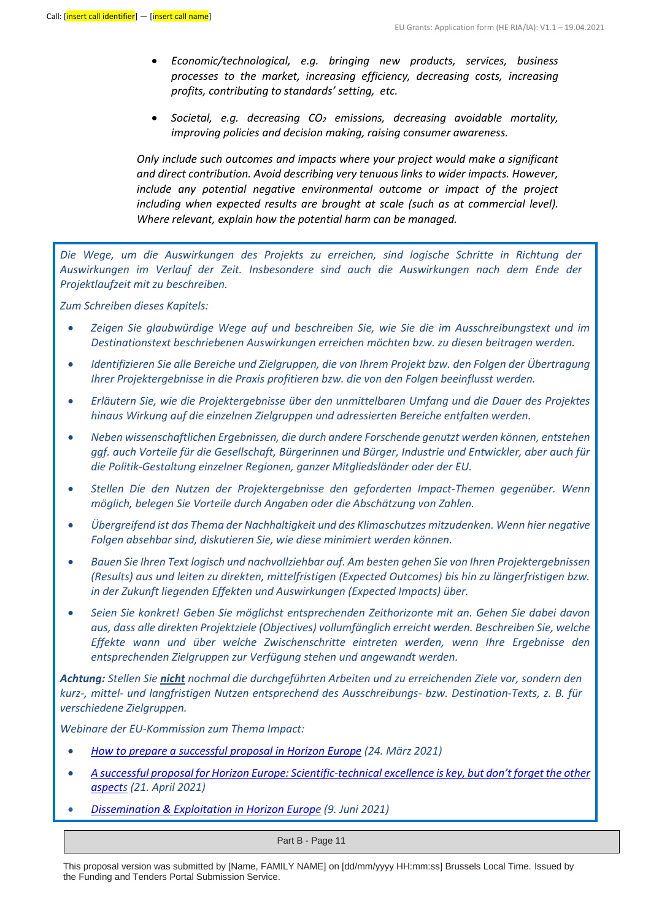- *Economic/technological, e.g. bringing new products, services, business processes to the market, increasing efficiency, decreasing costs, increasing profits, contributing to standards' setting, etc.*
- *Societal, e.g. decreasing CO<sup>2</sup> emissions, decreasing avoidable mortality, improving policies and decision making, raising consumer awareness.*

*Only include such outcomes and impacts where your project would make a significant and direct contribution. Avoid describing very tenuous links to wider impacts. However, include any potential negative environmental outcome or impact of the project including when expected results are brought at scale (such as at commercial level). Where relevant, explain how the potential harm can be managed.*

*Die Wege, um die Auswirkungen des Projekts zu erreichen, sind logische Schritte in Richtung der Auswirkungen im Verlauf der Zeit. Insbesondere sind auch die Auswirkungen nach dem Ende der Projektlaufzeit mit zu beschreiben.*

*Zum Schreiben dieses Kapitels:*

- *Zeigen Sie glaubwürdige Wege auf und beschreiben Sie, wie Sie die im Ausschreibungstext und im Destinationstext beschriebenen Auswirkungen erreichen möchten bzw. zu diesen beitragen werden.*
- *Identifizieren Sie alle Bereiche und Zielgruppen, die von Ihrem Projekt bzw. den Folgen der Übertragung Ihrer Projektergebnisse in die Praxis profitieren bzw. die von den Folgen beeinflusst werden.*
- *Erläutern Sie, wie die Projektergebnisse über den unmittelbaren Umfang und die Dauer des Projektes hinaus Wirkung auf die einzelnen Zielgruppen und adressierten Bereiche entfalten werden.*
- *Neben wissenschaftlichen Ergebnissen, die durch andere Forschende genutzt werden können, entstehen ggf. auch Vorteile für die Gesellschaft, Bürgerinnen und Bürger, Industrie und Entwickler, aber auch für die Politik-Gestaltung einzelner Regionen, ganzer Mitgliedsländer oder der EU.*
- *Stellen Die den Nutzen der Projektergebnisse den geforderten Impact-Themen gegenüber. Wenn möglich, belegen Sie Vorteile durch Angaben oder die Abschätzung von Zahlen.*
- *Übergreifend ist das Thema der Nachhaltigkeit und des Klimaschutzes mitzudenken. Wenn hier negative Folgen absehbar sind, diskutieren Sie, wie diese minimiert werden können.*
- *Bauen Sie Ihren Text logisch und nachvollziehbar auf. Am besten gehen Sie von Ihren Projektergebnissen (Results) aus und leiten zu direkten, mittelfristigen (Expected Outcomes) bis hin zu längerfristigen bzw. in der Zukunft liegenden Effekten und Auswirkungen (Expected Impacts) über.*
- *Seien Sie konkret! Geben Sie möglichst entsprechenden Zeithorizonte mit an. Gehen Sie dabei davon aus, dass alle direkten Projektziele (Objectives) vollumfänglich erreicht werden. Beschreiben Sie, welche Effekte wann und über welche Zwischenschritte eintreten werden, wenn Ihre Ergebnisse den entsprechenden Zielgruppen zur Verfügung stehen und angewandt werden.*

*Achtung: Stellen Sie nicht nochmal die durchgeführten Arbeiten und zu erreichenden Ziele vor, sondern den kurz-, mittel- und langfristigen Nutzen entsprechend des Ausschreibungs- bzw. Destination-Texts, z. B. für verschiedene Zielgruppen.*

*Webinare der EU-Kommission zum Thema Impact:*

- *[How to prepare a successful proposal in Horizon Europe](https://ec.europa.eu/research/participants/docs/h2020-funding-guide/other/event210324.htm) (24. März 2021)*
- *A successful proposal for Horizon Europe: Scientific-[technical excellence is key, but don't forget the other](https://ec.europa.eu/research/participants/docs/h2020-funding-guide/other/event210421.htm)  [aspects](https://ec.europa.eu/research/participants/docs/h2020-funding-guide/other/event210421.htm) (21. April 2021)*
- *[Dissemination & Exploitation in Horizon Europe](https://ec.europa.eu/research/participants/docs/h2020-funding-guide/other/event210609.htm) (9. Juni 2021)*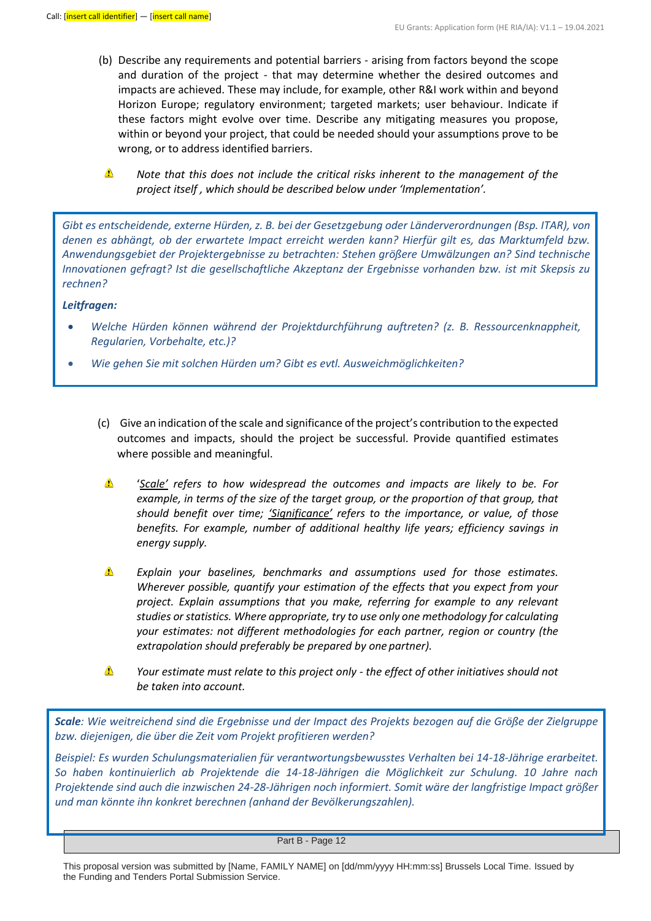- (b) Describe any requirements and potential barriers arising from factors beyond the scope and duration of the project - that may determine whether the desired outcomes and impacts are achieved. These may include, for example, other R&I work within and beyond Horizon Europe; regulatory environment; targeted markets; user behaviour. Indicate if these factors might evolve over time. Describe any mitigating measures you propose, within or beyond your project, that could be needed should your assumptions prove to be wrong, or to address identified barriers.
	- $\triangle$ *Note that this does not include the critical risks inherent to the management of the project itself , which should be described below under 'Implementation'.*

*Gibt es entscheidende, externe Hürden, z. B. bei der Gesetzgebung oder Länderverordnungen (Bsp. ITAR), von denen es abhängt, ob der erwartete Impact erreicht werden kann? Hierfür gilt es, das Marktumfeld bzw. Anwendungsgebiet der Projektergebnisse zu betrachten: Stehen größere Umwälzungen an? Sind technische Innovationen gefragt? Ist die gesellschaftliche Akzeptanz der Ergebnisse vorhanden bzw. ist mit Skepsis zu rechnen?*

#### *Leitfragen:*

- *Welche Hürden können während der Projektdurchführung auftreten? (z. B. Ressourcenknappheit, Regularien, Vorbehalte, etc.)?*
- *Wie gehen Sie mit solchen Hürden um? Gibt es evtl. Ausweichmöglichkeiten?*
	- (c) Give an indication of the scale and significance of the project's contribution to the expected outcomes and impacts, should the project be successful. Provide quantified estimates where possible and meaningful.
	- Δ '*Scale' refers to how widespread the outcomes and impacts are likely to be. For example, in terms of the size of the target group, or the proportion of that group, that should benefit over time; 'Significance' refers to the importance, or value, of those benefits. For example, number of additional healthy life years; efficiency savings in energy supply.*
	- $\triangle$ *Explain your baselines, benchmarks and assumptions used for those estimates. Wherever possible, quantify your estimation of the effects that you expect from your project. Explain assumptions that you make, referring for example to any relevant studies or statistics. Where appropriate, try to use only one methodology for calculating your estimates: not different methodologies for each partner, region or country (the extrapolation should preferably be prepared by one partner).*
	- Δ *Your estimate must relate to this project only - the effect of other initiatives should not be taken into account.*

*Scale: Wie weitreichend sind die Ergebnisse und der Impact des Projekts bezogen auf die Größe der Zielgruppe bzw. diejenigen, die über die Zeit vom Projekt profitieren werden?*

*Beispiel: Es wurden Schulungsmaterialien für verantwortungsbewusstes Verhalten bei 14-18-Jährige erarbeitet. So haben kontinuierlich ab Projektende die 14-18-Jährigen die Möglichkeit zur Schulung. 10 Jahre nach Projektende sind auch die inzwischen 24-28-Jährigen noch informiert. Somit wäre der langfristige Impact größer und man könnte ihn konkret berechnen (anhand der Bevölkerungszahlen).*

This proposal version was submitted by [Name, FAMILY NAME] on [dd/mm/yyyy HH:mm:ss] Brussels Local Time. Issued by the Funding and Tenders Portal Submission Service.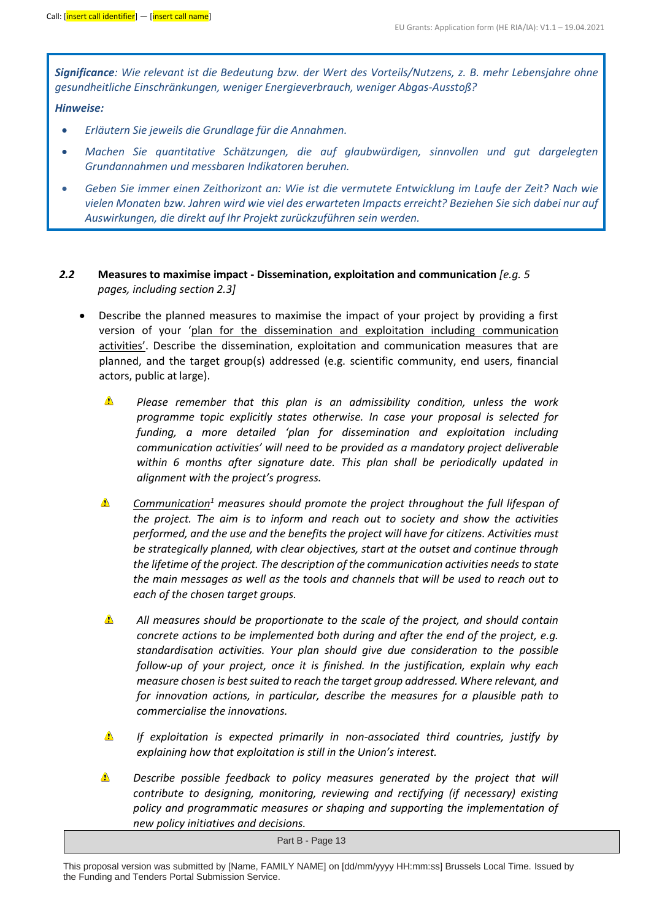*Significance: Wie relevant ist die Bedeutung bzw. der Wert des Vorteils/Nutzens, z. B. mehr Lebensjahre ohne gesundheitliche Einschränkungen, weniger Energieverbrauch, weniger Abgas-Ausstoß?*

### *Hinweise:*

- *Erläutern Sie jeweils die Grundlage für die Annahmen.*
- *Machen Sie quantitative Schätzungen, die auf glaubwürdigen, sinnvollen und gut dargelegten Grundannahmen und messbaren Indikatoren beruhen.*
- *Geben Sie immer einen Zeithorizont an: Wie ist die vermutete Entwicklung im Laufe der Zeit? Nach wie vielen Monaten bzw. Jahren wird wie viel des erwarteten Impacts erreicht? Beziehen Sie sich dabei nur auf Auswirkungen, die direkt auf Ihr Projekt zurückzuführen sein werden.*
- *2.2* **Measures to maximise impact - Dissemination, exploitation and communication** *[e.g. 5 pages, including section 2.3]*
	- Describe the planned measures to maximise the impact of your project by providing a first version of your 'plan for the dissemination and exploitation including communication activities'. Describe the dissemination, exploitation and communication measures that are planned, and the target group(s) addressed (e.g. scientific community, end users, financial actors, public at large).
		- $\triangle$ *Please remember that this plan is an admissibility condition, unless the work programme topic explicitly states otherwise. In case your proposal is selected for funding, a more detailed 'plan for dissemination and exploitation including communication activities' will need to be provided as a mandatory project deliverable within 6 months after signature date. This plan shall be periodically updated in alignment with the project's progress.*
		- $\triangle$ *Communication<sup>1</sup> measures should promote the project throughout the full lifespan of the project. The aim is to inform and reach out to society and show the activities performed, and the use and the benefits the project will have for citizens. Activities must be strategically planned, with clear objectives, start at the outset and continue through the lifetime of the project. The description of the communication activities needs to state the main messages as well as the tools and channels that will be used to reach out to each of the chosen target groups.*
		- $\triangle$ *All measures should be proportionate to the scale of the project, and should contain concrete actions to be implemented both during and after the end of the project, e.g. standardisation activities. Your plan should give due consideration to the possible follow-up of your project, once it is finished. In the justification, explain why each measure chosen is best suited to reach the target group addressed. Where relevant, and for innovation actions, in particular, describe the measures for a plausible path to commercialise the innovations.*
		- Δ *If exploitation is expected primarily in non-associated third countries, justify by explaining how that exploitation is still in the Union's interest.*
		- $\triangle$ *Describe possible feedback to policy measures generated by the project that will contribute to designing, monitoring, reviewing and rectifying (if necessary) existing policy and programmatic measures or shaping and supporting the implementation of new policy initiatives and decisions.*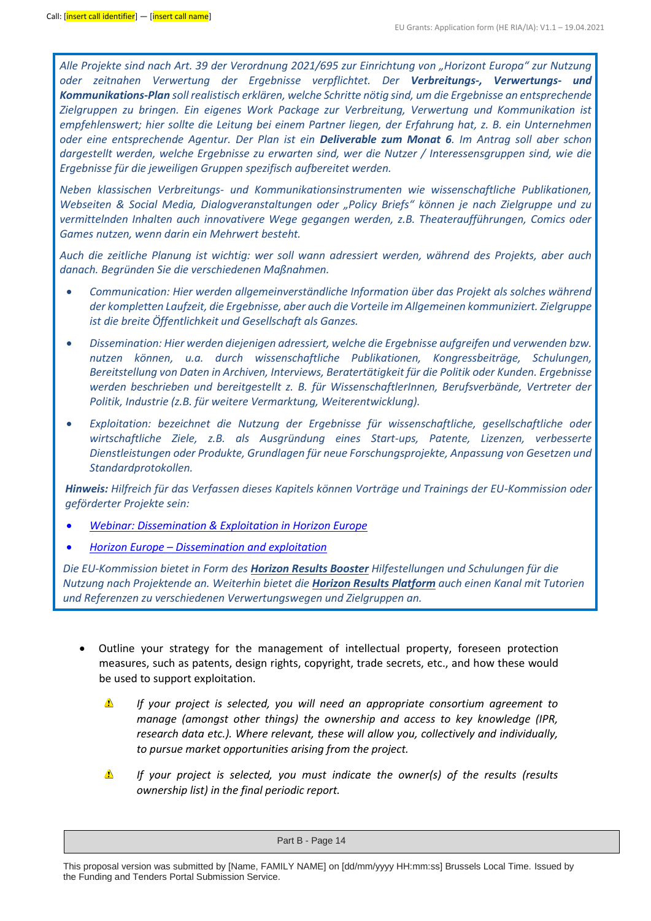*Alle Projekte sind nach Art. 39 der Verordnung 2021/695 zur Einrichtung von "Horizont Europa" zur Nutzung oder zeitnahen Verwertung der Ergebnisse verpflichtet. Der Verbreitungs-, Verwertungs- und Kommunikations-Plan soll realistisch erklären, welche Schritte nötig sind, um die Ergebnisse an entsprechende Zielgruppen zu bringen. Ein eigenes Work Package zur Verbreitung, Verwertung und Kommunikation ist empfehlenswert; hier sollte die Leitung bei einem Partner liegen, der Erfahrung hat, z. B. ein Unternehmen oder eine entsprechende Agentur. Der Plan ist ein Deliverable zum Monat 6. Im Antrag soll aber schon dargestellt werden, welche Ergebnisse zu erwarten sind, wer die Nutzer / Interessensgruppen sind, wie die Ergebnisse für die jeweiligen Gruppen spezifisch aufbereitet werden.* 

*Neben klassischen Verbreitungs- und Kommunikationsinstrumenten wie wissenschaftliche Publikationen, Webseiten & Social Media, Dialogveranstaltungen oder "Policy Briefs" können je nach Zielgruppe und zu vermittelnden Inhalten auch innovativere Wege gegangen werden, z.B. Theateraufführungen, Comics oder Games nutzen, wenn darin ein Mehrwert besteht.*

*Auch die zeitliche Planung ist wichtig: wer soll wann adressiert werden, während des Projekts, aber auch danach. Begründen Sie die verschiedenen Maßnahmen.*

- *Communication: Hier werden allgemeinverständliche Information über das Projekt als solches während der kompletten Laufzeit, die Ergebnisse, aber auch die Vorteile im Allgemeinen kommuniziert. Zielgruppe ist die breite Öffentlichkeit und Gesellschaft als Ganzes.*
- *Dissemination: Hier werden diejenigen adressiert, welche die Ergebnisse aufgreifen und verwenden bzw. nutzen können, u.a. durch wissenschaftliche Publikationen, Kongressbeiträge, Schulungen, Bereitstellung von Daten in Archiven, Interviews, Beratertätigkeit für die Politik oder Kunden. Ergebnisse werden beschrieben und bereitgestellt z. B. für WissenschaftlerInnen, Berufsverbände, Vertreter der Politik, Industrie (z.B. für weitere Vermarktung, Weiterentwicklung).*
- *Exploitation: bezeichnet die Nutzung der Ergebnisse für wissenschaftliche, gesellschaftliche oder wirtschaftliche Ziele, z.B. als Ausgründung eines Start-ups, Patente, Lizenzen, verbesserte Dienstleistungen oder Produkte, Grundlagen für neue Forschungsprojekte, Anpassung von Gesetzen und Standardprotokollen.*

*Hinweis: Hilfreich für das Verfassen dieses Kapitels können Vorträge und Trainings der EU-Kommission oder geförderter Projekte sein:*

- *[Webinar: Dissemination & Exploitation in Horizon Europe](https://ec.europa.eu/research/participants/docs/h2020-funding-guide/other/event210609.htm)*
- *Horizon Europe – [Dissemination and exploitation](https://rea.ec.europa.eu/horizon-europe-dissemination-and-exploitation_en)*

*Die EU-Kommission bietet in Form des [Horizon Results Booster](https://www.horizonresultsbooster.eu/) Hilfestellungen und Schulungen für die Nutzung nach Projektende an. Weiterhin bietet die [Horizon Results Platform](https://ec.europa.eu/info/funding-tenders/opportunities/portal/screen/opportunities/horizon-results-platform) auch einen Kanal mit Tutorien und Referenzen zu verschiedenen Verwertungswegen und Zielgruppen an.*

- Outline your strategy for the management of intellectual property, foreseen protection measures, such as patents, design rights, copyright, trade secrets, etc., and how these would be used to support exploitation.
	- Δ *If your project is selected, you will need an appropriate consortium agreement to manage (amongst other things) the ownership and access to key knowledge (IPR, research data etc.). Where relevant, these will allow you, collectively and individually, to pursue market opportunities arising from the project.*
	- $\triangle$ *If your project is selected, you must indicate the owner(s) of the results (results ownership list) in the final periodic report.*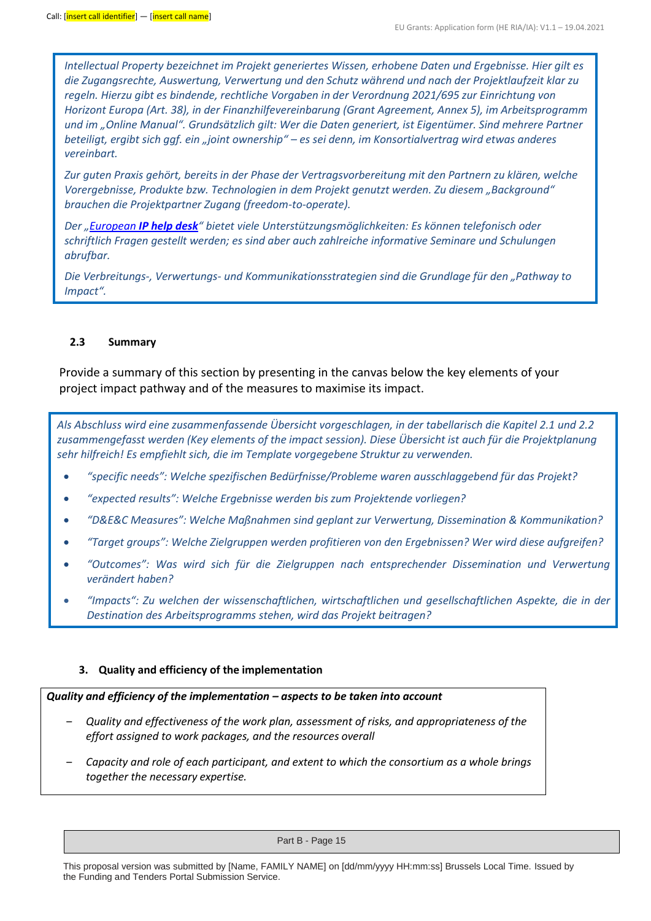*Intellectual Property bezeichnet im Projekt generiertes Wissen, erhobene Daten und Ergebnisse. Hier gilt es die Zugangsrechte, Auswertung, Verwertung und den Schutz während und nach der Projektlaufzeit klar zu regeln. Hierzu gibt es bindende, rechtliche Vorgaben in der Verordnung 2021/695 zur Einrichtung von Horizont Europa (Art. 38), in der Finanzhilfevereinbarung (Grant Agreement, Annex 5), im Arbeitsprogramm und im "Online Manual". Grundsätzlich gilt: Wer die Daten generiert, ist Eigentümer. Sind mehrere Partner beteiligt, ergibt sich ggf. ein "joint ownership" – es sei denn, im Konsortialvertrag wird etwas anderes vereinbart.*

*Zur guten Praxis gehört, bereits in der Phase der Vertragsvorbereitung mit den Partnern zu klären, welche Vorergebnisse, Produkte bzw. Technologien in dem Projekt genutzt werden. Zu diesem "Background" brauchen die Projektpartner Zugang (freedom-to-operate).*

*Der "European [IP help desk](https://intellectual-property-helpdesk.ec.europa.eu/index_en)" bietet viele Unterstützungsmöglichkeiten: Es können telefonisch oder schriftlich Fragen gestellt werden; es sind aber auch zahlreiche informative Seminare und Schulungen abrufbar.*

*Die Verbreitungs-, Verwertungs- und Kommunikationsstrategien sind die Grundlage für den "Pathway to Impact".*

#### **2.3 Summary**

Provide a summary of this section by presenting in the canvas below the key elements of your project impact pathway and of the measures to maximise its impact.

*Als Abschluss wird eine zusammenfassende Übersicht vorgeschlagen, in der tabellarisch die Kapitel 2.1 und 2.2 zusammengefasst werden (Key elements of the impact session). Diese Übersicht ist auch für die Projektplanung sehr hilfreich! Es empfiehlt sich, die im Template vorgegebene Struktur zu verwenden.*

- *"specific needs": Welche spezifischen Bedürfnisse/Probleme waren ausschlaggebend für das Projekt?*
- *"expected results": Welche Ergebnisse werden bis zum Projektende vorliegen?*
- *"D&E&C Measures": Welche Maßnahmen sind geplant zur Verwertung, Dissemination & Kommunikation?*
- *"Target groups": Welche Zielgruppen werden profitieren von den Ergebnissen? Wer wird diese aufgreifen?*
- *"Outcomes": Was wird sich für die Zielgruppen nach entsprechender Dissemination und Verwertung verändert haben?*
- *"Impacts": Zu welchen der wissenschaftlichen, wirtschaftlichen und gesellschaftlichen Aspekte, die in der Destination des Arbeitsprogramms stehen, wird das Projekt beitragen?*

#### **3. Quality and efficiency of the implementation**

### *Quality and efficiency of the implementation – aspects to be taken into account*

- ‒ *Quality and effectiveness of the work plan, assessment of risks, and appropriateness of the effort assigned to work packages, and the resources overall*
- ‒ *Capacity and role of each participant, and extent to which the consortium as a whole brings together the necessary expertise.*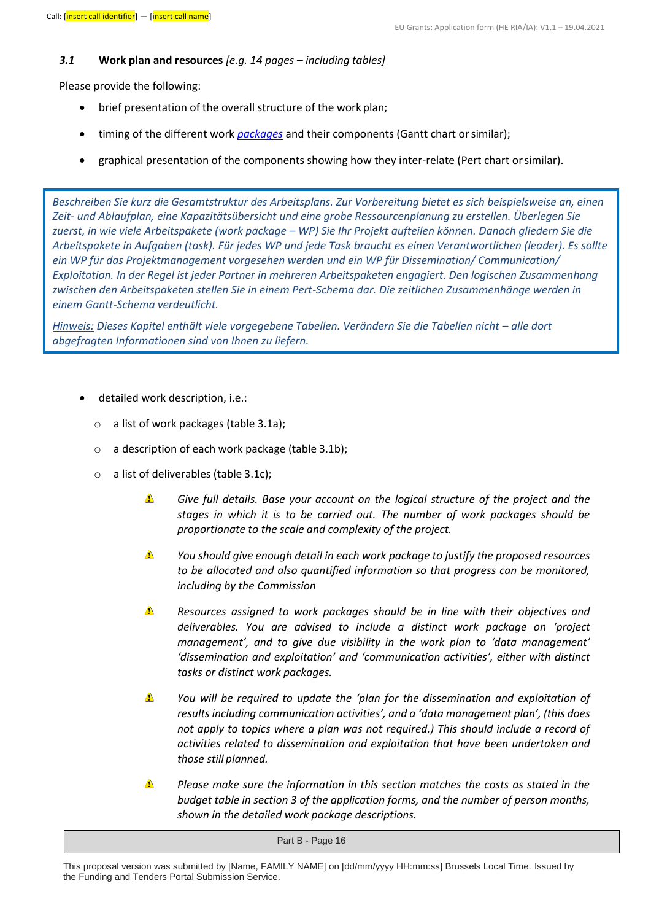#### *3.1* **Work plan and resources** *[e.g. 14 pages – including tables]*

Please provide the following:

- brief presentation of the overall structure of the work plan;
- timing of the different work *packages* and their components (Gantt chart orsimilar);
- graphical presentation of the components showing how they inter-relate (Pert chart orsimilar).

*Beschreiben Sie kurz die Gesamtstruktur des Arbeitsplans. Zur Vorbereitung bietet es sich beispielsweise an, einen Zeit- und Ablaufplan, eine Kapazitätsübersicht und eine grobe Ressourcenplanung zu erstellen. Überlegen Sie zuerst, in wie viele Arbeitspakete (work package – WP) Sie Ihr Projekt aufteilen können. Danach gliedern Sie die Arbeitspakete in Aufgaben (task). Für jedes WP und jede Task braucht es einen Verantwortlichen (leader). Es sollte ein WP für das Projektmanagement vorgesehen werden und ein WP für Dissemination/ Communication/ Exploitation. In der Regel ist jeder Partner in mehreren Arbeitspaketen engagiert. Den logischen Zusammenhang zwischen den Arbeitspaketen stellen Sie in einem Pert-Schema dar. Die zeitlichen Zusammenhänge werden in einem Gantt-Schema verdeutlicht.* 

*Hinweis: Dieses Kapitel enthält viele vorgegebene Tabellen. Verändern Sie die Tabellen nicht – alle dort abgefragten Informationen sind von Ihnen zu liefern.*

- detailed work description, i.e.:
	- o a list of work packages (table 3.1a);
	- o a description of each work package (table 3.1b);
	- o a list of deliverables (table 3.1c);
		- Δ *Give full details. Base your account on the logical structure of the project and the stages in which it is to be carried out. The number of work packages should be proportionate to the scale and complexity of the project.*
		- Δ *You should give enough detail in each work package to justify the proposed resources to be allocated and also quantified information so that progress can be monitored, including by the Commission*
		- Δ *Resources assigned to work packages should be in line with their objectives and deliverables. You are advised to include a distinct work package on 'project management', and to give due visibility in the work plan to 'data management' 'dissemination and exploitation' and 'communication activities', either with distinct tasks or distinct work packages.*
		- $\triangle$ *You will be required to update the 'plan for the dissemination and exploitation of results including communication activities', and a 'data management plan', (this does not apply to topics where a plan was not required.) This should include a record of activities related to dissemination and exploitation that have been undertaken and those still planned.*
		- Δ *Please make sure the information in this section matches the costs as stated in the budget table in section 3 of the application forms, and the number of person months, shown in the detailed work package descriptions.*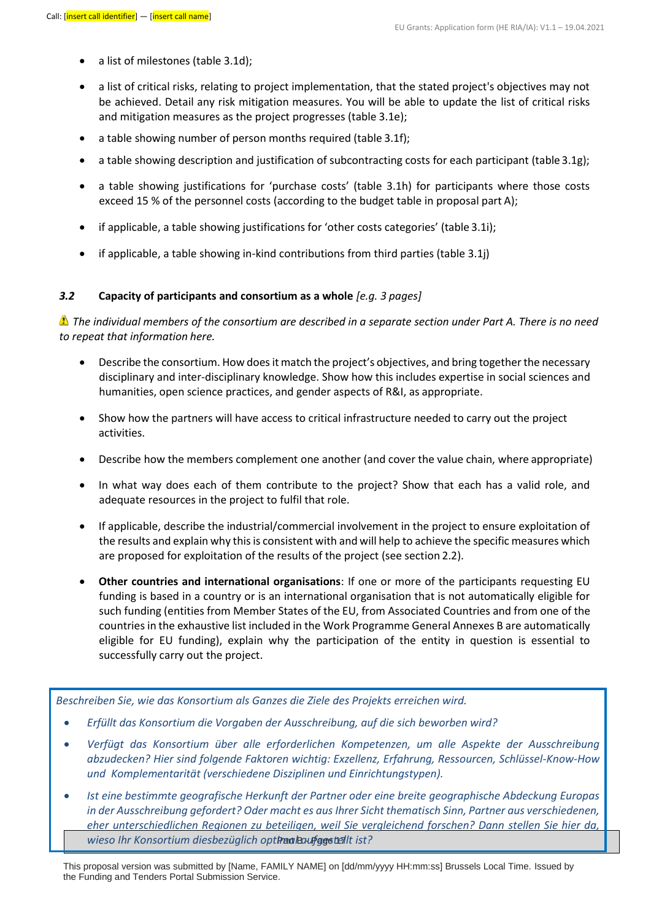- a list of milestones (table 3.1d);
- a list of critical risks, relating to project implementation, that the stated project's objectives may not be achieved. Detail any risk mitigation measures. You will be able to update the list of critical risks and mitigation measures as the project progresses (table 3.1e);
- a table showing number of person months required (table 3.1f);
- a table showing description and justification of subcontracting costs for each participant (table 3.1g);
- a table showing justifications for 'purchase costs' (table 3.1h) for participants where those costs exceed 15 % of the personnel costs (according to the budget table in proposal part A);
- if applicable, a table showing justifications for 'other costs categories' (table 3.1i);
- if applicable, a table showing in-kind contributions from third parties (table 3.1j)

#### *3.2* **Capacity of participants and consortium as a whole** *[e.g. 3 pages]*

*The individual members of the consortium are described in a separate section under Part A. There is no need to repeat that information here.*

- Describe the consortium. How does it match the project's objectives, and bring together the necessary disciplinary and inter-disciplinary knowledge. Show how this includes expertise in social sciences and humanities, open science practices, and gender aspects of R&I, as appropriate.
- Show how the partners will have access to critical infrastructure needed to carry out the project activities.
- Describe how the members complement one another (and cover the value chain, where appropriate)
- In what way does each of them contribute to the project? Show that each has a valid role, and adequate resources in the project to fulfil that role.
- If applicable, describe the industrial/commercial involvement in the project to ensure exploitation of the results and explain why this is consistent with and will help to achieve the specific measures which are proposed for exploitation of the results of the project (see section 2.2).
- **Other countries and international organisations**: If one or more of the participants requesting EU funding is based in a country or is an international organisation that is not automatically eligible for such funding (entities from Member States of the EU, from Associated Countries and from one of the countries in the exhaustive list included in the Work Programme General Annexes B are automatically eligible for EU funding), explain why the participation of the entity in question is essential to successfully carry out the project.

*Beschreiben Sie, wie das Konsortium als Ganzes die Ziele des Projekts erreichen wird.*

- *Erfüllt das Konsortium die Vorgaben der Ausschreibung, auf die sich beworben wird?*
- *Verfügt das Konsortium über alle erforderlichen Kompetenzen, um alle Aspekte der Ausschreibung abzudecken? Hier sind folgende Faktoren wichtig: Exzellenz, Erfahrung, Ressourcen, Schlüssel-Know-How und Komplementarität (verschiedene Disziplinen und Einrichtungstypen).*
- wieso Ihr Konsortium diesbezüglich opt**Paa Baufggstei**lt ist? • *Ist eine bestimmte geografische Herkunft der Partner oder eine breite geographische Abdeckung Europas in der Ausschreibung gefordert? Oder macht es aus Ihrer Sicht thematisch Sinn, Partner aus verschiedenen, eher unterschiedlichen Regionen zu beteiligen, weil Sie vergleichend forschen? Dann stellen Sie hier da,*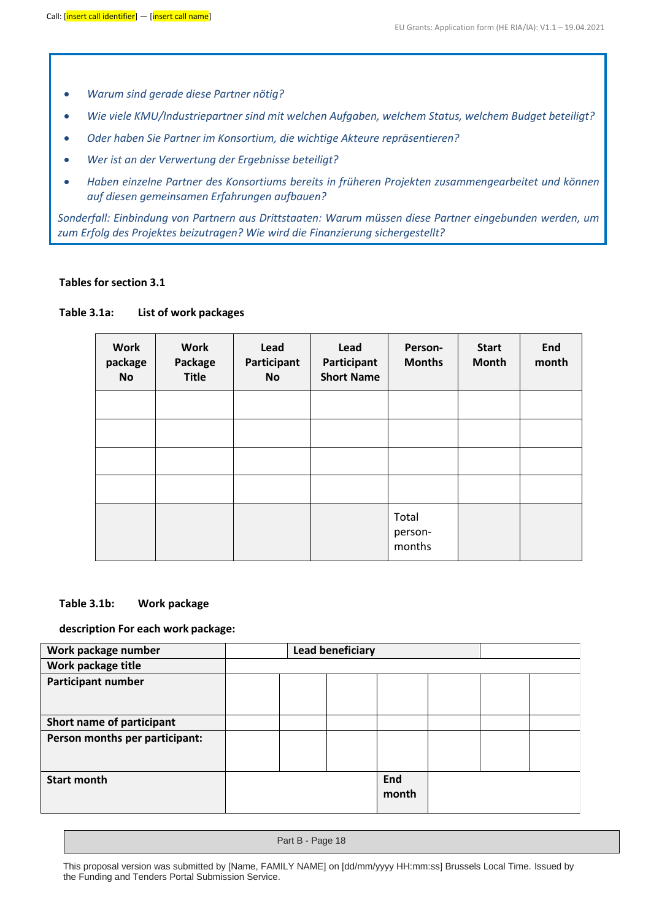- *Warum sind gerade diese Partner nötig?*
- *Wie viele KMU/Industriepartner sind mit welchen Aufgaben, welchem Status, welchem Budget beteiligt?*
- *Oder haben Sie Partner im Konsortium, die wichtige Akteure repräsentieren?*
- *Wer ist an der Verwertung der Ergebnisse beteiligt?*
- *Haben einzelne Partner des Konsortiums bereits in früheren Projekten zusammengearbeitet und können auf diesen gemeinsamen Erfahrungen aufbauen?*

*Sonderfall: Einbindung von Partnern aus Drittstaaten: Warum müssen diese Partner eingebunden werden, um zum Erfolg des Projektes beizutragen? Wie wird die Finanzierung sichergestellt?*

#### **Tables for section 3.1**

#### **Table 3.1a: List of work packages**

| <b>Work</b><br>package<br><b>No</b> | <b>Work</b><br>Package<br><b>Title</b> | Lead<br>Lead<br>Participant<br>Participant<br><b>Short Name</b><br><b>No</b> |  | Person-<br><b>Months</b>   | <b>Start</b><br><b>Month</b> | End<br>month |
|-------------------------------------|----------------------------------------|------------------------------------------------------------------------------|--|----------------------------|------------------------------|--------------|
|                                     |                                        |                                                                              |  |                            |                              |              |
|                                     |                                        |                                                                              |  |                            |                              |              |
|                                     |                                        |                                                                              |  |                            |                              |              |
|                                     |                                        |                                                                              |  |                            |                              |              |
|                                     |                                        |                                                                              |  | Total<br>person-<br>months |                              |              |

#### **Table 3.1b: Work package**

#### **description For each work package:**

| Work package number<br><b>Lead beneficiary</b> |  |  |              |  |  |
|------------------------------------------------|--|--|--------------|--|--|
| Work package title                             |  |  |              |  |  |
| <b>Participant number</b>                      |  |  |              |  |  |
|                                                |  |  |              |  |  |
| Short name of participant                      |  |  |              |  |  |
| Person months per participant:                 |  |  |              |  |  |
|                                                |  |  |              |  |  |
| <b>Start month</b>                             |  |  | End<br>month |  |  |

Part B - Page 18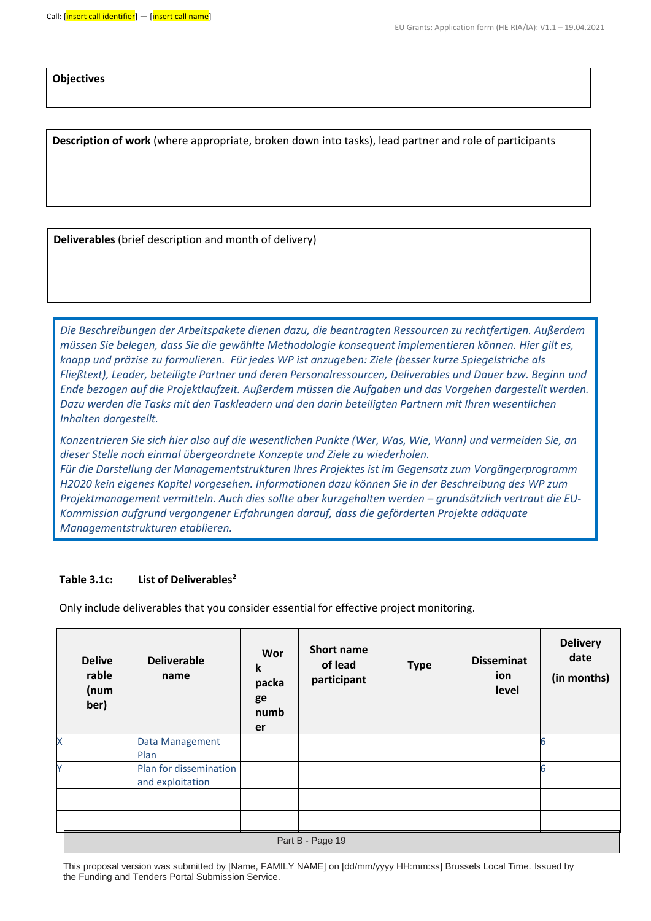**Objectives**

**Description of work** (where appropriate, broken down into tasks), lead partner and role of participants

**Deliverables** (brief description and month of delivery)

*Die Beschreibungen der Arbeitspakete dienen dazu, die beantragten Ressourcen zu rechtfertigen. Außerdem müssen Sie belegen, dass Sie die gewählte Methodologie konsequent implementieren können. Hier gilt es, knapp und präzise zu formulieren. Für jedes WP ist anzugeben: Ziele (besser kurze Spiegelstriche als Fließtext), Leader, beteiligte Partner und deren Personalressourcen, Deliverables und Dauer bzw. Beginn und Ende bezogen auf die Projektlaufzeit. Außerdem müssen die Aufgaben und das Vorgehen dargestellt werden. Dazu werden die Tasks mit den Taskleadern und den darin beteiligten Partnern mit Ihren wesentlichen Inhalten dargestellt.*

*Konzentrieren Sie sich hier also auf die wesentlichen Punkte (Wer, Was, Wie, Wann) und vermeiden Sie, an dieser Stelle noch einmal übergeordnete Konzepte und Ziele zu wiederholen.*

*Für die Darstellung der Managementstrukturen Ihres Projektes ist im Gegensatz zum Vorgängerprogramm H2020 kein eigenes Kapitel vorgesehen. Informationen dazu können Sie in der Beschreibung des WP zum Projektmanagement vermitteln. Auch dies sollte aber kurzgehalten werden – grundsätzlich vertraut die EU-Kommission aufgrund vergangener Erfahrungen darauf, dass die geförderten Projekte adäquate Managementstrukturen etablieren.*

#### **Table 3.1c: List of Deliverables<sup>2</sup>**

Only include deliverables that you consider essential for effective project monitoring.

| <b>Delive</b><br>rable<br>(num<br>ber) | <b>Deliverable</b><br>name                 | Wor<br>$\mathbf k$<br>packa<br>ge<br>numb<br>er | Short name<br>of lead<br>participant | <b>Type</b> | <b>Disseminat</b><br>ion<br>level | <b>Delivery</b><br>date<br>(in months) |
|----------------------------------------|--------------------------------------------|-------------------------------------------------|--------------------------------------|-------------|-----------------------------------|----------------------------------------|
| X                                      | Data Management<br>Plan                    |                                                 |                                      |             |                                   |                                        |
| Ÿ                                      | Plan for dissemination<br>and exploitation |                                                 |                                      |             |                                   |                                        |
|                                        |                                            |                                                 |                                      |             |                                   |                                        |
| Part B - Page 19                       |                                            |                                                 |                                      |             |                                   |                                        |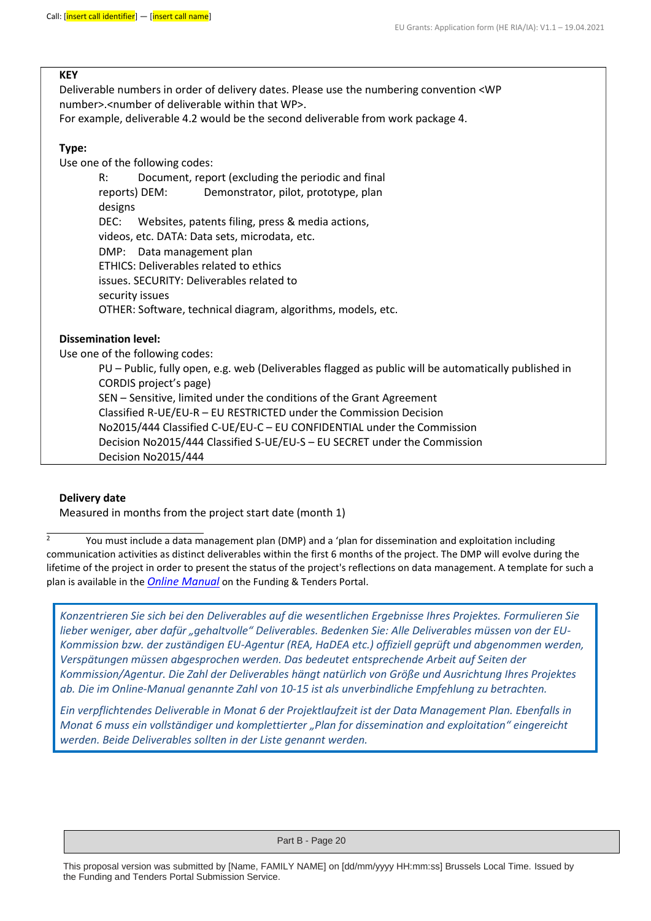#### **KEY**

Deliverable numbers in order of delivery dates. Please use the numbering convention <WP number>.<number of deliverable within that WP>.

For example, deliverable 4.2 would be the second deliverable from work package 4.

#### **Type:**

Use one of the following codes:

R: Document, report (excluding the periodic and final reports) DEM: Demonstrator, pilot, prototype, plan designs DEC: Websites, patents filing, press & media actions, videos, etc. DATA: Data sets, microdata, etc. DMP: Data management plan ETHICS: Deliverables related to ethics issues. SECURITY: Deliverables related to security issues OTHER: Software, technical diagram, algorithms, models, etc.

#### **Dissemination level:**

Use one of the following codes:

PU – Public, fully open, e.g. web (Deliverables flagged as public will be automatically published in CORDIS project's page) SEN – Sensitive, limited under the conditions of the Grant Agreement Classified R-UE/EU-R – EU RESTRICTED under the Commission Decision No2015/444 Classified C-UE/EU-C – EU CONFIDENTIAL under the Commission Decision No2015/444 Classified S-UE/EU-S – EU SECRET under the Commission Decision No2015/444

#### **Delivery date**

Measured in months from the project start date (month 1)

 $\frac{2}{3}$  You must include a data management plan (DMP) and a 'plan for dissemination and exploitation including communication activities as distinct deliverables within the first 6 months of the project. The DMP will evolve during the lifetime of the project in order to present the status of the project's reflections on data management. A template for such a plan is available in the *[Online Manual](https://ec.europa.eu/info/funding-tenders/opportunities/docs/2021-2027/common/guidance/om_en.pdf)* on the Funding & Tenders Portal.

*Konzentrieren Sie sich bei den Deliverables auf die wesentlichen Ergebnisse Ihres Projektes. Formulieren Sie lieber weniger, aber dafür "gehaltvolle" Deliverables. Bedenken Sie: Alle Deliverables müssen von der EU-Kommission bzw. der zuständigen EU-Agentur (REA, HaDEA etc.) offiziell geprüft und abgenommen werden, Verspätungen müssen abgesprochen werden. Das bedeutet entsprechende Arbeit auf Seiten der Kommission/Agentur. Die Zahl der Deliverables hängt natürlich von Größe und Ausrichtung Ihres Projektes ab. Die im Online-Manual genannte Zahl von 10-15 ist als unverbindliche Empfehlung zu betrachten.* 

*Ein verpflichtendes Deliverable in Monat 6 der Projektlaufzeit ist der Data Management Plan. Ebenfalls in Monat 6 muss ein vollständiger und komplettierter "Plan for dissemination and exploitation" eingereicht werden. Beide Deliverables sollten in der Liste genannt werden.*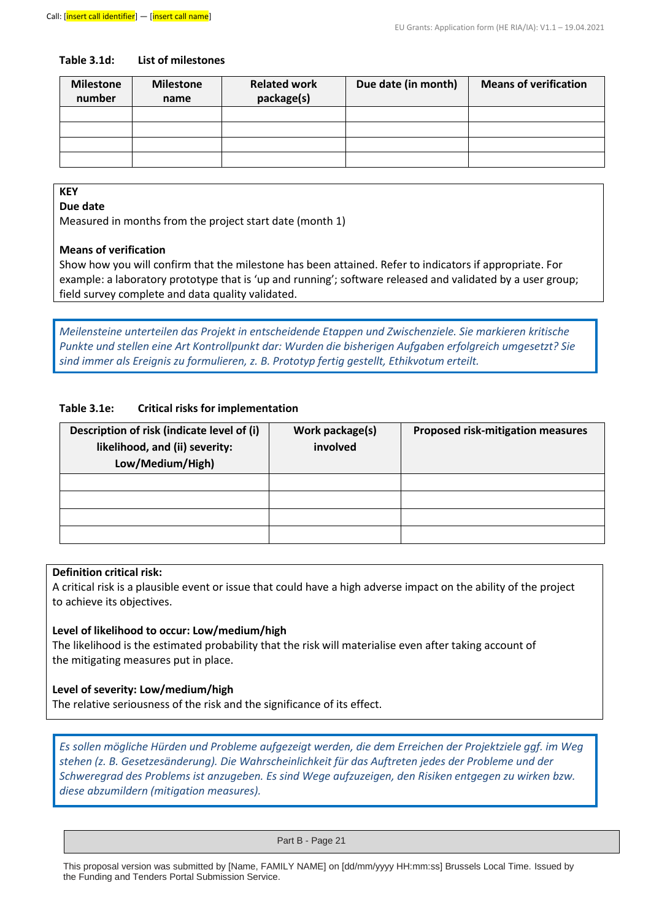#### **Table 3.1d: List of milestones**

| <b>Milestone</b><br>number | <b>Milestone</b><br>name | <b>Related work</b><br>package(s) | Due date (in month) | <b>Means of verification</b> |
|----------------------------|--------------------------|-----------------------------------|---------------------|------------------------------|
|                            |                          |                                   |                     |                              |
|                            |                          |                                   |                     |                              |
|                            |                          |                                   |                     |                              |
|                            |                          |                                   |                     |                              |

#### **KEY**

#### **Due date**

Measured in months from the project start date (month 1)

#### **Means of verification**

Show how you will confirm that the milestone has been attained. Refer to indicators if appropriate. For example: a laboratory prototype that is 'up and running'; software released and validated by a user group; field survey complete and data quality validated.

*Meilensteine unterteilen das Projekt in entscheidende Etappen und Zwischenziele. Sie markieren kritische Punkte und stellen eine Art Kontrollpunkt dar: Wurden die bisherigen Aufgaben erfolgreich umgesetzt? Sie sind immer als Ereignis zu formulieren, z. B. Prototyp fertig gestellt, Ethikvotum erteilt.* 

#### **Table 3.1e: Critical risks for implementation**

| Description of risk (indicate level of (i)<br>likelihood, and (ii) severity:<br>Low/Medium/High) | Work package(s)<br>involved | <b>Proposed risk-mitigation measures</b> |
|--------------------------------------------------------------------------------------------------|-----------------------------|------------------------------------------|
|                                                                                                  |                             |                                          |
|                                                                                                  |                             |                                          |
|                                                                                                  |                             |                                          |
|                                                                                                  |                             |                                          |

#### **Definition critical risk:**

A critical risk is a plausible event or issue that could have a high adverse impact on the ability of the project to achieve its objectives.

#### **Level of likelihood to occur: Low/medium/high**

The likelihood is the estimated probability that the risk will materialise even after taking account of the mitigating measures put in place.

#### **Level of severity: Low/medium/high**

The relative seriousness of the risk and the significance of its effect.

*Es sollen mögliche Hürden und Probleme aufgezeigt werden, die dem Erreichen der Projektziele ggf. im Weg stehen (z. B. Gesetzesänderung). Die Wahrscheinlichkeit für das Auftreten jedes der Probleme und der Schweregrad des Problems ist anzugeben. Es sind Wege aufzuzeigen, den Risiken entgegen zu wirken bzw. diese abzumildern (mitigation measures).*

Part B - Page 21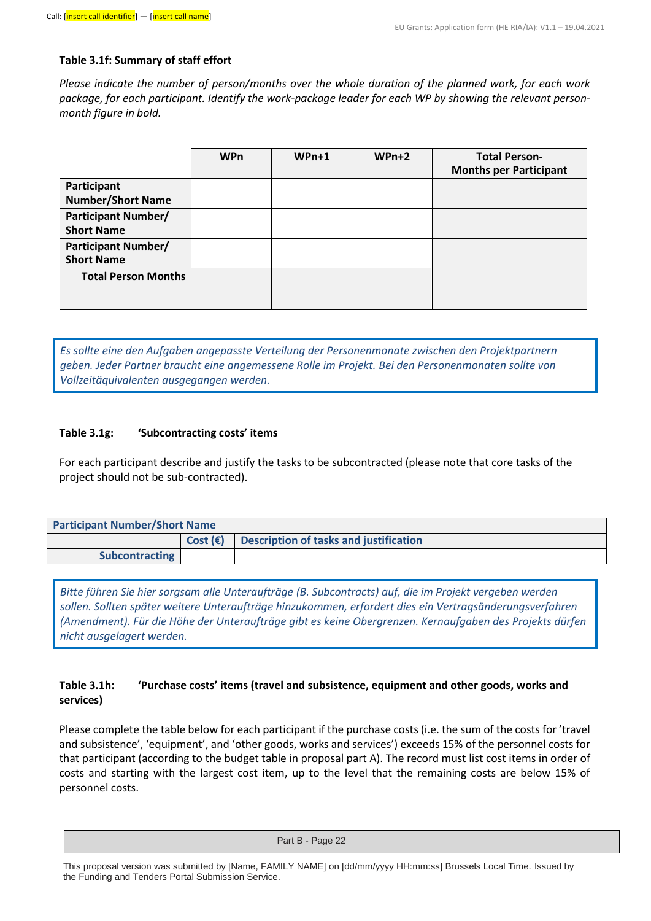#### **Table 3.1f: Summary of staff effort**

*Please indicate the number of person/months over the whole duration of the planned work, for each work package, for each participant. Identify the work-package leader for each WP by showing the relevant personmonth figure in bold.*

|                                                 | <b>WPn</b> | $WPn+1$ | $WPn+2$ | <b>Total Person-</b><br><b>Months per Participant</b> |
|-------------------------------------------------|------------|---------|---------|-------------------------------------------------------|
| Participant<br><b>Number/Short Name</b>         |            |         |         |                                                       |
| <b>Participant Number/</b><br><b>Short Name</b> |            |         |         |                                                       |
| <b>Participant Number/</b><br><b>Short Name</b> |            |         |         |                                                       |
| <b>Total Person Months</b>                      |            |         |         |                                                       |

*Es sollte eine den Aufgaben angepasste Verteilung der Personenmonate zwischen den Projektpartnern geben. Jeder Partner braucht eine angemessene Rolle im Projekt. Bei den Personenmonaten sollte von Vollzeitäquivalenten ausgegangen werden.*

#### **Table 3.1g: 'Subcontracting costs' items**

For each participant describe and justify the tasks to be subcontracted (please note that core tasks of the project should not be sub-contracted).

| <b>Participant Number/Short Name</b> |                   |                                        |  |
|--------------------------------------|-------------------|----------------------------------------|--|
|                                      | Cost $(\epsilon)$ | Description of tasks and justification |  |
| <b>Subcontracting</b>                |                   |                                        |  |

*Bitte führen Sie hier sorgsam alle Unteraufträge (B. Subcontracts) auf, die im Projekt vergeben werden sollen. Sollten später weitere Unteraufträge hinzukommen, erfordert dies ein Vertragsänderungsverfahren (Amendment). Für die Höhe der Unteraufträge gibt es keine Obergrenzen. Kernaufgaben des Projekts dürfen nicht ausgelagert werden.* 

#### **Table 3.1h: 'Purchase costs' items (travel and subsistence, equipment and other goods, works and services)**

Please complete the table below for each participant if the purchase costs (i.e. the sum of the costs for 'travel and subsistence', 'equipment', and 'other goods, works and services') exceeds 15% of the personnel costs for that participant (according to the budget table in proposal part A). The record must list cost items in order of costs and starting with the largest cost item, up to the level that the remaining costs are below 15% of personnel costs.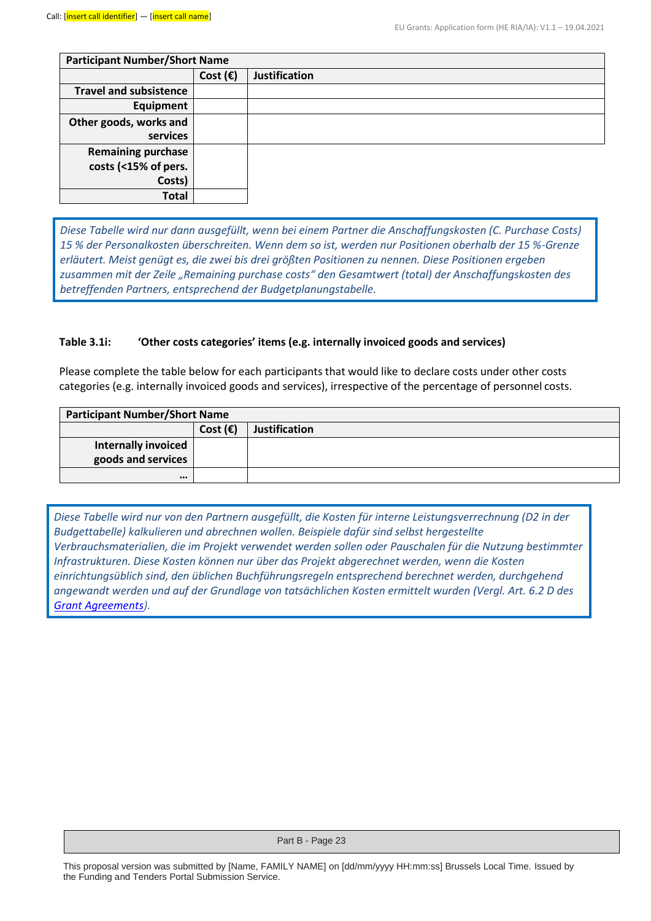| <b>Participant Number/Short Name</b> |                   |                      |  |
|--------------------------------------|-------------------|----------------------|--|
|                                      | Cost $(\epsilon)$ | <b>Justification</b> |  |
| <b>Travel and subsistence</b>        |                   |                      |  |
| Equipment                            |                   |                      |  |
| Other goods, works and               |                   |                      |  |
| services                             |                   |                      |  |
| <b>Remaining purchase</b>            |                   |                      |  |
| costs (<15% of pers.                 |                   |                      |  |
| Costs)                               |                   |                      |  |
| Total                                |                   |                      |  |

*Diese Tabelle wird nur dann ausgefüllt, wenn bei einem Partner die Anschaffungskosten (C. Purchase Costs) 15 % der Personalkosten überschreiten. Wenn dem so ist, werden nur Positionen oberhalb der 15 %-Grenze erläutert. Meist genügt es, die zwei bis drei größten Positionen zu nennen. Diese Positionen ergeben zusammen mit der Zeile "Remaining purchase costs" den Gesamtwert (total) der Anschaffungskosten des betreffenden Partners, entsprechend der Budgetplanungstabelle.*

#### **Table 3.1i: 'Other costs categories' items (e.g. internally invoiced goods and services)**

Please complete the table below for each participants that would like to declare costs under other costs categories (e.g. internally invoiced goods and services), irrespective of the percentage of personnel costs.

| <b>Participant Number/Short Name</b>             |                   |                      |  |
|--------------------------------------------------|-------------------|----------------------|--|
|                                                  | Cost $(\epsilon)$ | <b>Justification</b> |  |
| <b>Internally invoiced</b><br>goods and services |                   |                      |  |
| $\bullet\bullet\bullet$                          |                   |                      |  |

*Diese Tabelle wird nur von den Partnern ausgefüllt, die Kosten für interne Leistungsverrechnung (D2 in der Budgettabelle) kalkulieren und abrechnen wollen. Beispiele dafür sind selbst hergestellte Verbrauchsmaterialien, die im Projekt verwendet werden sollen oder Pauschalen für die Nutzung bestimmter Infrastrukturen. Diese Kosten können nur über das Projekt abgerechnet werden, wenn die Kosten einrichtungsüblich sind, den üblichen Buchführungsregeln entsprechend berechnet werden, durchgehend angewandt werden und auf der Grundlage von tatsächlichen Kosten ermittelt wurden (Vergl. Art. 6.2 D des [Grant Agreements\)](https://ec.europa.eu/info/funding-tenders/opportunities/docs/2021-2027/common/agr-contr/general-mga_horizon-euratom_en.pdf).*